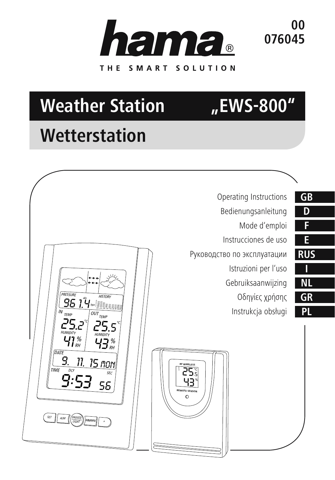

**00 076045**

# **Weather Station "EWS-800"**

# **Wetterstation**

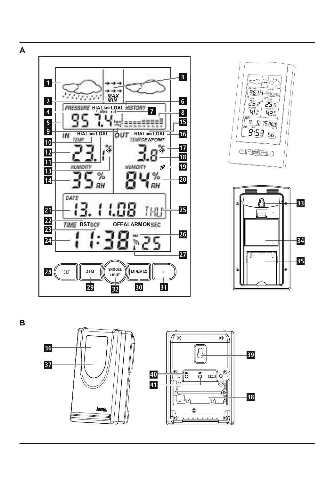





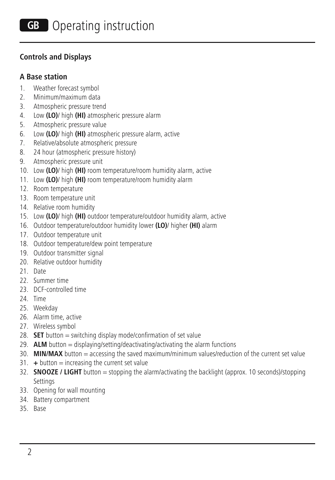#### **Controls and Displays**

#### **A Base station**

- 1. Weather forecast symbol
- 2. Minimum/maximum data
- 3. Atmospheric pressure trend
- 4. Low **(LO)**/ high **(HI)** atmospheric pressure alarm
- 5. Atmospheric pressure value
- 6. Low **(LO)**/ high **(HI)** atmospheric pressure alarm, active
- 7. Relative/absolute atmospheric pressure
- 8. 24 hour (atmospheric pressure history)
- 9. Atmospheric pressure unit
- 10. Low **(LO)**/ high **(HI)** room temperature/room humidity alarm, active
- 11. Low **(LO)**/ high **(HI)** room temperature/room humidity alarm
- 12. Room temperature
- 13. Room temperature unit
- 14. Relative room humidity
- 15. Low **(LO)**/ high **(HI)** outdoor temperature/outdoor humidity alarm, active
- 16. Outdoor temperature/outdoor humidity lower **(LO)**/ higher **(HI)** alarm
- 17. Outdoor temperature unit
- 18. Outdoor temperature/dew point temperature
- 19. Outdoor transmitter signal
- 20. Relative outdoor humidity
- 21. Date
- 22. Summer time
- 23. DCF-controlled time
- 24. Time
- 25. Weekday
- 26. Alarm time, active
- 27. Wireless symbol
- 28. **SET** button = switching display mode/confirmation of set value
- 29. **ALM** button = displaying/setting/deactivating/activating the alarm functions
- 30. **MIN/MAX** button = accessing the saved maximum/minimum values/reduction of the current set value
- 31. **+** button = increasing the current set value
- 32. **SNOOZE / LIGHT** button = stopping the alarm/activating the backlight (approx. 10 seconds)/stopping Settings
- 33. Opening for wall mounting
- 34. Battery compartment
- 35. Base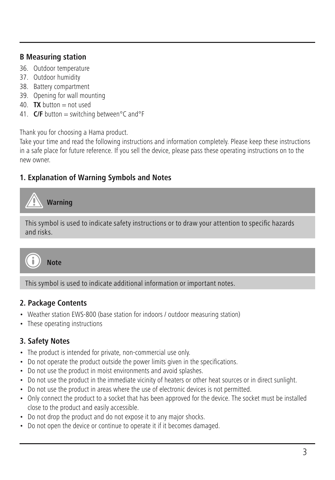#### **B Measuring station**

- 36. Outdoor temperature
- 37. Outdoor humidity
- 38. Battery compartment
- 39. Opening for wall mounting
- 40. **TX** button = not used
- 41. **C/F** button = switching between°C and°F

Thank you for choosing a Hama product.

Take your time and read the following instructions and information completely. Please keep these instructions in a safe place for future reference. If you sell the device, please pass these operating instructions on to the new owner.

### **1. Explanation of Warning Symbols and Notes**

**Warning**

This symbol is used to indicate safety instructions or to draw your attention to specific hazards and risks.



This symbol is used to indicate additional information or important notes.

#### **2. Package Contents**

- Weather station EWS-800 (base station for indoors / outdoor measuring station)
- These operating instructions

#### **3. Safety Notes**

- The product is intended for private, non-commercial use only.
- Do not operate the product outside the power limits given in the specifications.
- Do not use the product in moist environments and avoid splashes.
- Do not use the product in the immediate vicinity of heaters or other heat sources or in direct sunlight.
- Do not use the product in areas where the use of electronic devices is not permitted.
- Only connect the product to a socket that has been approved for the device. The socket must be installed close to the product and easily accessible.
- Do not drop the product and do not expose it to any major shocks.
- Do not open the device or continue to operate it if it becomes damaged.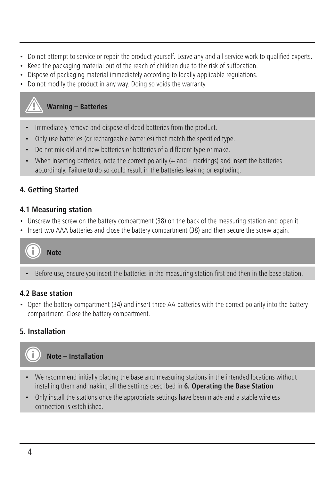- Do not attempt to service or repair the product yourself. Leave any and all service work to qualified experts.
- Keep the packaging material out of the reach of children due to the risk of suffocation.
- Dispose of packaging material immediately according to locally applicable regulations.
- Do not modify the product in any way. Doing so voids the warranty.

### **Warning – Batteries**

- Immediately remove and dispose of dead batteries from the product.
- Only use batteries (or rechargeable batteries) that match the specified type.
- Do not mix old and new batteries or batteries of a different type or make.
- When inserting batteries, note the correct polarity (+ and markings) and insert the batteries accordingly. Failure to do so could result in the batteries leaking or exploding.

# **4. Getting Started**

#### **4.1 Measuring station**

- Unscrew the screw on the battery compartment (38) on the back of the measuring station and open it.
- Insert two AAA batteries and close the battery compartment (38) and then secure the screw again.

**Note**

• Before use, ensure you insert the batteries in the measuring station first and then in the base station.

### **4.2 Base station**

• Open the battery compartment (34) and insert three AA batteries with the correct polarity into the battery compartment. Close the battery compartment.

# **5. Installation**



- We recommend initially placing the base and measuring stations in the intended locations without installing them and making all the settings described in **6. Operating the Base Station**
- Only install the stations once the appropriate settings have been made and a stable wireless connection is established.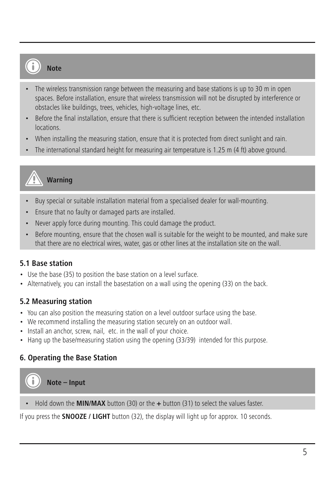# **Note**

- The wireless transmission range between the measuring and base stations is up to 30 m in open spaces. Before installation, ensure that wireless transmission will not be disrupted by interference or obstacles like buildings, trees, vehicles, high-voltage lines, etc.
- Before the final installation, ensure that there is sufficient reception between the intended installation locations.
- When installing the measuring station, ensure that it is protected from direct sunlight and rain.
- The international standard height for measuring air temperature is 1.25 m (4 ft) above ground.

# **Warning**

- Buy special or suitable installation material from a specialised dealer for wall-mounting.
- Ensure that no faulty or damaged parts are installed.
- Never apply force during mounting. This could damage the product.
- Before mounting, ensure that the chosen wall is suitable for the weight to be mounted, and make sure that there are no electrical wires, water, gas or other lines at the installation site on the wall.

#### **5.1 Base station**

- Use the base (35) to position the base station on a level surface.
- Alternatively, you can install the basestation on a wall using the opening (33) on the back.

#### **5.2 Measuring station**

- You can also position the measuring station on a level outdoor surface using the base.
- We recommend installing the measuring station securely on an outdoor wall.
- Install an anchor, screw, nail, etc. in the wall of your choice.
- Hang up the base/measuring station using the opening (33/39) intended for this purpose.

### **6. Operating the Base Station**

**Note – Input**

• Hold down the **MIN/MAX** button (30) or the **+** button (31) to select the values faster.

If you press the **SNOOZE / LIGHT** button (32), the display will light up for approx. 10 seconds.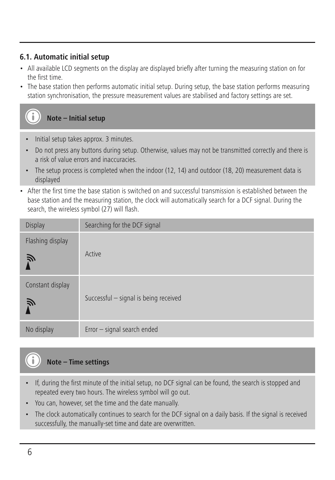#### **6.1. Automatic initial setup**

- All available LCD segments on the display are displayed briefly after turning the measuring station on for the first time.
- The base station then performs automatic initial setup. During setup, the base station performs measuring station synchronisation, the pressure measurement values are stabilised and factory settings are set.



- Initial setup takes approx. 3 minutes.
- Do not press any buttons during setup. Otherwise, values may not be transmitted correctly and there is a risk of value errors and inaccuracies.
- The setup process is completed when the indoor (12, 14) and outdoor (18, 20) measurement data is displayed
- After the first time the base station is switched on and successful transmission is established between the base station and the measuring station, the clock will automatically search for a DCF signal. During the search, the wireless symbol (27) will flash.

| Display               | Searching for the DCF signal          |
|-----------------------|---------------------------------------|
| Flashing display<br>Ñ | Active                                |
| Constant display<br>戸 | Successful - signal is being received |
| No display            | Error - signal search ended           |

# **Note – Time settings**

- If, during the first minute of the initial setup, no DCF signal can be found, the search is stopped and repeated every two hours. The wireless symbol will go out.
- You can, however, set the time and the date manually.
- The clock automatically continues to search for the DCF signal on a daily basis. If the signal is received successfully, the manually-set time and date are overwritten.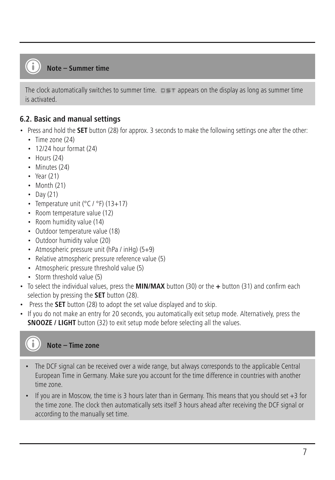#### **Note – Summer time**

```
The clock automatically switches to summer time. \Box appears on the display as long as summer time
is activated.
```
#### **6.2. Basic and manual settings**

- Press and hold the **SET** button (28) for approx. 3 seconds to make the following settings one after the other:
	- Time zone (24)
	- 12/24 hour format (24)
	- $\cdot$  Hours (24)
	- Minutes (24)
	- Year (21)
	- Month (21)
	- Day (21)
	- Temperature unit (°C / °F) (13+17)
	- Room temperature value (12)
	- Room humidity value (14)
	- Outdoor temperature value (18)
	- Outdoor humidity value (20)
	- Atmospheric pressure unit (hPa / inHg) (5+9)
	- Relative atmospheric pressure reference value (5)
	- Atmospheric pressure threshold value (5)
	- Storm threshold value (5)
- To select the individual values, press the **MIN/MAX** button (30) or the **+** button (31) and confirm each selection by pressing the **SET** button (28).
- Press the **SET** button (28) to adopt the set value displayed and to skip.
- If you do not make an entry for 20 seconds, you automatically exit setup mode. Alternatively, press the **SNOOZE / LIGHT** button (32) to exit setup mode before selecting all the values.

**Note – Time zone**

- The DCF signal can be received over a wide range, but always corresponds to the applicable Central European Time in Germany. Make sure you account for the time difference in countries with another time zone.
- If you are in Moscow, the time is 3 hours later than in Germany. This means that you should set +3 for the time zone. The clock then automatically sets itself 3 hours ahead after receiving the DCF signal or according to the manually set time.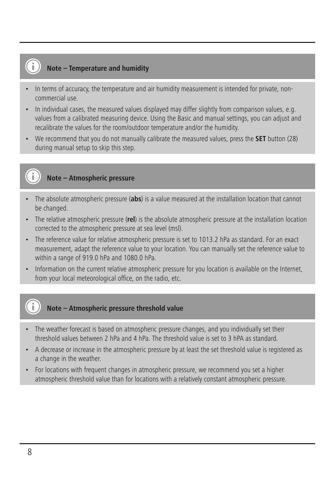# **Note – Temperature and humidity**

- In terms of accuracy, the temperature and air humidity measurement is intended for private, noncommercial use.
- In individual cases, the measured values displayed may differ slightly from comparison values, e.g. values from a calibrated measuring device. Using the Basic and manual settings, you can adjust and recalibrate the values for the room/outdoor temperature and/or the humidity.
- We recommend that you do not manually calibrate the measured values, press the **SET** button (28) during manual setup to skip this step.

#### **Note – Atmospheric pressure**

- The absolute atmospheric pressure (**abs**) is a value measured at the installation location that cannot be changed.
- The relative atmospheric pressure (**rel**) is the absolute atmospheric pressure at the installation location corrected to the atmospheric pressure at sea level (msl).
- The reference value for relative atmospheric pressure is set to 1013.2 hPa as standard. For an exact measurement, adapt the reference value to your location. You can manually set the reference value to within a range of 919.0 hPa and 1080.0 hPa.
- Information on the current relative atmospheric pressure for you location is available on the Internet, from your local meteorological office, on the radio, etc.

### **Note – Atmospheric pressure threshold value**

- The weather forecast is based on atmospheric pressure changes, and you individually set their threshold values between 2 hPa and 4 hPa. The threshold value is set to 3 hPA as standard.
- A decrease or increase in the atmospheric pressure by at least the set threshold value is registered as a change in the weather.
- For locations with frequent changes in atmospheric pressure, we recommend you set a higher atmospheric threshold value than for locations with a relatively constant atmospheric pressure.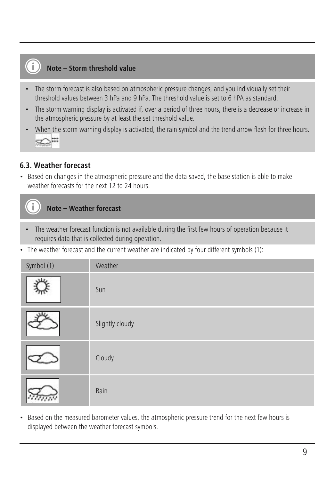# **Note – Storm threshold value**

- The storm forecast is also based on atmospheric pressure changes, and you individually set their threshold values between 3 hPa and 9 hPa. The threshold value is set to 6 hPA as standard.
- The storm warning display is activated if, over a period of three hours, there is a decrease or increase in the atmospheric pressure by at least the set threshold value.
- When the storm warning display is activated, the rain symbol and the trend arrow flash for three hours.

#### **6.3. Weather forecast**

• Based on changes in the atmospheric pressure and the data saved, the base station is able to make weather forecasts for the next 12 to 24 hours.

# **Note – Weather forecast**

- The weather forecast function is not available during the first few hours of operation because it requires data that is collected during operation.
- The weather forecast and the current weather are indicated by four different symbols (1):

| Symbol (1) | Weather         |
|------------|-----------------|
| 11         | Sun             |
|            | Slightly cloudy |
|            | Cloudy          |
|            | Rain            |

• Based on the measured barometer values, the atmospheric pressure trend for the next few hours is displayed between the weather forecast symbols.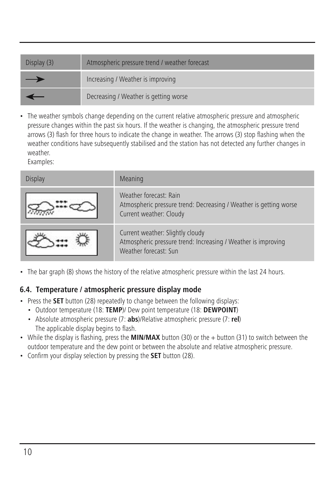| Display (3) | Atmospheric pressure trend / weather forecast |
|-------------|-----------------------------------------------|
| _           | Increasing / Weather is improving             |
|             | Decreasing / Weather is getting worse         |

• The weather symbols change depending on the current relative atmospheric pressure and atmospheric pressure changes within the past six hours. If the weather is changing, the atmospheric pressure trend arrows (3) flash for three hours to indicate the change in weather. The arrows (3) stop flashing when the weather conditions have subsequently stabilised and the station has not detected any further changes in weather.

Examples:

| <b>Display</b> | Meaning                                                                                                                    |
|----------------|----------------------------------------------------------------------------------------------------------------------------|
|                | Weather forecast: Rain<br>Atmospheric pressure trend: Decreasing / Weather is getting worse<br>Current weather: Cloudy     |
|                | Current weather: Slightly cloudy<br>Atmospheric pressure trend: Increasing / Weather is improving<br>Weather forecast: Sun |

• The bar graph (8) shows the history of the relative atmospheric pressure within the last 24 hours.

#### **6.4. Temperature / atmospheric pressure display mode**

- Press the **SET** button (28) repeatedly to change between the following displays:
	- Outdoor temperature (18: **TEMP**)/ Dew point temperature (18: **DEWPOINT**)
	- Absolute atmospheric pressure (7: **abs**)/Relative atmospheric pressure (7: **rel**) The applicable display begins to flash.
- While the display is flashing, press the **MIN/MAX** button (30) or the + button (31) to switch between the outdoor temperature and the dew point or between the absolute and relative atmospheric pressure.
- Confirm your display selection by pressing the **SET** button (28).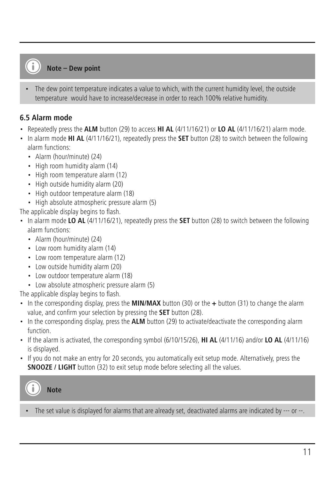#### **Note – Dew point**

• The dew point temperature indicates a value to which, with the current humidity level, the outside temperature would have to increase/decrease in order to reach 100% relative humidity.

#### **6.5 Alarm mode**

- Repeatedly press the **ALM** button (29) to access **HI AL** (4/11/16/21) or **LO AL** (4/11/16/21) alarm mode.
- In alarm mode **HI AL** (4/11/16/21), repeatedly press the **SET** button (28) to switch between the following alarm functions:
	- Alarm (hour/minute) (24)
	- High room humidity alarm (14)
	- High room temperature alarm (12)
	- High outside humidity alarm (20)
	- High outdoor temperature alarm (18)
	- High absolute atmospheric pressure alarm (5)

The applicable display begins to flash.

- In alarm mode **LO AL** (4/11/16/21), repeatedly press the **SET** button (28) to switch between the following alarm functions:
	- Alarm (hour/minute) (24)
	- Low room humidity alarm (14)
	- Low room temperature alarm (12)
	- Low outside humidity alarm (20)
	- Low outdoor temperature alarm (18)
	- Low absolute atmospheric pressure alarm (5)

The applicable display begins to flash.

- In the corresponding display, press the **MIN/MAX** button (30) or the **+** button (31) to change the alarm value, and confirm your selection by pressing the **SET** button (28).
- In the corresponding display, press the **ALM** button (29) to activate/deactivate the corresponding alarm function.
- If the alarm is activated, the corresponding symbol (6/10/15/26), **HI AL** (4/11/16) and/or **LO AL** (4/11/16) is displayed.
- If you do not make an entry for 20 seconds, you automatically exit setup mode. Alternatively, press the **SNOOZE / LIGHT** button (32) to exit setup mode before selecting all the values.

**Note**

• The set value is displayed for alarms that are already set, deactivated alarms are indicated by --- or --.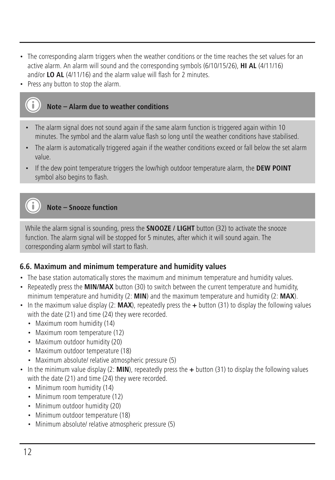- The corresponding alarm triggers when the weather conditions or the time reaches the set values for an active alarm. An alarm will sound and the corresponding symbols (6/10/15/26), **HI AL** (4/11/16) and/or **LO AL** (4/11/16) and the alarm value will flash for 2 minutes.
- Press any button to stop the alarm.

#### **Note – Alarm due to weather conditions**

- The alarm signal does not sound again if the same alarm function is triggered again within 10 minutes. The symbol and the alarm value flash so long until the weather conditions have stabilised.
- The alarm is automatically triggered again if the weather conditions exceed or fall below the set alarm value.
- If the dew point temperature triggers the low/high outdoor temperature alarm, the **DEW POINT** symbol also begins to flash.

# **Note – Snooze function**

While the alarm signal is sounding, press the **SNOOZE / LIGHT** button (32) to activate the snooze function. The alarm signal will be stopped for 5 minutes, after which it will sound again. The corresponding alarm symbol will start to flash.

#### **6.6. Maximum and minimum temperature and humidity values**

- The base station automatically stores the maximum and minimum temperature and humidity values.
- Repeatedly press the **MIN/MAX** button (30) to switch between the current temperature and humidity, minimum temperature and humidity (2: **MIN**) and the maximum temperature and humidity (2: **MAX**).
- In the maximum value display (2: **MAX**), repeatedly press the **+** button (31) to display the following values with the date (21) and time (24) they were recorded.
	- Maximum room humidity (14)
	- Maximum room temperature (12)
	- Maximum outdoor humidity (20)
	- Maximum outdoor temperature (18)
	- Maximum absolute/ relative atmospheric pressure (5)
- In the minimum value display (2: **MIN**), repeatedly press the **+** button (31) to display the following values with the date (21) and time (24) they were recorded.
	- Minimum room humidity (14)
	- Minimum room temperature (12)
	- Minimum outdoor humidity (20)
	- Minimum outdoor temperature (18)
	- Minimum absolute/ relative atmospheric pressure (5)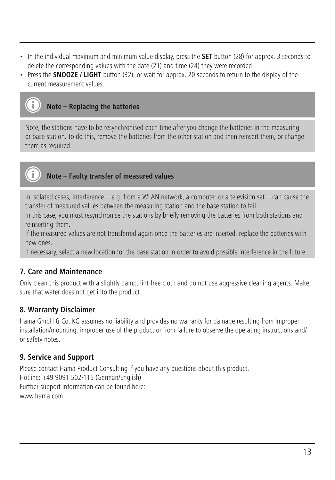- In the individual maximum and minimum value display, press the **SET** button (28) for approx. 3 seconds to delete the corresponding values with the date (21) and time (24) they were recorded.
- Press the **SNOOZE / LIGHT** button (32), or wait for approx. 20 seconds to return to the display of the current measurement values.

# **Note – Replacing the batteries**

Note, the stations have to be resynchronised each time after you change the batteries in the measuring or base station. To do this, remove the batteries from the other station and then reinsert them, or change them as required.



# **Note – Faulty transfer of measured values**

In isolated cases, interference—e.g. from a WLAN network, a computer or a television set—can cause the transfer of measured values between the measuring station and the base station to fail.

In this case, you must resynchronise the stations by briefly removing the batteries from both stations and reinserting them.

If the measured values are not transferred again once the batteries are inserted, replace the batteries with new ones.

If necessary, select a new location for the base station in order to avoid possible interference in the future.

### **7. Care and Maintenance**

Only clean this product with a slightly damp, lint-free cloth and do not use aggressive cleaning agents. Make sure that water does not get into the product.

#### **8. Warranty Disclaimer**

Hama GmbH & Co. KG assumes no liability and provides no warranty for damage resulting from improper installation/mounting, improper use of the product or from failure to observe the operating instructions and/ or safety notes.

## **9. Service and Support**

Please contact Hama Product Consulting if you have any questions about this product. Hotline: +49 9091 502-115 (German/English) Further support information can be found here: www.hama.com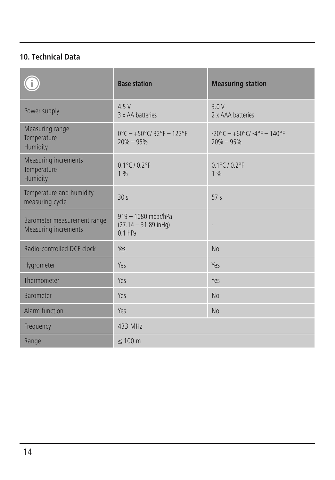# **10. Technical Data**

|                                                            | <b>Base station</b>                                        | <b>Measuring station</b>                               |
|------------------------------------------------------------|------------------------------------------------------------|--------------------------------------------------------|
| Power supply                                               | 4.5V<br>3 x AA hatteries                                   | 3.0 V<br>2 x AAA hatteries                             |
| Measuring range<br>Temperature<br>Humidity                 | $0^{\circ}$ C - +50°C/32°F - 122°F<br>$20% - 95%$          | $-20^{\circ}$ C - +60°C/ -4°F - 140°F<br>$20\% - 95\%$ |
| Measuring increments<br>Temperature<br>Humidity            | $0.1^{\circ}$ C / $0.2^{\circ}$ F<br>1%                    | $0.1^{\circ}$ C / $0.2^{\circ}$ F<br>1%                |
| Temperature and humidity<br>measuring cycle                | 30<                                                        | 57 <sub>5</sub>                                        |
| Barometer measurement range<br><b>Measuring increments</b> | 919 - 1080 mbar/hPa<br>$(27.14 - 31.89$ inHq)<br>$0.1$ hPa |                                                        |
| Radio-controlled DCF clock                                 | Yes                                                        | No                                                     |
| Hygrometer                                                 | Yes                                                        | Yes                                                    |
| Thermometer                                                | Yes                                                        | Yes                                                    |
| <b>Barometer</b>                                           | Yes                                                        | No                                                     |
| Alarm function                                             | Yes                                                        | No                                                     |
| Frequency                                                  | 433 MHz                                                    |                                                        |
| Range                                                      | < 100 m                                                    |                                                        |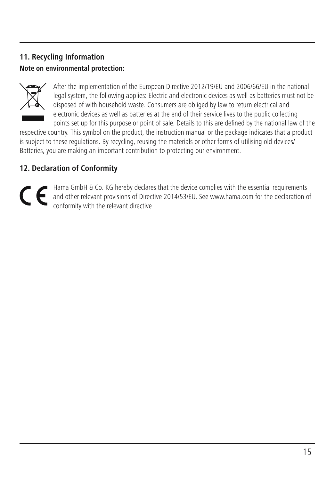# **11. Recycling Information Note on environmental protection:**



After the implementation of the European Directive 2012/19/EU and 2006/66/EU in the national legal system, the following applies: Electric and electronic devices as well as batteries must not be disposed of with household waste. Consumers are obliged by law to return electrical and electronic devices as well as batteries at the end of their service lives to the public collecting points set up for this purpose or point of sale. Details to this are defined by the national law of the

respective country. This symbol on the product, the instruction manual or the package indicates that a product is subject to these regulations. By recycling, reusing the materials or other forms of utilising old devices/ Batteries, you are making an important contribution to protecting our environment.

# **12. Declaration of Conformity**

Hama GmbH & Co. KG hereby declares that the device complies with the essential requirements and other relevant provisions of Directive 2014/53/EU. See www.hama.com for the declaration of conformity with the relevant directive.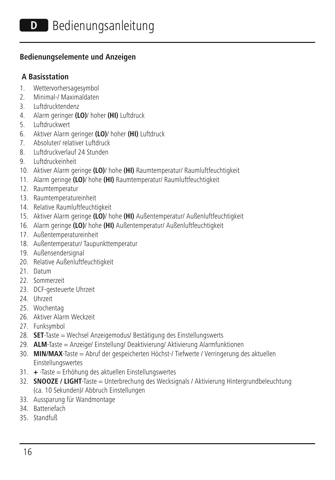#### **Bedienungselemente und Anzeigen**

#### **A Basisstation**

- 1. Wettervorhersagesymbol
- 2. Minimal-/ Maximaldaten
- 3. Luftdrucktendenz
- 4. Alarm geringer **(LO)**/ hoher **(HI)** Luftdruck
- 5. Luftdruckwert
- 6. Aktiver Alarm geringer **(LO)**/ hoher **(HI)** Luftdruck
- 7. Absoluter/ relativer Luftdruck
- 8. Luftdruckverlauf 24 Stunden
- 9. Luftdruckeinheit
- 10. Aktiver Alarm geringe **(LO)**/ hohe **(HI)** Raumtemperatur/ Raumluftfeuchtigkeit
- 11. Alarm geringe **(LO)**/ hohe **(HI)** Raumtemperatur/ Raumluftfeuchtigkeit
- 12. Raumtemperatur
- 13. Raumtemperatureinheit
- 14. Relative Raumluftfeuchtigkeit
- 15. Aktiver Alarm geringe **(LO)**/ hohe **(HI)** Außentemperatur/ Außenluftfeuchtigkeit
- 16. Alarm geringe **(LO)**/ hohe **(HI)** Außentemperatur/ Außenluftfeuchtigkeit
- 17. Außentemperatureinheit
- 18. Außentemperatur/ Taupunkttemperatur
- 19. Außensendersignal
- 20. Relative Außenluftfeuchtigkeit
- 21. Datum
- 22. Sommerzeit
- 23. DCF-gesteuerte Uhrzeit
- 24. Uhrzeit
- 25. Wochentag
- 26. Aktiver Alarm Weckzeit
- 27. Funksymbol
- 28. **SET**-Taste = Wechsel Anzeigemodus/ Bestätigung des Einstellungswerts
- 29. **ALM**-Taste = Anzeige/ Einstellung/ Deaktivierung/ Aktivierung Alarmfunktionen
- 30. **MIN/MAX**-Taste = Abruf der gespeicherten Höchst-/ Tiefwerte / Verringerung des aktuellen Einstellungswertes
- 31. **+** -Taste = Erhöhung des aktuellen Einstellungswertes
- 32. **SNOOZE / LIGHT**-Taste = Unterbrechung des Wecksignals / Aktivierung Hintergrundbeleuchtung (ca. 10 Sekunden)/ Abbruch Einstellungen
- 33. Aussparung für Wandmontage
- 34. Batteriefach
- 35. Standfuß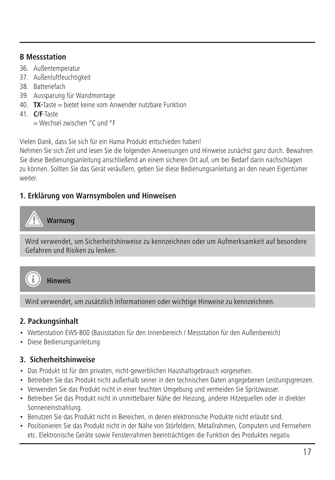#### **B Messstation**

- 36. Außentemperatur
- 37. Außenluftfeuchtigkeit
- 38. Batteriefach
- 39. Aussparung für Wandmontage
- 40. **TX-**Taste = bietet keine vom Anwender nutzbare Funktion
- 41. **C/F**-Taste
	- = Wechsel zwischen °C und °F

Vielen Dank, dass Sie sich für ein Hama Produkt entschieden haben!

Nehmen Sie sich Zeit und lesen Sie die folgenden Anweisungen und Hinweise zunächst ganz durch. Bewahren Sie diese Bedienungsanleitung anschließend an einem sicheren Ort auf, um bei Bedarf darin nachschlagen zu können. Sollten Sie das Gerät veräußern, geben Sie diese Bedienungsanleitung an den neuen Eigentümer weiter.

# **1. Erklärung von Warnsymbolen und Hinweisen**

# **Warnung**

Wird verwendet, um Sicherheitshinweise zu kennzeichnen oder um Aufmerksamkeit auf besondere Gefahren und Risiken zu lenken.



**Hinweis**

Wird verwendet, um zusätzlich Informationen oder wichtige Hinweise zu kennzeichnen.

# **2. Packungsinhalt**

- Wetterstation EWS-800 (Basisstation für den Innenbereich / Messstation für den Außenbereich)
- Diese Bedienungsanleitung

# **3. Sicherheitshinweise**

- Das Produkt ist für den privaten, nicht-gewerblichen Haushaltsgebrauch vorgesehen.
- Betreiben Sie das Produkt nicht außerhalb seiner in den technischen Daten angegebenen Leistungsgrenzen.
- Verwenden Sie das Produkt nicht in einer feuchten Umgebung und vermeiden Sie Spritzwasser.
- Betreiben Sie das Produkt nicht in unmittelbarer Nähe der Heizung, anderer Hitzequellen oder in direkter Sonneneinstrahlung.
- Benutzen Sie das Produkt nicht in Bereichen, in denen elektronische Produkte nicht erlaubt sind.
- Positionieren Sie das Produkt nicht in der Nähe von Störfeldern, Metallrahmen, Computern und Fernsehern etc. Elektronische Geräte sowie Fensterrahmen beeinträchtigen die Funktion des Produktes negativ.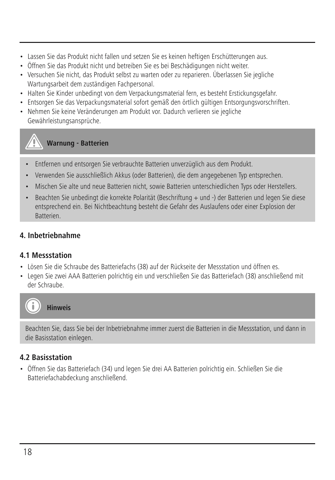- Lassen Sie das Produkt nicht fallen und setzen Sie es keinen heftigen Erschütterungen aus.
- Öffnen Sie das Produkt nicht und betreiben Sie es bei Beschädigungen nicht weiter.
- Versuchen Sie nicht, das Produkt selbst zu warten oder zu reparieren. Überlassen Sie jegliche Wartungsarbeit dem zuständigen Fachpersonal
- Halten Sie Kinder unbedingt von dem Verpackungsmaterial fern, es besteht Erstickungsgefahr.
- Entsorgen Sie das Verpackungsmaterial sofort gemäß den örtlich gültigen Entsorgungsvorschriften.
- Nehmen Sie keine Veränderungen am Produkt vor. Dadurch verlieren sie jegliche Gewährleistungsansprüche.



- Entfernen und entsorgen Sie verbrauchte Batterien unverzüglich aus dem Produkt.
- Verwenden Sie ausschließlich Akkus (oder Batterien), die dem angegebenen Typ entsprechen.
- Mischen Sie alte und neue Batterien nicht, sowie Batterien unterschiedlichen Typs oder Herstellers.
- Beachten Sie unbedingt die korrekte Polarität (Beschriftung + und -) der Batterien und legen Sie diese entsprechend ein. Bei Nichtbeachtung besteht die Gefahr des Auslaufens oder einer Explosion der Batterien.

### **4. Inbetriebnahme**

#### **4.1 Messstation**

- Lösen Sie die Schraube des Batteriefachs (38) auf der Rückseite der Messstation und öffnen es.
- Legen Sie zwei AAA Batterien polrichtig ein und verschließen Sie das Batteriefach (38) anschließend mit der Schraube.



#### **Hinweis**

Beachten Sie, dass Sie bei der Inbetriebnahme immer zuerst die Batterien in die Messstation, und dann in die Basisstation einlegen.

### **4.2 Basisstation**

• Öffnen Sie das Batteriefach (34) und legen Sie drei AA Batterien polrichtig ein. Schließen Sie die Batteriefachabdeckung anschließend.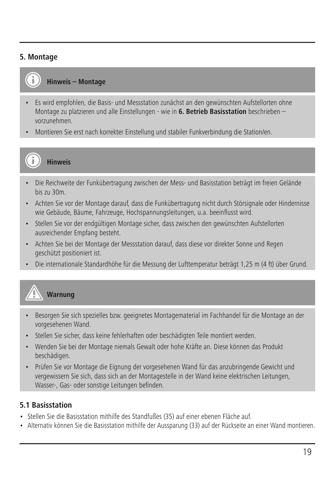#### **5. Montage**



**Hinweis – Montage**

- Es wird empfohlen, die Basis- und Messstation zunächst an den gewünschten Aufstellorten ohne Montage zu platzieren und alle Einstellungen - wie in **6. Betrieb Basisstation** beschrieben – vorzunehmen.
- Montieren Sie erst nach korrekter Einstellung und stabiler Funkverbindung die Station/en.



**Hinweis**

- Die Reichweite der Funkübertragung zwischen der Mess- und Basisstation beträgt im freien Gelände bis zu 30m.
- Achten Sie vor der Montage darauf, dass die Funkübertragung nicht durch Störsignale oder Hindernisse wie Gebäude, Bäume, Fahrzeuge, Hochspannungsleitungen, u.a. beeinflusst wird.
- Stellen Sie vor der endgültigen Montage sicher, dass zwischen den gewünschten Aufstellorten ausreichender Empfang besteht.
- Achten Sie bei der Montage der Messstation darauf, dass diese vor direkter Sonne und Regen geschützt positioniert ist.
- Die internationale Standardhöhe für die Messung der Lufttemperatur beträgt 1,25 m (4 ft) über Grund.



# **Warnung**

- Besorgen Sie sich spezielles bzw. geeignetes Montagematerial im Fachhandel für die Montage an der vorgesehenen Wand.
- Stellen Sie sicher, dass keine fehlerhaften oder beschädigten Teile montiert werden.
- Wenden Sie bei der Montage niemals Gewalt oder hohe Kräfte an. Diese können das Produkt beschädigen.
- Prüfen Sie vor Montage die Eignung der vorgesehenen Wand für das anzubringende Gewicht und vergewissern Sie sich, dass sich an der Montagestelle in der Wand keine elektrischen Leitungen, Wasser-, Gas- oder sonstige Leitungen befinden.

#### **5.1 Basisstation**

- Stellen Sie die Basisstation mithilfe des Standfußes (35) auf einer ebenen Fläche auf.
- Alternativ können Sie die Basisstation mithilfe der Aussparung (33) auf der Rückseite an einer Wand montieren.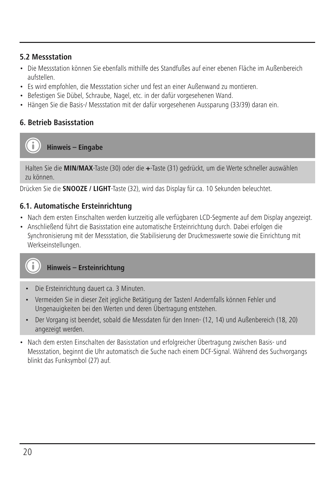#### **5.2 Messstation**

- Die Messstation können Sie ebenfalls mithilfe des Standfußes auf einer ebenen Fläche im Außenbereich aufstellen.
- Es wird empfohlen, die Messstation sicher und fest an einer Außenwand zu montieren.
- Befestigen Sie Dübel, Schraube, Nagel, etc. in der dafür vorgesehenen Wand.
- Hängen Sie die Basis-/ Messstation mit der dafür vorgesehenen Aussparung (33/39) daran ein.

### **6. Betrieb Basisstation**

**Hinweis – Eingabe**

Halten Sie die **MIN/MAX**-Taste (30) oder die **+**-Taste (31) gedrückt, um die Werte schneller auswählen zu können.

Drücken Sie die **SNOOZE / LIGHT**-Taste (32), wird das Display für ca. 10 Sekunden beleuchtet.

#### **6.1. Automatische Ersteinrichtung**

- Nach dem ersten Einschalten werden kurzzeitig alle verfügbaren LCD-Segmente auf dem Display angezeigt.
- Anschließend führt die Basisstation eine automatische Ersteinrichtung durch. Dabei erfolgen die Synchronisierung mit der Messstation, die Stabilisierung der Druckmesswerte sowie die Einrichtung mit Werkseinstellungen.



#### **Hinweis – Ersteinrichtung**

- Die Ersteinrichtung dauert ca. 3 Minuten.
- Vermeiden Sie in dieser Zeit jegliche Betätigung der Tasten! Andernfalls können Fehler und Ungenauigkeiten bei den Werten und deren Übertragung entstehen.
- Der Vorgang ist beendet, sobald die Messdaten für den Innen- (12, 14) und Außenbereich (18, 20) angezeigt werden.
- Nach dem ersten Einschalten der Basisstation und erfolgreicher Übertragung zwischen Basis- und Messstation, beginnt die Uhr automatisch die Suche nach einem DCF-Signal. Während des Suchvorgangs blinkt das Funksymbol (27) auf.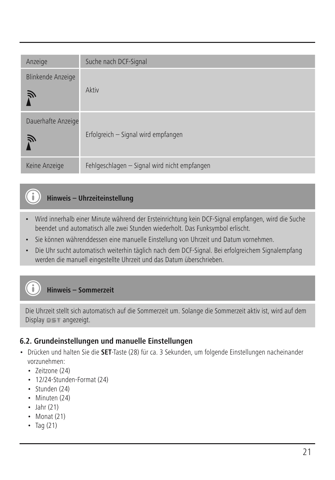| Anzeige                 | Suche nach DCF-Signal                        |
|-------------------------|----------------------------------------------|
| Blinkende Anzeige<br>戸  | Aktiv                                        |
| Dauerhafte Anzeige<br>戸 | Erfolgreich - Signal wird empfangen          |
| Keine Anzeige           | Fehlgeschlagen - Signal wird nicht empfangen |

# **Hinweis – Uhrzeiteinstellung**

- Wird innerhalb einer Minute während der Ersteinrichtung kein DCF-Signal empfangen, wird die Suche beendet und automatisch alle zwei Stunden wiederholt. Das Funksymbol erlischt.
- Sie können währenddessen eine manuelle Einstellung von Uhrzeit und Datum vornehmen.
- Die Uhr sucht automatisch weiterhin täglich nach dem DCF-Signal. Bei erfolgreichem Signalempfang werden die manuell eingestellte Uhrzeit und das Datum überschrieben.

# **Hinweis – Sommerzeit**

Die Uhrzeit stellt sich automatisch auf die Sommerzeit um. Solange die Sommerzeit aktiv ist, wird auf dem Display **DET** angezeigt.

#### **6.2. Grundeinstellungen und manuelle Einstellungen**

- Drücken und halten Sie die **SET**-Taste (28) für ca. 3 Sekunden, um folgende Einstellungen nacheinander vorzunehmen:
	- Zeitzone (24)
	- 12/24-Stunden-Format (24)
	- Stunden (24)
	- Minuten (24)
	- $\cdot$  Jahr (21)
	- Monat (21)
	- $\cdot$  Tag (21)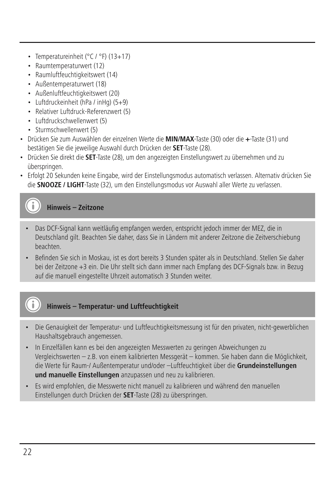- Temperatureinheit (°C / °F) (13+17)
- Raumtemperaturwert (12)
- Raumluftfeuchtigkeitswert (14)
- Außentemperaturwert (18)
- Außenluftfeuchtigkeitswert (20)
- Luftdruckeinheit (hPa / inHg) (5+9)
- Relativer Luftdruck-Referenzwert (5)
- Luftdruckschwellenwert (5)
- Sturmschwellenwert (5)
- Drücken Sie zum Auswählen der einzelnen Werte die **MIN/MAX**-Taste (30) oder die **+**-Taste (31) und bestätigen Sie die jeweilige Auswahl durch Drücken der **SET**-Taste (28).
- Drücken Sie direkt die **SET**-Taste (28), um den angezeigten Einstellungswert zu übernehmen und zu überspringen.
- Erfolgt 20 Sekunden keine Eingabe, wird der Einstellungsmodus automatisch verlassen. Alternativ drücken Sie die **SNOOZE / LIGHT**-Taste (32), um den Einstellungsmodus vor Auswahl aller Werte zu verlassen.

**Hinweis – Zeitzone**

- Das DCF-Signal kann weitläufig empfangen werden, entspricht jedoch immer der MEZ, die in Deutschland gilt. Beachten Sie daher, dass Sie in Ländern mit anderer Zeitzone die Zeitverschiebung beachten.
- Befinden Sie sich in Moskau, ist es dort bereits 3 Stunden später als in Deutschland. Stellen Sie daher bei der Zeitzone +3 ein. Die Uhr stellt sich dann immer nach Empfang des DCF-Signals bzw. in Bezug auf die manuell eingestellte Uhrzeit automatisch 3 Stunden weiter.



- Die Genauigkeit der Temperatur- und Luftfeuchtigkeitsmessung ist für den privaten, nicht-gewerblichen Haushaltsgebrauch angemessen.
- In Einzelfällen kann es bei den angezeigten Messwerten zu geringen Abweichungen zu Vergleichswerten – z.B. von einem kalibrierten Messgerät – kommen. Sie haben dann die Möglichkeit, die Werte für Raum-/ Außentemperatur und/oder –Luftfeuchtigkeit über die **Grundeinstellungen und manuelle Einstellungen** anzupassen und neu zu kalibrieren.
- Es wird empfohlen, die Messwerte nicht manuell zu kalibrieren und während den manuellen Einstellungen durch Drücken der **SET**-Taste (28) zu überspringen.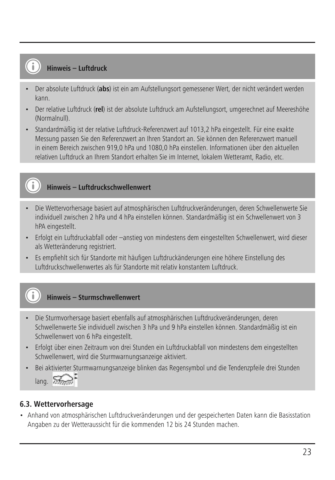#### **Hinweis – Luftdruck**

- Der absolute Luftdruck (**abs**) ist ein am Aufstellungsort gemessener Wert, der nicht verändert werden kann.
- Der relative Luftdruck (**rel**) ist der absolute Luftdruck am Aufstellungsort, umgerechnet auf Meereshöhe (Normalnull).
- Standardmäßig ist der relative Luftdruck-Referenzwert auf 1013,2 hPa eingestellt. Für eine exakte Messung passen Sie den Referenzwert an Ihren Standort an. Sie können den Referenzwert manuell in einem Bereich zwischen 919,0 hPa und 1080,0 hPa einstellen. Informationen über den aktuellen relativen Luftdruck an Ihrem Standort erhalten Sie im Internet, lokalem Wetteramt, Radio, etc.

# **Hinweis – Luftdruckschwellenwert**

- Die Wettervorhersage basiert auf atmosphärischen Luftdruckveränderungen, deren Schwellenwerte Sie individuell zwischen 2 hPa und 4 hPa einstellen können. Standardmäßig ist ein Schwellenwert von 3 hPA eingestellt.
- Erfolgt ein Luftdruckabfall oder –anstieg von mindestens dem eingestellten Schwellenwert, wird dieser als Wetteränderung registriert.
- Es empfiehlt sich für Standorte mit häufigen Luftdruckänderungen eine höhere Einstellung des Luftdruckschwellenwertes als für Standorte mit relativ konstantem Luftdruck.

# **Hinweis – Sturmschwellenwert**

- Die Sturmvorhersage basiert ebenfalls auf atmosphärischen Luftdruckveränderungen, deren Schwellenwerte Sie individuell zwischen 3 hPa und 9 hPa einstellen können. Standardmäßig ist ein Schwellenwert von 6 hPa eingestellt.
- Erfolgt über einen Zeitraum von drei Stunden ein Luftdruckabfall von mindestens dem eingestellten Schwellenwert, wird die Sturmwarnungsanzeige aktiviert.
- Bei aktivierter Sturmwarnungsanzeige blinken das Regensymbol und die Tendenzpfeile drei Stunden  $l$ ang.  $57$

#### **6.3. Wettervorhersage**

• Anhand von atmosphärischen Luftdruckveränderungen und der gespeicherten Daten kann die Basisstation Angaben zu der Wetteraussicht für die kommenden 12 bis 24 Stunden machen.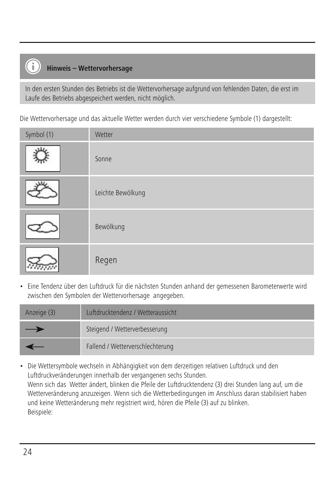# **Hinweis – Wettervorhersage**

In den ersten Stunden des Betriebs ist die Wettervorhersage aufgrund von fehlenden Daten, die erst im Laufe des Betriebs abgespeichert werden, nicht möglich.

Die Wettervorhersage und das aktuelle Wetter werden durch vier verschiedene Symbole (1) dargestellt:

| Symbol (1) | Wetter            |
|------------|-------------------|
|            | Sonne             |
|            | Leichte Bewölkung |
|            | Bewölkung         |
|            | Regen             |

• Eine Tendenz über den Luftdruck für die nächsten Stunden anhand der gemessenen Barometerwerte wird zwischen den Symbolen der Wettervorhersage angegeben.

| Anzeige (3) | Luftdrucktendenz / Wetteraussicht |
|-------------|-----------------------------------|
| –           | Steigend / Wetterverbesserung     |
|             | Fallend / Wetterverschlechterung  |

• Die Wettersymbole wechseln in Abhängigkeit von dem derzeitigen relativen Luftdruck und den Luftdruckveränderungen innerhalb der vergangenen sechs Stunden. Wenn sich das Wetter ändert, blinken die Pfeile der Luftdrucktendenz (3) drei Stunden lang auf, um die Wetterveränderung anzuzeigen. Wenn sich die Wetterbedingungen im Anschluss daran stabilisiert haben und keine Wetteränderung mehr registriert wird, hören die Pfeile (3) auf zu blinken. Beispiele: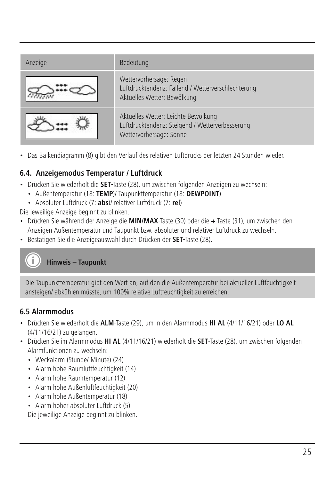| Anzeige | Bedeutung                                                                                                         |
|---------|-------------------------------------------------------------------------------------------------------------------|
|         | Wettervorhersage: Regen<br>Luftdrucktendenz: Fallend / Wetterverschlechterung<br>Aktuelles Wetter: Bewölkung      |
|         | Aktuelles Wetter: Leichte Bewölkung<br>Luftdrucktendenz: Steigend / Wetterverbesserung<br>Wettervorhersage: Sonne |

• Das Balkendiagramm (8) gibt den Verlauf des relativen Luftdrucks der letzten 24 Stunden wieder.

# **6.4. Anzeigemodus Temperatur / Luftdruck**

- Drücken Sie wiederholt die **SET**-Taste (28), um zwischen folgenden Anzeigen zu wechseln:
	- Außentemperatur (18: **TEMP**)/ Taupunkttemperatur (18: **DEWPOINT**)
	- Absoluter Luftdruck (7: **abs**)/ relativer Luftdruck (7: **rel**)

Die jeweilige Anzeige beginnt zu blinken.

- Drücken Sie während der Anzeige die **MIN/MAX**-Taste (30) oder die **+**-Taste (31), um zwischen den Anzeigen Außentemperatur und Taupunkt bzw. absoluter und relativer Luftdruck zu wechseln.
- Bestätigen Sie die Anzeigeauswahl durch Drücken der **SET**-Taste (28).



Die Taupunkttemperatur gibt den Wert an, auf den die Außentemperatur bei aktueller Luftfeuchtigkeit ansteigen/ abkühlen müsste, um 100% relative Luftfeuchtigkeit zu erreichen.

# **6.5 Alarmmodus**

- Drücken Sie wiederholt die **ALM**-Taste (29), um in den Alarmmodus **HI AL** (4/11/16/21) oder **LO AL** (4/11/16/21) zu gelangen.
- Drücken Sie im Alarmmodus **HI AL** (4/11/16/21) wiederholt die **SET**-Taste (28), um zwischen folgenden Alarmfunktionen zu wechseln:
	- Weckalarm (Stunde/ Minute) (24)
	- Alarm hohe Raumluftfeuchtigkeit (14)
	- Alarm hohe Raumtemperatur (12)
	- Alarm hohe Außenluftfeuchtigkeit (20)
	- Alarm hohe Außentemperatur (18)
	- Alarm hoher absoluter Luftdruck (5)

Die jeweilige Anzeige beginnt zu blinken.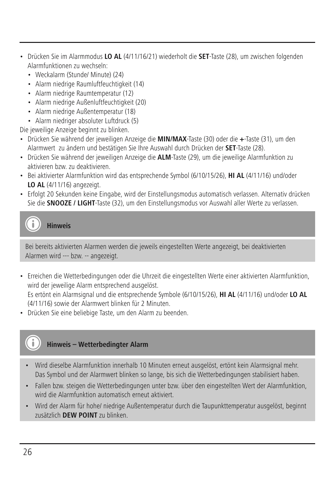- Drücken Sie im Alarmmodus **LO AL** (4/11/16/21) wiederholt die **SET**-Taste (28), um zwischen folgenden Alarmfunktionen zu wechseln:
	- Weckalarm (Stunde/ Minute) (24)
	- Alarm niedrige Raumluftfeuchtigkeit (14)
	- Alarm niedrige Raumtemperatur (12)
	- Alarm niedrige Außenluftfeuchtigkeit (20)
	- Alarm niedrige Außentemperatur (18)
	- Alarm niedriger absoluter Luftdruck (5)

Die jeweilige Anzeige beginnt zu blinken.

- Drücken Sie während der jeweiligen Anzeige die **MIN/MAX**-Taste (30) oder die **+**-Taste (31), um den Alarmwert zu ändern und bestätigen Sie Ihre Auswahl durch Drücken der **SET**-Taste (28).
- Drücken Sie während der jeweiligen Anzeige die **ALM**-Taste (29), um die jeweilige Alarmfunktion zu aktivieren bzw. zu deaktivieren.
- Bei aktivierter Alarmfunktion wird das entsprechende Symbol (6/10/15/26), **HI AL** (4/11/16) und/oder **LO AL** (4/11/16) angezeigt.
- Erfolgt 20 Sekunden keine Eingabe, wird der Einstellungsmodus automatisch verlassen. Alternativ drücken Sie die **SNOOZE / LIGHT**-Taste (32), um den Einstellungsmodus vor Auswahl aller Werte zu verlassen.

**Hinweis**

Bei bereits aktivierten Alarmen werden die jeweils eingestellten Werte angezeigt, bei deaktivierten Alarmen wird --- bzw. -- angezeigt.

• Erreichen die Wetterbedingungen oder die Uhrzeit die eingestellten Werte einer aktivierten Alarmfunktion, wird der jeweilige Alarm entsprechend ausgelöst.

Es ertönt ein Alarmsignal und die entsprechende Symbole (6/10/15/26), **HI AL** (4/11/16) und/oder **LO AL** (4/11/16) sowie der Alarmwert blinken für 2 Minuten.

• Drücken Sie eine beliebige Taste, um den Alarm zu beenden.



- Wird dieselbe Alarmfunktion innerhalb 10 Minuten erneut ausgelöst, ertönt kein Alarmsignal mehr. Das Symbol und der Alarmwert blinken so lange, bis sich die Wetterbedingungen stabilisiert haben.
- Fallen bzw. steigen die Wetterbedingungen unter bzw. über den eingestellten Wert der Alarmfunktion, wird die Alarmfunktion automatisch erneut aktiviert.
- Wird der Alarm für hohe/ niedrige Außentemperatur durch die Taupunkttemperatur ausgelöst, beginnt zusätzlich **DEW POINT** zu blinken.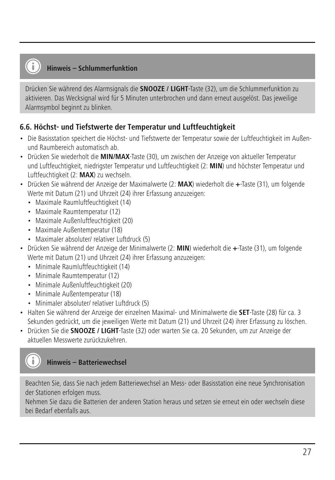#### **Hinweis – Schlummerfunktion**

Drücken Sie während des Alarmsignals die **SNOOZE / LIGHT**-Taste (32), um die Schlummerfunktion zu aktivieren. Das Wecksignal wird für 5 Minuten unterbrochen und dann erneut ausgelöst. Das jeweilige Alarmsymbol beginnt zu blinken.

#### **6.6. Höchst- und Tiefstwerte der Temperatur und Luftfeuchtigkeit**

- Die Basisstation speichert die Höchst- und Tiefstwerte der Temperatur sowie der Luftfeuchtigkeit im Außenund Raumbereich automatisch ab.
- Drücken Sie wiederholt die **MIN/MAX**-Taste (30), um zwischen der Anzeige von aktueller Temperatur und Luftfeuchtigkeit, niedrigster Temperatur und Luftfeuchtigkeit (2: **MIN**) und höchster Temperatur und Luftfeuchtigkeit (2: **MAX**) zu wechseln.
- Drücken Sie während der Anzeige der Maximalwerte (2: **MAX**) wiederholt die **+**-Taste (31), um folgende Werte mit Datum (21) und Uhrzeit (24) ihrer Erfassung anzuzeigen:
	- Maximale Raumluftfeuchtigkeit (14)
	- Maximale Raumtemperatur (12)
	- Maximale Außenluftfeuchtigkeit (20)
	- Maximale Außentemperatur (18)
	- Maximaler absoluter/ relativer Luftdruck (5)
- Drücken Sie während der Anzeige der Minimalwerte (2: **MIN**) wiederholt die **+**-Taste (31), um folgende Werte mit Datum (21) und Uhrzeit (24) ihrer Erfassung anzuzeigen:
	- Minimale Raumluftfeuchtigkeit (14)
	- Minimale Raumtemperatur (12)
	- Minimale Außenluftfeuchtigkeit (20)
	- Minimale Außentemperatur (18)
	- Minimaler absoluter/ relativer Luftdruck (5)
- Halten Sie während der Anzeige der einzelnen Maximal- und Minimalwerte die **SET**-Taste (28) für ca. 3 Sekunden gedrückt, um die jeweiligen Werte mit Datum (21) und Uhrzeit (24) ihrer Erfassung zu löschen.
- Drücken Sie die **SNOOZE / LIGHT**-Taste (32) oder warten Sie ca. 20 Sekunden, um zur Anzeige der aktuellen Messwerte zurückzukehren.



Beachten Sie, dass Sie nach jedem Batteriewechsel an Mess- oder Basisstation eine neue Synchronisation der Stationen erfolgen muss.

Nehmen Sie dazu die Batterien der anderen Station heraus und setzen sie erneut ein oder wechseln diese bei Bedarf ebenfalls aus.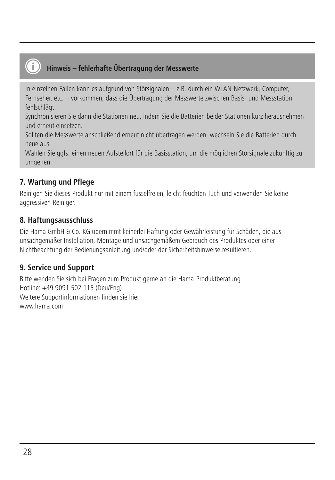# **Hinweis – fehlerhafte Übertragung der Messwerte**

In einzelnen Fällen kann es aufgrund von Störsignalen – z.B. durch ein WLAN-Netzwerk, Computer, Fernseher, etc. – vorkommen, dass die Übertragung der Messwerte zwischen Basis- und Messstation fehlschlägt.

Synchronisieren Sie dann die Stationen neu, indem Sie die Batterien beider Stationen kurz herausnehmen und erneut einsetzen.

Sollten die Messwerte anschließend erneut nicht übertragen werden, wechseln Sie die Batterien durch neue aus.

Wählen Sie ggfs. einen neuen Aufstellort für die Basisstation, um die möglichen Störsignale zukünftig zu umgehen.

# **7. Wartung und Pflege**

Reinigen Sie dieses Produkt nur mit einem fusselfreien, leicht feuchten Tuch und verwenden Sie keine aggressiven Reiniger.

# **8. Haftungsausschluss**

Die Hama GmbH & Co. KG übernimmt keinerlei Haftung oder Gewährleistung für Schäden, die aus unsachgemäßer Installation, Montage und unsachgemäßem Gebrauch des Produktes oder einer Nichtbeachtung der Bedienungsanleitung und/oder der Sicherheitshinweise resultieren.

# **9. Service und Support**

Bitte wenden Sie sich bei Fragen zum Produkt gerne an die Hama-Produktberatung. Hotline: +49 9091 502-115 (Deu/Eng) Weitere Supportinformationen finden sie hier: www.hama.com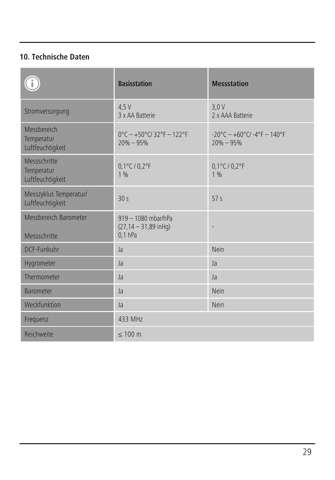# **10. Technische Daten**

|                                                | <b>Basisstation</b>                                                                 | <b>Messstation</b>                                                       |
|------------------------------------------------|-------------------------------------------------------------------------------------|--------------------------------------------------------------------------|
| Stromversorgung                                | 4.5V<br>3 x AA Batterie                                                             | 3.0V<br>2 x AAA Batterie                                                 |
| Messbereich<br>Temperatur<br>Luftfeuchtigkeit  | $0^{\circ}$ C - +50 $^{\circ}$ C/ 32 $^{\circ}$ F - 122 $^{\circ}$ F<br>$20% - 95%$ | $-20^{\circ}$ C - $+60^{\circ}$ C/ $-4^{\circ}$ F - 140°F<br>$20% - 95%$ |
| Messschritte<br>Temperatur<br>Luftfeuchtigkeit | 0,1°C / 0,2°F<br>196                                                                | 0,1°C / 0,2°F<br>1%                                                      |
| Messzyklus Temperatur/<br>Luftfeuchtigkeit     | 30s                                                                                 | 57 <sub>s</sub>                                                          |
| Messbereich Barometer<br>Messschritte          | 919 - 1080 mbar/hPa<br>$(27, 14 - 31, 89$ in Hq)<br>$0.1$ hPa                       |                                                                          |
| DCF-Funkuhr                                    | Ja                                                                                  | Nein                                                                     |
| Hygrometer                                     | $l$ a                                                                               | l <sub>a</sub>                                                           |
| Thermometer                                    | Ja                                                                                  | Ja                                                                       |
| <b>Barometer</b>                               | l <sub>a</sub>                                                                      | Nein                                                                     |
| Weckfunktion                                   | l <sub>a</sub>                                                                      | Nein                                                                     |
| Frequenz                                       | 433 MHz                                                                             |                                                                          |
| Reichweite                                     | $\leq 100$ m                                                                        |                                                                          |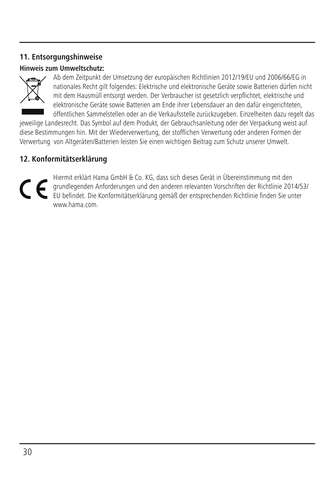### **11. Entsorgungshinweise**

#### **Hinweis zum Umweltschutz:**



Ab dem Zeitpunkt der Umsetzung der europäischen Richtlinien 2012/19/EU und 2006/66/EG in nationales Recht gilt folgendes: Elektrische und elektronische Geräte sowie Batterien dürfen nicht mit dem Hausmüll entsorgt werden. Der Verbraucher ist gesetzlich verpflichtet, elektrische und elektronische Geräte sowie Batterien am Ende ihrer Lebensdauer an den dafür eingerichteten, öffentlichen Sammelstellen oder an die Verkaufsstelle zurückzugeben. Einzelheiten dazu regelt das

jeweilige Landesrecht. Das Symbol auf dem Produkt, der Gebrauchsanleitung oder der Verpackung weist auf diese Bestimmungen hin. Mit der Wiederverwertung, der stofflichen Verwertung oder anderen Formen der Verwertung von Altgeräten/Batterien leisten Sie einen wichtigen Beitrag zum Schutz unserer Umwelt.

### **12. Konformitätserklärung**

Hiermit erklärt Hama GmbH & Co. KG, dass sich dieses Gerät in Übereinstimmung mit den<br>grundlegenden Anforderungen und den anderen relevanten Vorschriften der Richtlinie 2014/53!<br>EU befindet. Die Konformitätserklärung gemäß www.hama.com.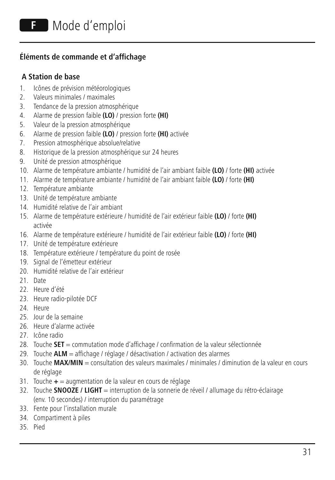# **Éléments de commande et d'affichage**

#### **A Station de base**

- 1. Icônes de prévision météorologiques
- 2. Valeurs minimales / maximales
- 3. Tendance de la pression atmosphérique
- 4. Alarme de pression faible **(LO)** / pression forte **(HI)**
- 5. Valeur de la pression atmosphérique
- 6. Alarme de pression faible **(LO)** / pression forte **(HI)** activée
- 7. Pression atmosphérique absolue/relative
- 8. Historique de la pression atmosphérique sur 24 heures
- 9. Unité de pression atmosphérique
- 10. Alarme de température ambiante / humidité de l'air ambiant faible **(LO)** / forte **(HI)** activée
- 11. Alarme de température ambiante / humidité de l'air ambiant faible **(LO)** / forte **(HI)**
- 12. Température ambiante
- 13. Unité de température ambiante
- 14. Humidité relative de l'air ambiant
- 15. Alarme de température extérieure / humidité de l'air extérieur faible **(LO)** / forte **(HI)** activée
- 16. Alarme de température extérieure / humidité de l'air extérieur faible **(LO)** / forte **(HI)**
- 17. Unité de température extérieure
- 18. Température extérieure / température du point de rosée
- 19. Signal de l'émetteur extérieur
- 20. Humidité relative de l'air extérieur
- 21. Date
- 22. Heure d'été
- 23. Heure radio-pilotée DCF
- 24. Heure
- 25. Jour de la semaine
- 26. Heure d'alarme activée
- 27. Icône radio
- 28. Touche **SET** = commutation mode d'affichage / confirmation de la valeur sélectionnée
- 29. Touche **ALM** = affichage / réglage / désactivation / activation des alarmes
- 30. Touche **MAX/MIN** = consultation des valeurs maximales / minimales / diminution de la valeur en cours de réglage
- 31. Touche **+** = augmentation de la valeur en cours de réglage
- 32. Touche **SNOOZE / LIGHT** = interruption de la sonnerie de réveil / allumage du rétro-éclairage (env. 10 secondes) / interruption du paramétrage
- 33. Fente pour l'installation murale
- 34. Compartiment à piles
- 35. Pied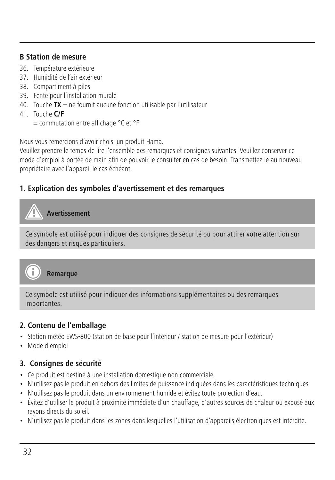#### **B Station de mesure**

- 36. Température extérieure
- 37. Humidité de l'air extérieur
- 38. Compartiment à piles
- 39. Fente pour l'installation murale
- 40. Touche **TX** = ne fournit aucune fonction utilisable par l'utilisateur
- 41. Touche **C/F**
	- = commutation entre affichage °C et °F

Nous vous remercions d'avoir choisi un produit Hama.

Veuillez prendre le temps de lire l'ensemble des remarques et consignes suivantes. Veuillez conserver ce mode d'emploi à portée de main afin de pouvoir le consulter en cas de besoin. Transmettez-le au nouveau propriétaire avec l'appareil le cas échéant.

#### **1. Explication des symboles d'avertissement et des remarques**

# **Avertissement**

Ce symbole est utilisé pour indiquer des consignes de sécurité ou pour attirer votre attention sur des dangers et risques particuliers.



**Remarque**

Ce symbole est utilisé pour indiquer des informations supplémentaires ou des remarques importantes.

#### **2. Contenu de l'emballage**

- Station météo EWS-800 (station de base pour l'intérieur / station de mesure pour l'extérieur)
- Mode d'emploi

#### **3. Consignes de sécurité**

- Ce produit est destiné à une installation domestique non commerciale.
- N'utilisez pas le produit en dehors des limites de puissance indiquées dans les caractéristiques techniques.
- N'utilisez pas le produit dans un environnement humide et évitez toute projection d'eau.
- Évitez d'utiliser le produit à proximité immédiate d'un chauffage, d'autres sources de chaleur ou exposé aux rayons directs du soleil.
- N'utilisez pas le produit dans les zones dans lesquelles l'utilisation d'appareils électroniques est interdite.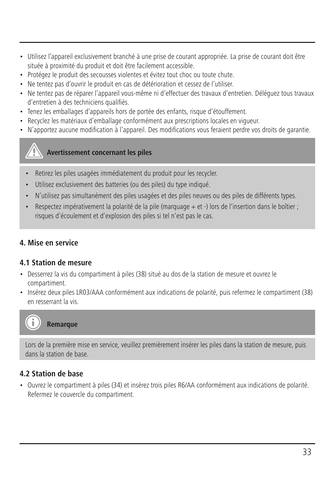- Utilisez l'appareil exclusivement branché à une prise de courant appropriée. La prise de courant doit être située à proximité du produit et doit être facilement accessible.
- Protégez le produit des secousses violentes et évitez tout choc ou toute chute.
- Ne tentez pas d'ouvrir le produit en cas de détérioration et cessez de l'utiliser.
- Ne tentez pas de réparer l'appareil vous-même ni d'effectuer des travaux d'entretien. Déléguez tous travaux d'entretien à des techniciens qualifiés.
- Tenez les emballages d'appareils hors de portée des enfants, risque d'étouffement.
- Recyclez les matériaux d'emballage conformément aux prescriptions locales en vigueur.
- N'apportez aucune modification à l'appareil. Des modifications vous feraient perdre vos droits de garantie.

#### **Avertissement concernant les piles**

- Retirez les piles usagées immédiatement du produit pour les recycler.
- Utilisez exclusivement des batteries (ou des piles) du type indiqué.
- N'utilisez pas simultanément des piles usagées et des piles neuves ou des piles de différents types.
- Respectez impérativement la polarité de la pile (marquage + et -) lors de l'insertion dans le boîtier ; risques d'écoulement et d'explosion des piles si tel n'est pas le cas.

#### **4. Mise en service**

#### **4.1 Station de mesure**

- Desserrez la vis du compartiment à piles (38) situé au dos de la station de mesure et ouvrez le compartiment.
- Insérez deux piles LR03/AAA conformément aux indications de polarité, puis refermez le compartiment (38) en resserrant la vis.



#### **Remarque**

Lors de la première mise en service, veuillez premièrement insérer les piles dans la station de mesure, puis dans la station de base.

#### **4.2 Station de base**

• Ouvrez le compartiment à piles (34) et insérez trois piles R6/AA conformément aux indications de polarité. Refermez le couvercle du compartiment.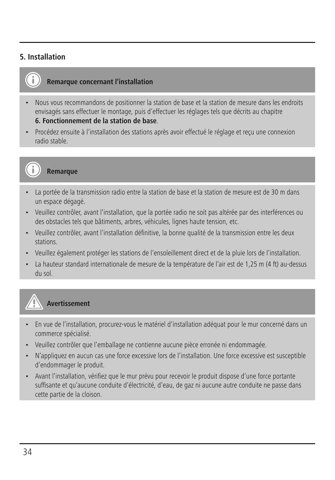#### **5. Installation**



#### **Remarque concernant l'installation**

- Nous vous recommandons de positionner la station de base et la station de mesure dans les endroits envisagés sans effectuer le montage, puis d'effectuer les réglages tels que décrits au chapitre **6. Fonctionnement de la station de base**.
- Procédez ensuite à l'installation des stations après avoir effectué le réglage et reçu une connexion radio stable.



#### **Remarque**

- La portée de la transmission radio entre la station de base et la station de mesure est de 30 m dans un espace dégagé.
- Veuillez contrôler, avant l'installation, que la portée radio ne soit pas altérée par des interférences ou des obstacles tels que bâtiments, arbres, véhicules, lignes haute tension, etc.
- Veuillez contrôler, avant l'installation définitive, la bonne qualité de la transmission entre les deux stations.
- Veuillez également protéger les stations de l'ensoleillement direct et de la pluie lors de l'installation.
- La hauteur standard internationale de mesure de la température de l'air est de 1,25 m (4 ft) au-dessus du sol.

# **Avertissement**

- En vue de l'installation, procurez-vous le matériel d'installation adéquat pour le mur concerné dans un commerce spécialisé.
- Veuillez contrôler que l'emballage ne contienne aucune pièce erronée ni endommagée.
- N'appliquez en aucun cas une force excessive lors de l'installation. Une force excessive est susceptible d'endommager le produit.
- Avant l'installation, vérifiez que le mur prévu pour recevoir le produit dispose d'une force portante suffisante et qu'aucune conduite d'électricité, d'eau, de gaz ni aucune autre conduite ne passe dans cette partie de la cloison.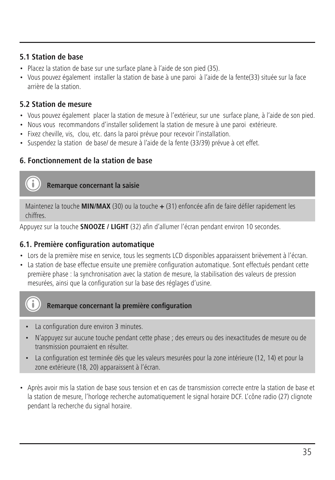#### **5.1 Station de base**

- Placez la station de base sur une surface plane à l'aide de son pied (35).
- Vous pouvez également installer la station de base à une paroi à l'aide de la fente(33) située sur la face arrière de la station.

### **5.2 Station de mesure**

- Vous pouvez également placer la station de mesure à l'extérieur, sur une surface plane, à l'aide de son pied.
- Nous vous recommandons d'installer solidement la station de mesure à une paroi extérieure.
- Fixez cheville, vis, clou, etc. dans la paroi prévue pour recevoir l'installation.
- Suspendez la station de base/ de mesure à l'aide de la fente (33/39) prévue à cet effet.

# **6. Fonctionnement de la station de base**

#### **Remarque concernant la saisie**

Maintenez la touche **MIN/MAX** (30) ou la touche **+** (31) enfoncée afin de faire défiler rapidement les chiffres.

Appuyez sur la touche **SNOOZE / LIGHT** (32) afin d'allumer l'écran pendant environ 10 secondes.

#### **6.1. Première configuration automatique**

- Lors de la première mise en service, tous les segments LCD disponibles apparaissent brièvement à l'écran.
- La station de base effectue ensuite une première configuration automatique. Sont effectués pendant cette première phase : la synchronisation avec la station de mesure, la stabilisation des valeurs de pression mesurées, ainsi que la configuration sur la base des réglages d'usine.



٠î

#### **Remarque concernant la première configuration**

- La configuration dure environ 3 minutes.
- N'appuyez sur aucune touche pendant cette phase ; des erreurs ou des inexactitudes de mesure ou de transmission pourraient en résulter.
- La configuration est terminée dès que les valeurs mesurées pour la zone intérieure (12, 14) et pour la zone extérieure (18, 20) apparaissent à l'écran.
- Après avoir mis la station de base sous tension et en cas de transmission correcte entre la station de base et la station de mesure, l'horloge recherche automatiquement le signal horaire DCF. L'cône radio (27) clignote pendant la recherche du signal horaire.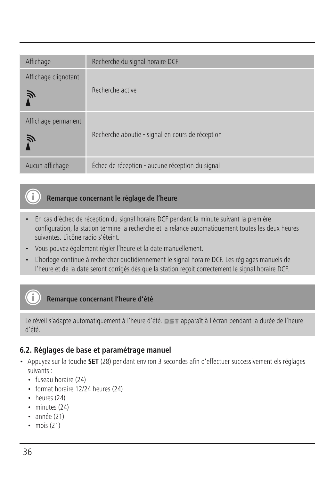| Affichage                 | Recherche du signal horaire DCF                  |
|---------------------------|--------------------------------------------------|
| Affichage clignotant<br>戸 | Recherche active                                 |
| Affichage permanent<br>Ñ  | Recherche aboutie - signal en cours de réception |
| Aucun affichage           | Échec de réception - aucune réception du signal  |

# **Remarque concernant le réglage de l'heure**

- En cas d'échec de réception du signal horaire DCF pendant la minute suivant la première configuration, la station termine la recherche et la relance automatiquement toutes les deux heures suivantes. L'icône radio s'éteint.
- Vous pouvez également régler l'heure et la date manuellement.
- L'horloge continue à rechercher quotidiennement le signal horaire DCF. Les réglages manuels de l'heure et de la date seront corrigés dès que la station reçoit correctement le signal horaire DCF.

# **Remarque concernant l'heure d'été**

Le réveil s'adapte automatiquement à l'heure d'été.  $p \leq r$  apparaît à l'écran pendant la durée de l'heure d'été.

#### **6.2. Réglages de base et paramétrage manuel**

- Appuyez sur la touche **SET** (28) pendant environ 3 secondes afin d'effectuer successivement els réglages suivants :
	- fuseau horaire (24)
	- format horaire 12/24 heures (24)
	- heures (24)
	- minutes (24)
	- année (21)
	- mois (21)

G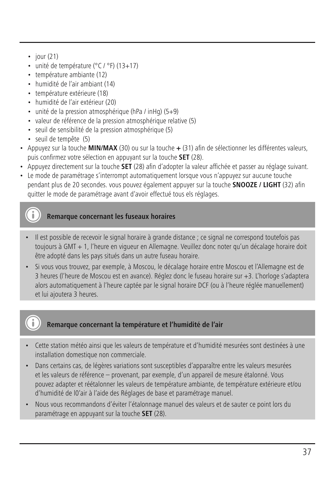- $\cdot$  jour (21)
- unité de température (°C / °F) (13+17)
- température ambiante (12)
- humidité de l'air ambiant (14)
- température extérieure (18)
- humidité de l'air extérieur (20)
- unité de la pression atmosphérique (hPa / inHg) (5+9)
- valeur de référence de la pression atmosphérique relative (5)
- seuil de sensibilité de la pression atmosphérique (5)
- seuil de tempête (5)
- Appuyez sur la touche **MIN/MAX** (30) ou sur la touche **+** (31) afin de sélectionner les différentes valeurs, puis confirmez votre sélection en appuyant sur la touche **SET** (28).
- Appuyez directement sur la touche **SET** (28) afin d'adopter la valeur affichée et passer au réglage suivant.
- Le mode de paramétrage s'interrompt automatiquement lorsque vous n'appuyez sur aucune touche pendant plus de 20 secondes. vous pouvez également appuyer sur la touche **SNOOZE / LIGHT** (32) afin quitter le mode de paramétrage avant d'avoir effectué tous els réglages.

# **Remarque concernant les fuseaux horaires**

- Il est possible de recevoir le signal horaire à grande distance ; ce signal ne correspond toutefois pas toujours à GMT + 1, l'heure en vigueur en Allemagne. Veuillez donc noter qu'un décalage horaire doit être adopté dans les pays situés dans un autre fuseau horaire.
- Si vous vous trouvez, par exemple, à Moscou, le décalage horaire entre Moscou et l'Allemagne est de 3 heures (l'heure de Moscou est en avance). Réglez donc le fuseau horaire sur +3. L'horloge s'adaptera alors automatiquement à l'heure captée par le signal horaire DCF (ou à l'heure réglée manuellement) et lui ajoutera 3 heures.

# **Remarque concernant la température et l'humidité de l'air**

- Cette station météo ainsi que les valeurs de température et d'humidité mesurées sont destinées à une installation domestique non commerciale.
- Dans certains cas, de légères variations sont susceptibles d'apparaître entre les valeurs mesurées et les valeurs de référence – provenant, par exemple, d'un appareil de mesure étalonné. Vous pouvez adapter et réétalonner les valeurs de température ambiante, de température extérieure et/ou d'humidité de l0'air à l'aide des Réglages de base et paramétrage manuel.
- Nous vous recommandons d'éviter l'étalonnage manuel des valeurs et de sauter ce point lors du paramétrage en appuyant sur la touche **SET** (28).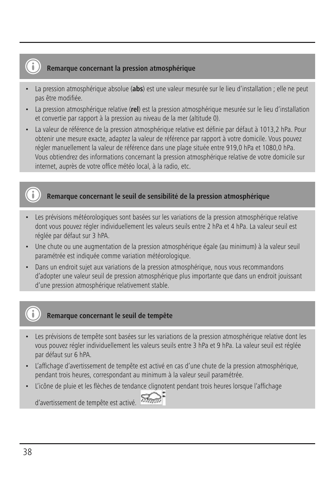# **Remarque concernant la pression atmosphérique**

- La pression atmosphérique absolue (**abs**) est une valeur mesurée sur le lieu d'installation ; elle ne peut pas être modifiée.
- La pression atmosphérique relative (**rel**) est la pression atmosphérique mesurée sur le lieu d'installation et convertie par rapport à la pression au niveau de la mer (altitude 0).
- La valeur de référence de la pression atmosphérique relative est définie par défaut à 1013,2 hPa. Pour obtenir une mesure exacte, adaptez la valeur de référence par rapport à votre domicile. Vous pouvez régler manuellement la valeur de référence dans une plage située entre 919,0 hPa et 1080,0 hPa. Vous obtiendrez des informations concernant la pression atmosphérique relative de votre domicile sur internet, auprès de votre office météo local, à la radio, etc.

# **Remarque concernant le seuil de sensibilité de la pression atmosphérique**

- Les prévisions météorologiques sont basées sur les variations de la pression atmosphérique relative dont vous pouvez régler individuellement les valeurs seuils entre 2 hPa et 4 hPa. La valeur seuil est réglée par défaut sur 3 hPA.
- Une chute ou une augmentation de la pression atmosphérique égale (au minimum) à la valeur seuil paramétrée est indiquée comme variation météorologique.
- Dans un endroit sujet aux variations de la pression atmosphérique, nous vous recommandons d'adopter une valeur seuil de pression atmosphérique plus importante que dans un endroit jouissant d'une pression atmosphérique relativement stable.



# **Remarque concernant le seuil de tempête**

- Les prévisions de tempête sont basées sur les variations de la pression atmosphérique relative dont les vous pouvez régler individuellement les valeurs seuils entre 3 hPa et 9 hPa. La valeur seuil est réglée par défaut sur 6 hPA.
- L'affichage d'avertissement de tempête est activé en cas d'une chute de la pression atmosphérique, pendant trois heures, correspondant au minimum à la valeur seuil paramétrée.
- L'icône de pluie et les flèches de tendance clignotent pendant trois heures lorsque l'affichage



38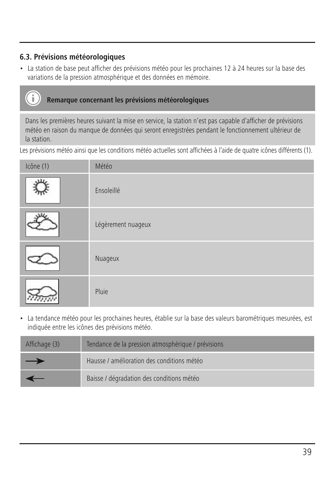# **6.3. Prévisions météorologiques**

• La station de base peut afficher des prévisions météo pour les prochaines 12 à 24 heures sur la base des variations de la pression atmosphérique et des données en mémoire.

# **Remarque concernant les prévisions météorologiques**

Dans les premières heures suivant la mise en service, la station n'est pas capable d'afficher de prévisions météo en raison du manque de données qui seront enregistrées pendant le fonctionnement ultérieur de la station.

Les prévisions météo ainsi que les conditions météo actuelles sont affichées à l'aide de quatre icônes différents (1).

| Icône (1) | Météo              |
|-----------|--------------------|
|           | Ensoleillé         |
|           | Légèrement nuageux |
|           | Nuageux            |
|           | Pluie              |

• La tendance météo pour les prochaines heures, établie sur la base des valeurs barométriques mesurées, est indiquée entre les icônes des prévisions météo.

| Affichage (3) | Tendance de la pression atmosphérique / prévisions |
|---------------|----------------------------------------------------|
| $\rightarrow$ | Hausse / amélioration des conditions météo         |
|               | Baisse / dégradation des conditions météo          |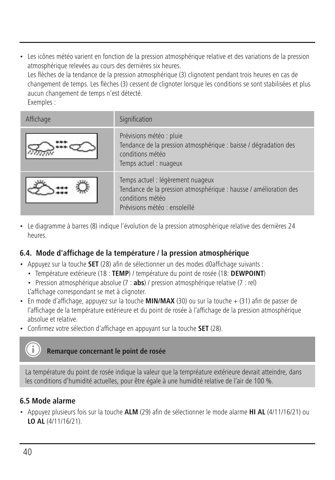• Les icônes météo varient en fonction de la pression atmosphérique relative et des variations de la pression atmosphérique relevées au cours des dernières six heures. Les flèches de la tendance de la pression atmosphérique (3) clignotent pendant trois heures en cas de changement de temps. Les flèches (3) cessent de clignoter lorsque les conditions se sont stabilisées et plus aucun changement de temps n'est détecté. Exemples :

| Affichage | Signification                                                                                                                                               |
|-----------|-------------------------------------------------------------------------------------------------------------------------------------------------------------|
|           | Prévisions météo : pluie<br>Tendance de la pression atmosphérique : baisse / dégradation des<br>conditions météo<br>Temps actuel: nuageux                   |
|           | Temps actuel : légèrement nuageux<br>Tendance de la pression atmosphérique : hausse / amélioration des<br>conditions météo<br>Prévisions météo : ensoleillé |

• Le diagramme à barres (8) indique l'évolution de la pression atmosphérique relative des dernières 24 heures.

#### **6.4. Mode d'affichage de la température / la pression atmosphérique**

- Appuyez sur la touche **SET** (28) afin de sélectionner un des modes d0affichage suivants :
	- Température extérieure (18 : **TEMP**) / température du point de rosée (18: **DEWPOINT**)
	- Pression atmosphérique absolue (7 : **abs**) / pression atmosphérique relative (7 : rel) L'affichage correspondant se met à clignoter.
- $\cdot$  Fn mode d'affichage, appuyez sur la touche **MIN/MAX** (30) ou sur la touche  $\pm$  (31) afin de passer de l'affichage de la température extérieure et du point de rosée à l'affichage de la pression atmosphérique absolue et relative.
- Confirmez votre sélection d'affichage en appuyant sur la touche **SET** (28).

#### **Remarque concernant le point de rosée**

La température du point de rosée indique la valeur que la tempréature extérieure devrait atteindre, dans les conditions d'humidité actuelles, pour être égale à une humidité relative de l'air de 100 %.

## **6.5 Mode alarme**

• Appuyez plusieurs fois sur la touche **ALM** (29) afin de sélectionner le mode alarme **HI AL** (4/11/16/21) ou **LO AL** (4/11/16/21).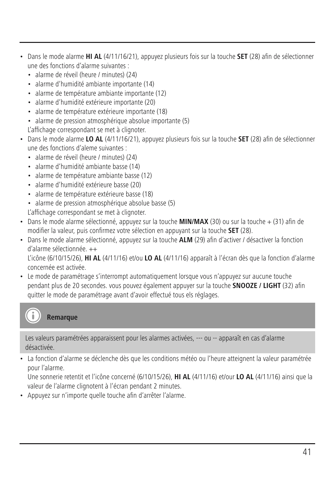- Dans le mode alarme **HI AL** (4/11/16/21), appuyez plusieurs fois sur la touche **SET** (28) afin de sélectionner une des fonctions d'alarme suivantes :
	- alarme de réveil (heure / minutes) (24)
	- alarme d'humidité ambiante importante (14)
	- alarme de température ambiante importante (12)
	- alarme d'humidité extérieure importante (20)
	- alarme de température extérieure importante (18)
	- alarme de pression atmosphérique absolue importante (5)
	- L'affichage correspondant se met à clignoter.
- Dans le mode alarme **LO AL** (4/11/16/21), appuyez plusieurs fois sur la touche **SET** (28) afin de sélectionner une des fonctions d'aleme suivantes :
	- alarme de réveil (heure / minutes) (24)
	- alarme d'humidité ambiante basse (14)
	- alarme de température ambiante basse (12)
	- alarme d'humidité extérieure basse (20)
	- alarme de température extérieure basse (18)
	- alarme de pression atmosphérique absolue basse (5)

L'affichage correspondant se met à clignoter.

- Dans le mode alarme sélectionné, appuyez sur la touche **MIN/MAX** (30) ou sur la touche + (31) afin de modifier la valeur, puis confirmez votre sélection en appuyant sur la touche **SET** (28).
- Dans le mode alarme sélectionné, appuyez sur la touche **ALM** (29) afin d'activer / désactiver la fonction d'alarme sélectionnée. ++

L'icône (6/10/15/26), **HI AL** (4/11/16) et/ou **LO AL** (4/11/16) apparaît à l'écran dès que la fonction d'alarme concernée est activée.

• Le mode de paramétrage s'interrompt automatiquement lorsque vous n'appuyez sur aucune touche pendant plus de 20 secondes. vous pouvez également appuyer sur la touche **SNOOZE / LIGHT** (32) afin quitter le mode de paramétrage avant d'avoir effectué tous els réglages.

# **Remarque**

Les valeurs paramétrées apparaissent pour les alarmes activées, --- ou -- apparaît en cas d'alarme désactivée.

• La fonction d'alarme se déclenche dès que les conditions météo ou l'heure atteignent la valeur paramétrée pour l'alarme.

Une sonnerie retentit et l'icône concerné (6/10/15/26), **HI AL** (4/11/16) et/our **LO AL** (4/11/16) ainsi que la valeur de l'alarme clignotent à l'écran pendant 2 minutes.

• Appuyez sur n'importe quelle touche afin d'arrêter l'alarme.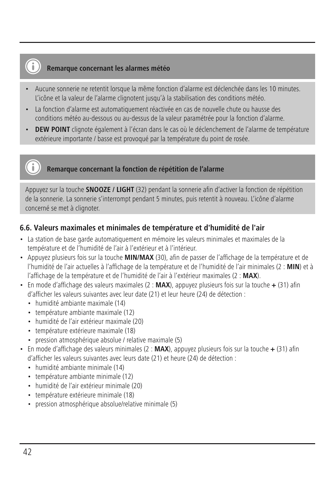# **Remarque concernant les alarmes météo**

- Aucune sonnerie ne retentit lorsque la même fonction d'alarme est déclenchée dans les 10 minutes. L'icône et la valeur de l'alarme clignotent jusqu'à la stabilisation des conditions météo.
- La fonction d'alarme est automatiquement réactivée en cas de nouvelle chute ou hausse des conditions météo au-dessous ou au-dessus de la valeur paramétrée pour la fonction d'alarme.
- **DEW POINT** clignote également à l'écran dans le cas où le déclenchement de l'alarme de température extérieure importante / basse est provoqué par la température du point de rosée.

## **Remarque concernant la fonction de répétition de l'alarme**

Appuyez sur la touche **SNOOZE / LIGHT** (32) pendant la sonnerie afin d'activer la fonction de répétition de la sonnerie. La sonnerie s'interrompt pendant 5 minutes, puis retentit à nouveau. L'icône d'alarme concerné se met à clignoter.

#### **6.6. Valeurs maximales et minimales de température et d'humidité de l'air**

- La station de base garde automatiquement en mémoire les valeurs minimales et maximales de la température et de l'humidité de l'air à l'extérieur et à l'intérieur.
- Appuyez plusieurs fois sur la touche **MIN/MAX** (30), afin de passer de l'affichage de la température et de l'humidité de l'air actuelles à l'affichage de la température et de l'humidité de l'air minimales (2 : **MIN**) et à l'affichage de la température et de l'humidité de l'air à l'extérieur maximales (2 : **MAX**).
- En mode d'affichage des valeurs maximales (2 : **MAX**), appuyez plusieurs fois sur la touche **+** (31) afin d'afficher les valeurs suivantes avec leur date (21) et leur heure (24) de détection :
	- humidité ambiante maximale (14)
	- température ambiante maximale (12)
	- humidité de l'air extérieur maximale (20)
	- température extérieure maximale (18)
	- pression atmosphérique absolue / relative maximale (5)
- En mode d'affichage des valeurs minimales (2 : **MAX**), appuyez plusieurs fois sur la touche **+** (31) afin d'afficher les valeurs suivantes avec leurs date (21) et heure (24) de détection :
	- humidité ambiante minimale (14)
	- température ambiante minimale (12)
	- humidité de l'air extérieur minimale (20)
	- température extérieure minimale (18)
	- pression atmosphérique absolue/relative minimale (5)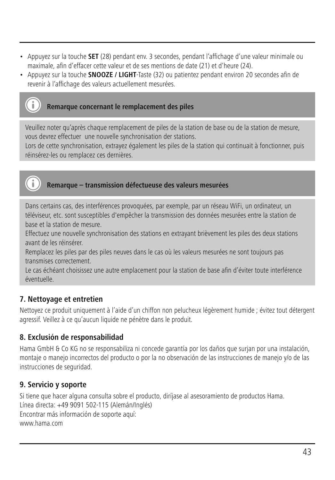- Appuyez sur la touche **SET** (28) pendant env. 3 secondes, pendant l'affichage d'une valeur minimale ou maximale, afin d'effacer cette valeur et de ses mentions de date (21) et d'heure (24).
- Appuyez sur la touche **SNOOZE / LIGHT**-Taste (32) ou patientez pendant environ 20 secondes afin de revenir à l'affichage des valeurs actuellement mesurées.



#### **Remarque concernant le remplacement des piles**

Veuillez noter qu'après chaque remplacement de piles de la station de base ou de la station de mesure, vous devrez effectuer une nouvelle synchronisation der stations.

Lors de cette synchronisation, extrayez également les piles de la station qui continuait à fonctionner, puis réinsérez-les ou remplacez ces dernières.



# **Remarque – transmission défectueuse des valeurs mesurées**

Dans certains cas, des interférences provoquées, par exemple, par un réseau WiFi, un ordinateur, un téléviseur, etc. sont susceptibles d'empêcher la transmission des données mesurées entre la station de base et la station de mesure.

Effectuez une nouvelle synchronisation des stations en extrayant brièvement les piles des deux stations avant de les réinsérer.

Remplacez les piles par des piles neuves dans le cas où les valeurs mesurées ne sont toujours pas transmises correctement.

Le cas échéant choisissez une autre emplacement pour la station de base afin d'éviter toute interférence éventuelle.

#### **7. Nettoyage et entretien**

Nettoyez ce produit uniquement à l'aide d'un chiffon non pelucheux légèrement humide ; évitez tout détergent agressif. Veillez à ce qu'aucun liquide ne pénètre dans le produit.

# **8. Exclusión de responsabilidad**

Hama GmbH & Co KG no se responsabiliza ni concede garantía por los daños que surjan por una instalación, montaje o manejo incorrectos del producto o por la no observación de las instrucciones de manejo y/o de las instrucciones de seguridad.

#### **9. Servicio y soporte**

Si tiene que hacer alguna consulta sobre el producto, diríjase al asesoramiento de productos Hama. Línea directa: +49 9091 502-115 (Alemán/Inglés) Encontrar más información de soporte aquí: www.hama.com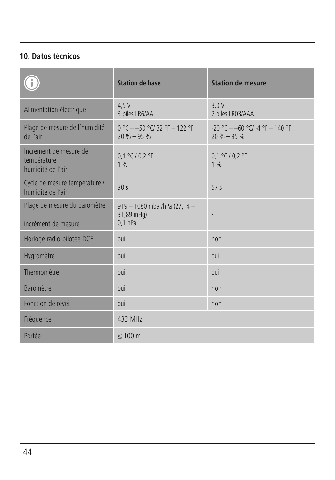# **10. Datos técnicos**

|                                                            | <b>Station de base</b>                                   | <b>Station de mesure</b>                                 |
|------------------------------------------------------------|----------------------------------------------------------|----------------------------------------------------------|
| Alimentation électrique                                    | 4.5V<br>3 piles LR6/AA                                   | 3.0V<br>2 piles LR03/AAA                                 |
| Plage de mesure de l'humidité<br>de l'air                  | $0 °C + 50 °C$ 32 °F $- 122 °F$<br>$20% - 95%$           | $-20$ °C $-+60$ °C/ $-4$ °F $-140$ °F<br>$20 \% - 95 \%$ |
| Incrément de mesure de<br>température<br>humidité de l'air | 0,1 °C / 0,2 °F<br>1 <sub>9h</sub>                       | 0.1 °C / 0.2 °F<br>1%                                    |
| Cycle de mesure température /<br>humidité de l'air         | 30s                                                      | 57s                                                      |
| Plage de mesure du baromètre<br>incrément de mesure        | 919 - 1080 mbar/hPa (27,14 -<br>31,89 inHq)<br>$0,1$ hPa | ٠                                                        |
| Horloge radio-pilotée DCF                                  | oui                                                      | non                                                      |
| Hygromètre                                                 | oui                                                      | oui                                                      |
| Thermomètre                                                | oui                                                      | 011                                                      |
| Baromètre                                                  | oui                                                      | non                                                      |
| Fonction de réveil                                         | oui                                                      | non                                                      |
| Fréquence                                                  | 433 MHz                                                  |                                                          |
| Portée                                                     | $\leq 100$ m                                             |                                                          |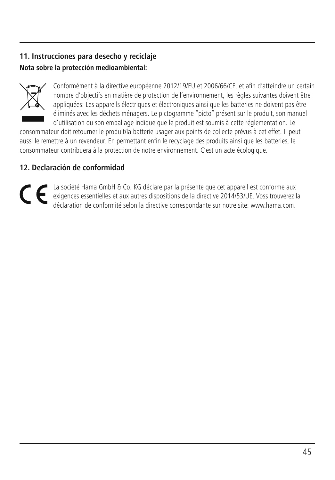# **11. Instrucciones para desecho y reciclaje Nota sobre la protección medioambiental:**



Conformément à la directive européenne 2012/19/EU et 2006/66/CE, et afin d'atteindre un certain nombre d'objectifs en matière de protection de l'environnement, les règles suivantes doivent être appliquées: Les appareils électriques et électroniques ainsi que les batteries ne doivent pas être éliminés avec les déchets ménagers. Le pictogramme "picto" présent sur le produit, son manuel d'utilisation ou son emballage indique que le produit est soumis à cette réglementation. Le

consommateur doit retourner le produit/la batterie usager aux points de collecte prévus à cet effet. Il peut aussi le remettre à un revendeur. En permettant enfin le recyclage des produits ainsi que les batteries, le consommateur contribuera à la protection de notre environnement. C'est un acte écologique.

# **12. Declaración de conformidad**

La société Hama GmbH & Co. KG déclare par la présente que cet appareil est conforme aux<br>exigences essentielles et aux autres dispositions de la directive 2014/53/UE. Voss trouverez la<br>déclaration de conformité selon la dir CE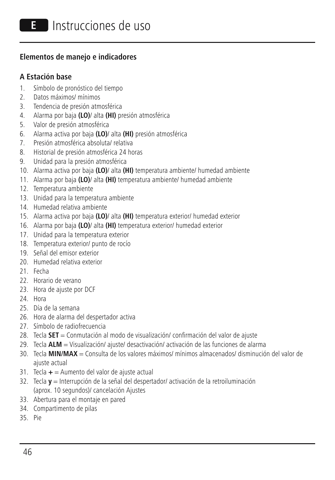#### **Elementos de manejo e indicadores**

#### **A Estación base**

- 1. Símbolo de pronóstico del tiempo
- 2. Datos máximos/ mínimos
- 3. Tendencia de presión atmosférica
- 4. Alarma por baja **(LO)**/ alta **(HI)** presión atmosférica
- 5. Valor de presión atmosférica
- 6. Alarma activa por baja **(LO)**/ alta **(HI)** presión atmosférica
- 7. Presión atmosférica absoluta/ relativa
- 8. Historial de presión atmosférica 24 horas
- 9. Unidad para la presión atmosférica
- 10. Alarma activa por baja **(LO)**/ alta **(HI)** temperatura ambiente/ humedad ambiente
- 11. Alarma por baja **(LO)**/ alta **(HI)** temperatura ambiente/ humedad ambiente
- 12. Temperatura ambiente
- 13. Unidad para la temperatura ambiente
- 14. Humedad relativa ambiente
- 15. Alarma activa por baja **(LO)**/ alta **(HI)** temperatura exterior/ humedad exterior
- 16. Alarma por baja **(LO)**/ alta **(HI)** temperatura exterior/ humedad exterior
- 17. Unidad para la temperatura exterior
- 18. Temperatura exterior/ punto de rocío
- 19. Señal del emisor exterior
- 20. Humedad relativa exterior
- 21. Fecha
- 22. Horario de verano
- 23. Hora de ajuste por DCF
- 24. Hora
- 25. Día de la semana
- 26. Hora de alarma del despertador activa
- 27. Símbolo de radiofrecuencia
- 28. Tecla **SET** = Conmutación al modo de visualización/ confirmación del valor de ajuste
- 29. Tecla **ALM** = Visualización/ ajuste/ desactivación/ activación de las funciones de alarma
- 30. Tecla **MIN/MAX** = Consulta de los valores máximos/ mínimos almacenados/ disminución del valor de ajuste actual
- 31. Tecla **+** = Aumento del valor de ajuste actual
- 32. Tecla **y** = Interrupción de la señal del despertador/ activación de la retroiluminación (aprox. 10 segundos)/ cancelación Ajustes
- 33. Abertura para el montaje en pared
- 34. Compartimento de pilas
- 35. Pie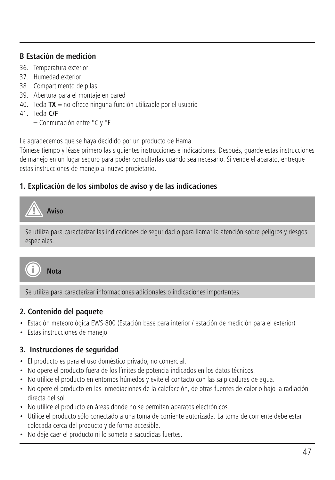# **B Estación de medición**

- 36. Temperatura exterior
- 37. Humedad exterior
- 38. Compartimento de pilas
- 39. Abertura para el montaje en pared
- 40. Tecla **TX** = no ofrece ninguna función utilizable por el usuario
- 41. Tecla **C/F**

= Conmutación entre °C y °F

Le agradecemos que se haya decidido por un producto de Hama.

Tómese tiempo y léase primero las siguientes instrucciones e indicaciones. Después, guarde estas instrucciones de manejo en un lugar seguro para poder consultarlas cuando sea necesario. Si vende el aparato, entregue estas instrucciones de manejo al nuevo propietario.

# **1. Explicación de los símbolos de aviso y de las indicaciones**



Se utiliza para caracterizar informaciones adicionales o indicaciones importantes.

#### **2. Contenido del paquete**

- Estación meteorológica EWS-800 (Estación base para interior / estación de medición para el exterior)
- Estas instrucciones de manejo

# **3. Instrucciones de seguridad**

- El producto es para el uso doméstico privado, no comercial.
- No opere el producto fuera de los límites de potencia indicados en los datos técnicos.
- No utilice el producto en entornos húmedos y evite el contacto con las salpicaduras de agua.
- No opere el producto en las inmediaciones de la calefacción, de otras fuentes de calor o bajo la radiación directa del sol.
- No utilice el producto en áreas donde no se permitan aparatos electrónicos.
- Utilice el producto sólo conectado a una toma de corriente autorizada. La toma de corriente debe estar colocada cerca del producto y de forma accesible.
- No deje caer el producto ni lo someta a sacudidas fuertes.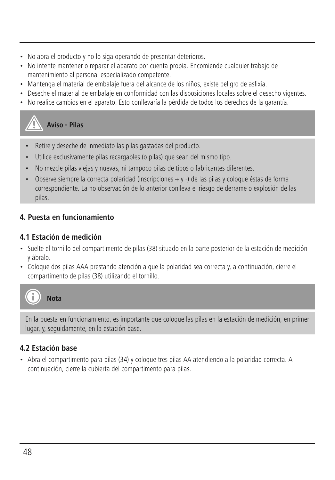- No abra el producto y no lo siga operando de presentar deterioros.
- No intente mantener o reparar el aparato por cuenta propia. Encomiende cualquier trabajo de mantenimiento al personal especializado competente.
- Mantenga el material de embalaje fuera del alcance de los niños, existe peligro de asfixia.
- Deseche el material de embalaje en conformidad con las disposiciones locales sobre el desecho vigentes.
- No realice cambios en el aparato. Esto conllevaría la pérdida de todos los derechos de la garantía.

**Aviso - Pilas**

- Retire y deseche de inmediato las pilas gastadas del producto.
- Utilice exclusivamente pilas recargables (o pilas) que sean del mismo tipo.
- No mezcle pilas viejas y nuevas, ni tampoco pilas de tipos o fabricantes diferentes.
- Observe siempre la correcta polaridad (inscripciones  $+$  y -) de las pilas y coloque éstas de forma correspondiente. La no observación de lo anterior conlleva el riesgo de derrame o explosión de las pilas.

# **4. Puesta en funcionamiento**

### **4.1 Estación de medición**

- Suelte el tornillo del compartimento de pilas (38) situado en la parte posterior de la estación de medición y ábralo.
- Coloque dos pilas AAA prestando atención a que la polaridad sea correcta y, a continuación, cierre el compartimento de pilas (38) utilizando el tornillo.



En la puesta en funcionamiento, es importante que coloque las pilas en la estación de medición, en primer lugar, y, seguidamente, en la estación base.

# **4.2 Estación base**

• Abra el compartimento para pilas (34) y coloque tres pilas AA atendiendo a la polaridad correcta. A continuación, cierre la cubierta del compartimento para pilas.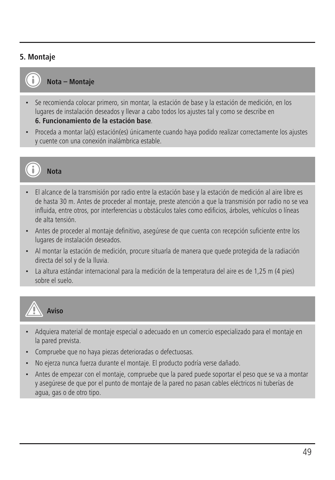# **5. Montaje**



**Nota – Montaje**

- Se recomienda colocar primero, sin montar, la estación de base y la estación de medición, en los lugares de instalación deseados y llevar a cabo todos los ajustes tal y como se describe en **6. Funcionamiento de la estación base**.
- Proceda a montar la(s) estación(es) únicamente cuando haya podido realizar correctamente los ajustes y cuente con una conexión inalámbrica estable.



# **Nota**

- El alcance de la transmisión por radio entre la estación base y la estación de medición al aire libre es de hasta 30 m. Antes de proceder al montaje, preste atención a que la transmisión por radio no se vea influida, entre otros, por interferencias u obstáculos tales como edificios, árboles, vehículos o líneas de alta tensión.
- Antes de proceder al montaje definitivo, asegúrese de que cuenta con recepción suficiente entre los lugares de instalación deseados.
- Al montar la estación de medición, procure situarla de manera que quede protegida de la radiación directa del sol y de la lluvia.
- La altura estándar internacional para la medición de la temperatura del aire es de 1,25 m (4 pies) sobre el suelo.



- Adquiera material de montaje especial o adecuado en un comercio especializado para el montaje en la pared prevista.
- Compruebe que no haya piezas deterioradas o defectuosas.
- No ejerza nunca fuerza durante el montaje. El producto podría verse dañado.
- Antes de empezar con el montaje, compruebe que la pared puede soportar el peso que se va a montar y asegúrese de que por el punto de montaje de la pared no pasan cables eléctricos ni tuberías de agua, gas o de otro tipo.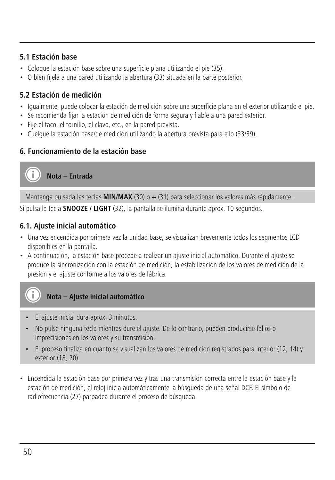# **5.1 Estación base**

- Coloque la estación base sobre una superficie plana utilizando el pie (35).
- O bien fíjela a una pared utilizando la abertura (33) situada en la parte posterior.

# **5.2 Estación de medición**

- Igualmente, puede colocar la estación de medición sobre una superficie plana en el exterior utilizando el pie.
- Se recomienda fijar la estación de medición de forma segura y fiable a una pared exterior.
- Fije el taco, el tornillo, el clavo, etc., en la pared prevista.
- Cuelgue la estación base/de medición utilizando la abertura prevista para ello (33/39).

# **6. Funcionamiento de la estación base**

**Nota – Entrada**

Mantenga pulsada las teclas **MIN/MAX** (30) o **+** (31) para seleccionar los valores más rápidamente.

Si pulsa la tecla **SNOOZE / LIGHT** (32), la pantalla se ilumina durante aprox. 10 segundos.

# **6.1. Ajuste inicial automático**

- Una vez encendida por primera vez la unidad base, se visualizan brevemente todos los segmentos LCD disponibles en la pantalla.
- A continuación, la estación base procede a realizar un ajuste inicial automático. Durante el ajuste se produce la sincronización con la estación de medición, la estabilización de los valores de medición de la presión y el ajuste conforme a los valores de fábrica.



**Nota – Ajuste inicial automático**

- El ajuste inicial dura aprox. 3 minutos.
- No pulse ninguna tecla mientras dure el ajuste. De lo contrario, pueden producirse fallos o imprecisiones en los valores y su transmisión.
- El proceso finaliza en cuanto se visualizan los valores de medición registrados para interior (12, 14) y exterior (18, 20).
- Encendida la estación base por primera vez y tras una transmisión correcta entre la estación base y la estación de medición, el reloj inicia automáticamente la búsqueda de una señal DCF. El símbolo de radiofrecuencia (27) parpadea durante el proceso de búsqueda.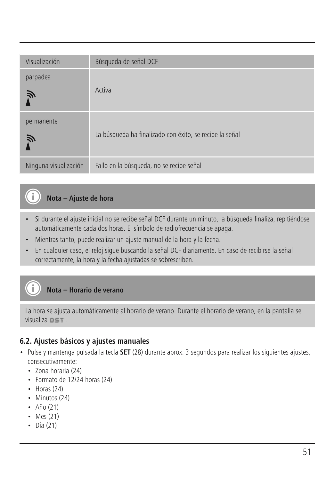| Visualización         | Búsqueda de señal DCF                                   |
|-----------------------|---------------------------------------------------------|
| parpadea<br>Ñ         | Activa                                                  |
| permanente<br>戸       | La búsqueda ha finalizado con éxito, se recibe la señal |
| Ninguna visualización | Fallo en la búsqueda, no se recibe señal                |

# **Nota – Ajuste de hora**

- Si durante el ajuste inicial no se recibe señal DCF durante un minuto, la búsqueda finaliza, repitiéndose automáticamente cada dos horas. El símbolo de radiofrecuencia se apaga.
- Mientras tanto, puede realizar un ajuste manual de la hora y la fecha.
- En cualquier caso, el reloj sigue buscando la señal DCF diariamente. En caso de recibirse la señal correctamente, la hora y la fecha ajustadas se sobrescriben.

### **Nota – Horario de verano**

La hora se ajusta automáticamente al horario de verano. Durante el horario de verano, en la pantalla se visualiza  $n \leq r$ .

# **6.2. Ajustes básicos y ajustes manuales**

- Pulse y mantenga pulsada la tecla **SET** (28) durante aprox. 3 segundos para realizar los siguientes ajustes, consecutivamente:
	- Zona horaria (24)
	- Formato de 12/24 horas (24)
	- Horas (24)
	- Minutos (24)
	- Año (21)
	- Mes (21)
	- Día (21)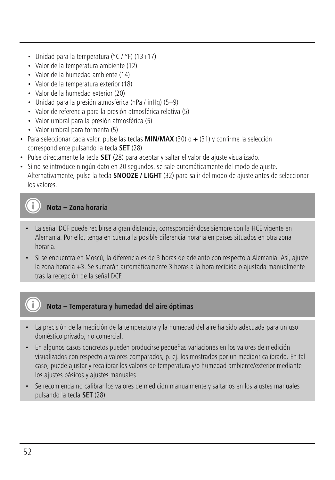- Unidad para la temperatura (°C / °F) (13+17)
- Valor de la temperatura ambiente (12)
- Valor de la humedad ambiente (14)
- Valor de la temperatura exterior (18)
- Valor de la humedad exterior (20)
- Unidad para la presión atmosférica (hPa / inHg) (5+9)
- Valor de referencia para la presión atmosférica relativa (5)
- Valor umbral para la presión atmosférica (5)
- Valor umbral para tormenta (5)
- Para seleccionar cada valor, pulse las teclas **MIN/MAX** (30) o **+** (31) y confirme la selección correspondiente pulsando la tecla **SET** (28).
- Pulse directamente la tecla **SET** (28) para aceptar y saltar el valor de ajuste visualizado.
- Si no se introduce ningún dato en 20 segundos, se sale automáticamente del modo de ajuste. Alternativamente, pulse la tecla **SNOOZE / LIGHT** (32) para salir del modo de ajuste antes de seleccionar los valores.

**Nota – Zona horaria**

- La señal DCF puede recibirse a gran distancia, correspondiéndose siempre con la HCE vigente en Alemania. Por ello, tenga en cuenta la posible diferencia horaria en países situados en otra zona horaria.
- Si se encuentra en Moscú, la diferencia es de 3 horas de adelanto con respecto a Alemania. Así, ajuste la zona horaria +3. Se sumarán automáticamente 3 horas a la hora recibida o ajustada manualmente tras la recepción de la señal DCF.

# **Nota – Temperatura y humedad del aire óptimas**

- La precisión de la medición de la temperatura y la humedad del aire ha sido adecuada para un uso doméstico privado, no comercial.
- En algunos casos concretos pueden producirse pequeñas variaciones en los valores de medición visualizados con respecto a valores comparados, p. ej. los mostrados por un medidor calibrado. En tal caso, puede ajustar y recalibrar los valores de temperatura y/o humedad ambiente/exterior mediante los ajustes básicos y ajustes manuales.
- Se recomienda no calibrar los valores de medición manualmente y saltarlos en los ajustes manuales pulsando la tecla **SET** (28).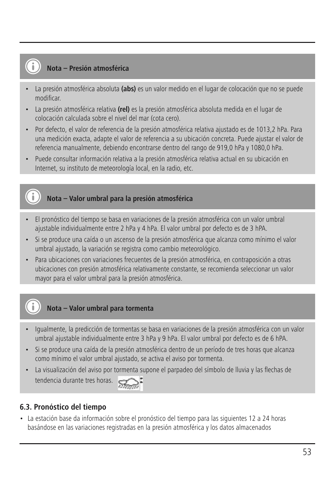#### **Nota – Presión atmosférica**

- La presión atmosférica absoluta **(abs)** es un valor medido en el lugar de colocación que no se puede modificar.
- La presión atmosférica relativa **(rel)** es la presión atmosférica absoluta medida en el lugar de colocación calculada sobre el nivel del mar (cota cero).
- Por defecto, el valor de referencia de la presión atmosférica relativa ajustado es de 1013,2 hPa. Para una medición exacta, adapte el valor de referencia a su ubicación concreta. Puede ajustar el valor de referencia manualmente, debiendo encontrarse dentro del rango de 919,0 hPa y 1080,0 hPa.
- Puede consultar información relativa a la presión atmosférica relativa actual en su ubicación en Internet, su instituto de meteorología local, en la radio, etc.

# **Nota – Valor umbral para la presión atmosférica**

- El pronóstico del tiempo se basa en variaciones de la presión atmosférica con un valor umbral ajustable individualmente entre 2 hPa y 4 hPa. El valor umbral por defecto es de 3 hPA.
- Si se produce una caída o un ascenso de la presión atmosférica que alcanza como mínimo el valor umbral ajustado, la variación se registra como cambio meteorológico.
- Para ubicaciones con variaciones frecuentes de la presión atmosférica, en contraposición a otras ubicaciones con presión atmosférica relativamente constante, se recomienda seleccionar un valor mayor para el valor umbral para la presión atmosférica.

# **Nota – Valor umbral para tormenta**

- Igualmente, la predicción de tormentas se basa en variaciones de la presión atmosférica con un valor umbral ajustable individualmente entre 3 hPa y 9 hPa. El valor umbral por defecto es de 6 hPA.
- Si se produce una caída de la presión atmosférica dentro de un período de tres horas que alcanza como mínimo el valor umbral ajustado, se activa el aviso por tormenta.
- La visualización del aviso por tormenta supone el parpadeo del símbolo de lluvia y las flechas de tendencia durante tres horas.



# **6.3. Pronóstico del tiempo**

• La estación base da información sobre el pronóstico del tiempo para las siguientes 12 a 24 horas basándose en las variaciones registradas en la presión atmosférica y los datos almacenados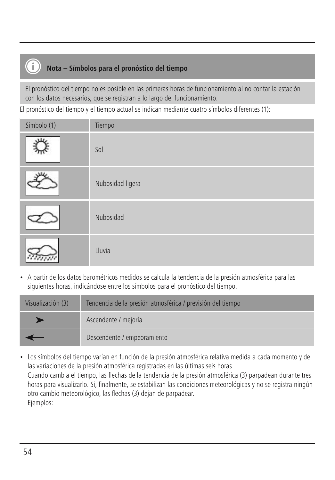# **Nota – Símbolos para el pronóstico del tiempo**

El pronóstico del tiempo no es posible en las primeras horas de funcionamiento al no contar la estación con los datos necesarios, que se registran a lo largo del funcionamiento.

El pronóstico del tiempo y el tiempo actual se indican mediante cuatro símbolos diferentes (1):

| Símbolo (1) | Tiempo           |
|-------------|------------------|
| $x_{1x}$    | Sol              |
|             | Nubosidad ligera |
|             | Nubosidad        |
|             | Lluvia           |

• A partir de los datos barométricos medidos se calcula la tendencia de la presión atmosférica para las siguientes horas, indicándose entre los símbolos para el pronóstico del tiempo.

| Visualización (3) | Tendencia de la presión atmosférica / previsión del tiempo |
|-------------------|------------------------------------------------------------|
| —                 | Ascendente / mejoría                                       |
|                   | Descendente / empeoramiento                                |

• Los símbolos del tiempo varían en función de la presión atmosférica relativa medida a cada momento y de las variaciones de la presión atmosférica registradas en las últimas seis horas. Cuando cambia el tiempo, las flechas de la tendencia de la presión atmosférica (3) parpadean durante tres horas para visualizarlo. Si, finalmente, se estabilizan las condiciones meteorológicas y no se registra ningún otro cambio meteorológico, las flechas (3) dejan de parpadear. Ejemplos: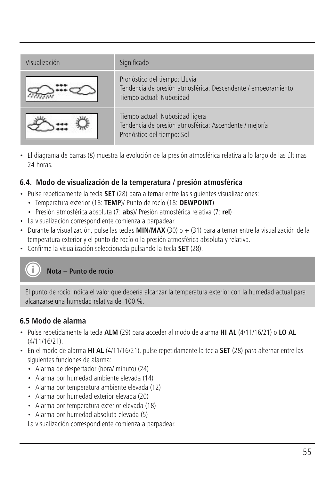| Visualización | Significado                                                                                                                |
|---------------|----------------------------------------------------------------------------------------------------------------------------|
|               | Pronóstico del tiempo: Lluvia<br>Tendencia de presión atmosférica: Descendente / empeoramiento<br>Tiempo actual: Nubosidad |
|               | Tiempo actual: Nubosidad ligera<br>Tendencia de presión atmosférica: Ascendente / mejoría<br>Pronóstico del tiempo: Sol    |

• El diagrama de barras (8) muestra la evolución de la presión atmosférica relativa a lo largo de las últimas 24 horas.

# **6.4. Modo de visualización de la temperatura / presión atmosférica**

- Pulse repetidamente la tecla **SET** (28) para alternar entre las siguientes visualizaciones:
	- Temperatura exterior (18: **TEMP**)/ Punto de rocío (18: **DEWPOINT**)
	- Presión atmosférica absoluta (7: **abs**)/ Presión atmosférica relativa (7: **rel**)
- La visualización correspondiente comienza a parpadear.
- Durante la visualización, pulse las teclas **MIN/MAX** (30) o **+** (31) para alternar entre la visualización de la temperatura exterior y el punto de rocío o la presión atmosférica absoluta y relativa.
- Confirme la visualización seleccionada pulsando la tecla **SET** (28).

# **Nota – Punto de rocío**

El punto de rocío indica el valor que debería alcanzar la temperatura exterior con la humedad actual para alcanzarse una humedad relativa del 100 %.

#### **6.5 Modo de alarma**

- Pulse repetidamente la tecla **ALM** (29) para acceder al modo de alarma **HI AL** (4/11/16/21) o **LO AL** (4/11/16/21).
- En el modo de alarma **HI AL** (4/11/16/21), pulse repetidamente la tecla **SET** (28) para alternar entre las siguientes funciones de alarma:
	- Alarma de despertador (hora/ minuto) (24)
	- Alarma por humedad ambiente elevada (14)
	- Alarma por temperatura ambiente elevada (12)
	- Alarma por humedad exterior elevada (20)
	- Alarma por temperatura exterior elevada (18)
	- Alarma por humedad absoluta elevada (5)

La visualización correspondiente comienza a parpadear.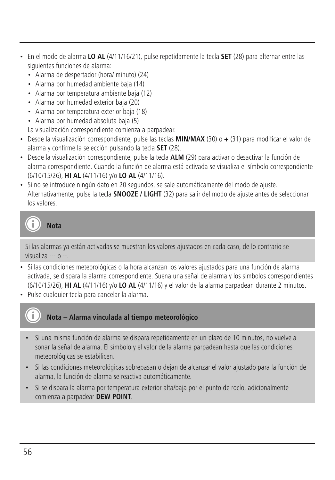- En el modo de alarma **LO AL** (4/11/16/21), pulse repetidamente la tecla **SET** (28) para alternar entre las siguientes funciones de alarma:
	- Alarma de despertador (hora/ minuto) (24)
	- Alarma por humedad ambiente baja (14)
	- Alarma por temperatura ambiente baja (12)
	- Alarma por humedad exterior baja (20)
	- Alarma por temperatura exterior baja (18)
	- Alarma por humedad absoluta baja (5)
	- La visualización correspondiente comienza a parpadear.
- Desde la visualización correspondiente, pulse las teclas **MIN/MAX** (30) o **+** (31) para modificar el valor de alarma y confirme la selección pulsando la tecla **SET** (28).
- Desde la visualización correspondiente, pulse la tecla **ALM** (29) para activar o desactivar la función de alarma correspondiente. Cuando la función de alarma está activada se visualiza el símbolo correspondiente (6/10/15/26), **HI AL** (4/11/16) y/o **LO AL** (4/11/16).
- Si no se introduce ningún dato en 20 segundos, se sale automáticamente del modo de ajuste. Alternativamente, pulse la tecla **SNOOZE / LIGHT** (32) para salir del modo de ajuste antes de seleccionar los valores.

**Nota**

Si las alarmas ya están activadas se muestran los valores ajustados en cada caso, de lo contrario se visualiza --- o --.

- Si las condiciones meteorológicas o la hora alcanzan los valores ajustados para una función de alarma activada, se dispara la alarma correspondiente. Suena una señal de alarma y los símbolos correspondientes (6/10/15/26), **HI AL** (4/11/16) y/o **LO AL** (4/11/16) y el valor de la alarma parpadean durante 2 minutos.
- Pulse cualquier tecla para cancelar la alarma.

# **Nota – Alarma vinculada al tiempo meteorológico**

- Si una misma función de alarma se dispara repetidamente en un plazo de 10 minutos, no vuelve a sonar la señal de alarma. El símbolo y el valor de la alarma parpadean hasta que las condiciones meteorológicas se estabilicen.
- Si las condiciones meteorológicas sobrepasan o dejan de alcanzar el valor ajustado para la función de alarma, la función de alarma se reactiva automáticamente.
- Si se dispara la alarma por temperatura exterior alta/baja por el punto de rocío, adicionalmente comienza a parpadear **DEW POINT**.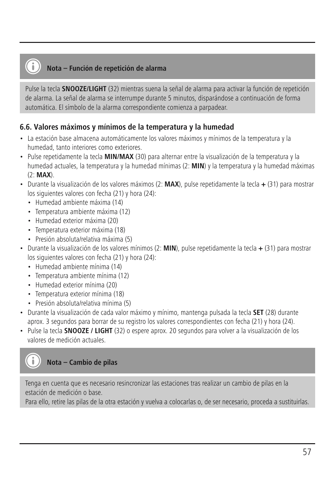# **Nota – Función de repetición de alarma**

Pulse la tecla **SNOOZE/LIGHT** (32) mientras suena la señal de alarma para activar la función de repetición de alarma. La señal de alarma se interrumpe durante 5 minutos, disparándose a continuación de forma automática. El símbolo de la alarma correspondiente comienza a parpadear.

#### **6.6. Valores máximos y mínimos de la temperatura y la humedad**

- La estación base almacena automáticamente los valores máximos y mínimos de la temperatura y la humedad, tanto interiores como exteriores.
- Pulse repetidamente la tecla **MIN/MAX** (30) para alternar entre la visualización de la temperatura y la humedad actuales, la temperatura y la humedad mínimas (2: **MIN**) y la temperatura y la humedad máximas (2: **MAX**).
- Durante la visualización de los valores máximos (2: **MAX**), pulse repetidamente la tecla **+** (31) para mostrar los siguientes valores con fecha (21) y hora (24):
	- Humedad ambiente máxima (14)
	- Temperatura ambiente máxima (12)
	- Humedad exterior máxima (20)
	- Temperatura exterior máxima (18)
	- Presión absoluta/relativa máxima (5)
- Durante la visualización de los valores mínimos (2: **MIN**), pulse repetidamente la tecla **+** (31) para mostrar los siguientes valores con fecha (21) y hora (24):
	- Humedad ambiente mínima (14)
	- Temperatura ambiente mínima (12)
	- Humedad exterior mínima (20)
	- Temperatura exterior mínima (18)
	- Presión absoluta/relativa mínima (5)
- Durante la visualización de cada valor máximo y mínimo, mantenga pulsada la tecla **SET** (28) durante aprox. 3 segundos para borrar de su registro los valores correspondientes con fecha (21) y hora (24).
- Pulse la tecla **SNOOZE / LIGHT** (32) o espere aprox. 20 segundos para volver a la visualización de los valores de medición actuales.



Tenga en cuenta que es necesario resincronizar las estaciones tras realizar un cambio de pilas en la estación de medición o base.

Para ello, retire las pilas de la otra estación y vuelva a colocarlas o, de ser necesario, proceda a sustituirlas.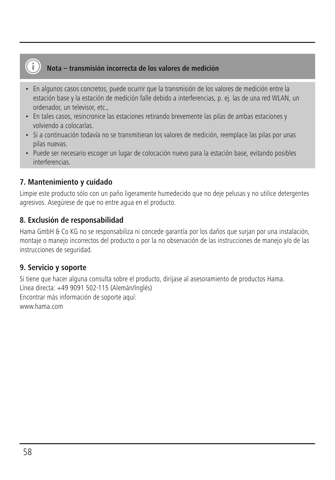# **Nota – transmisión incorrecta de los valores de medición**

- En algunos casos concretos, puede ocurrir que la transmisión de los valores de medición entre la estación base y la estación de medición falle debido a interferencias, p. ej. las de una red WLAN, un ordenador, un televisor, etc.,
- En tales casos, resincronice las estaciones retirando brevemente las pilas de ambas estaciones y volviendo a colocarlas.
- Si a continuación todavía no se transmitieran los valores de medición, reemplace las pilas por unas pilas nuevas.
- Puede ser necesario escoger un lugar de colocación nuevo para la estación base, evitando posibles interferencias.

### **7. Mantenimiento y cuidado**

Limpie este producto sólo con un paño ligeramente humedecido que no deje pelusas y no utilice detergentes agresivos. Asegúrese de que no entre agua en el producto.

#### **8. Exclusión de responsabilidad**

Hama GmbH & Co KG no se responsabiliza ni concede garantía por los daños que surjan por una instalación, montaje o manejo incorrectos del producto o por la no observación de las instrucciones de manejo y/o de las instrucciones de seguridad.

#### **9. Servicio y soporte**

Si tiene que hacer alguna consulta sobre el producto, diríjase al asesoramiento de productos Hama. Línea directa: +49 9091 502-115 (Alemán/Inglés) Encontrar más información de soporte aquí: www.hama.com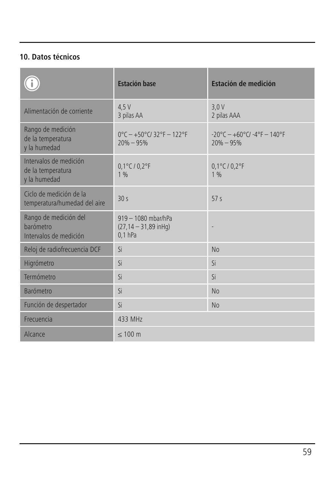# **10. Datos técnicos**

|                                                              | <b>Estación base</b>                                            | Estación de medición                                   |
|--------------------------------------------------------------|-----------------------------------------------------------------|--------------------------------------------------------|
| Alimentación de corriente                                    | 4.5V<br>3 pilas AA                                              | 3.0V<br>2 pilas AAA                                    |
| Rango de medición<br>de la temperatura<br>y la humedad       | $0^{\circ}$ C - +50°C/32°F - 122°F<br>$20\% - 95\%$             | $-20^{\circ}$ C - +60°C/ -4°F - 140°F<br>$20\% - 95\%$ |
| Intervalos de medición<br>de la temperatura<br>y la humedad  | $0,1^{\circ}$ C / $0,2^{\circ}$ F<br>1%                         | $0,1^{\circ}$ C / $0,2^{\circ}$ F<br>1%                |
| Ciclo de medición de la<br>temperatura/humedad del aire      | 30s                                                             | 57 <sub>s</sub>                                        |
| Rango de medición del<br>barómetro<br>Intervalos de medición | $919 - 1080$ mbar/hPa<br>$(27, 14 - 31, 89$ in Hg)<br>$0.1$ hPa |                                                        |
| Reloj de radiofrecuencia DCF                                 | Si                                                              | No                                                     |
| Higrómetro                                                   | Si                                                              | Si                                                     |
| Termómetro                                                   | Si                                                              | Si                                                     |
| <b>Barómetro</b>                                             | Si                                                              | No                                                     |
| Función de despertador                                       | Si                                                              | No                                                     |
| Frecuencia                                                   | 433 MHz                                                         |                                                        |
| Alcance                                                      | $\leq 100$ m                                                    |                                                        |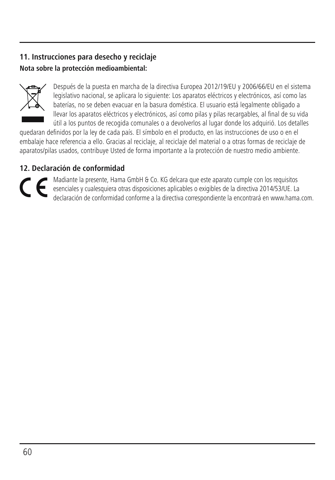# **11. Instrucciones para desecho y reciclaje Nota sobre la protección medioambiental:**



Después de la puesta en marcha de la directiva Europea 2012/19/EU y 2006/66/EU en el sistema legislativo nacional, se aplicara lo siguiente: Los aparatos eléctricos y electrónicos, así como las baterías, no se deben evacuar en la basura doméstica. El usuario está legalmente obligado a llevar los aparatos eléctricos y electrónicos, así como pilas y pilas recargables, al final de su vida útil a los puntos de recogida comunales o a devolverlos al lugar donde los adquirió. Los detalles

quedaran definidos por la ley de cada país. El símbolo en el producto, en las instrucciones de uso o en el embalaje hace referencia a ello. Gracias al reciclaje, al reciclaje del material o a otras formas de reciclaje de aparatos/pilas usados, contribuye Usted de forma importante a la protección de nuestro medio ambiente.

# **12. Declaración de conformidad**

Madiante la presente, Hama GmbH & Co. KG delcara que este aparato cumple con los requisitos<br>esenciales y cualesquiera otras disposiciones aplicables o exigibles de la directiva 2014/53/UE. La<br>declaración de conformidad con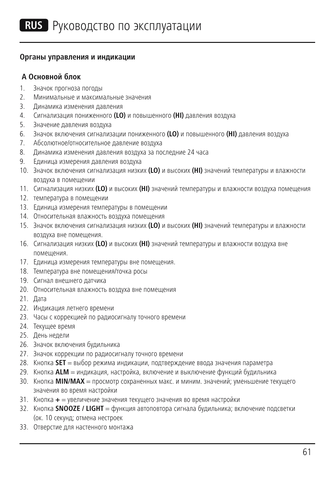#### **Органы управления и индикации**

#### **A Основной блок**

- 1. Значок прогноза погоды
- 2. Минимальные и максимальные значения
- 3. Динамика изменения давления
- 4. Сигнализация пониженного **(LO)** и повышенного **(HI)** давления воздуха
- 5. Значение давления воздуха
- 6. Значок включения сигнализации пониженного **(LO)** и повышенного **(HI)** давления воздуха
- 7. Абсолютное/относительное давление воздуха
- 8. Динамика изменения давления воздуха за последние 24 часа
- 9. Единица измерения давления воздуха
- 10. Значок включения сигнализация низких **(LO)** и высоких **(HI)** значений температуры и влажности воздуха в помещении
- 11. Сигнализация низких **(LO)** и высоких **(HI)** значений температуры и влажности воздуха помещения
- 12. температура в помещении
- 13. Единица измерения температуры в помещении
- 14. Относительная влажность воздуха помещения
- 15. Значок включения сигнализация низких **(LO)** и высоких **(HI)** значений температуры и влажности воздуха вне помещения.
- 16. Сигнализация низких **(LO)** и высоких **(HI)** значений температуры и влажности воздуха вне помещения.
- 17. Единица измерения температуры вне помещения.
- 18. Температура вне помещения/точка росы
- 19. Сигнал внешнего датчика
- 20. Относительная влажность воздуха вне помещения
- 21. Дата
- 22. Индикация летнего времени
- 23. Часы с коррекцией по радиосигналу точного времени
- 24. Текущее время
- 25. День недели
- 26. Значок включения будильника
- 27. Значок коррекции по радиосигналу точного времени
- 28. Кнопка **SET** = выбор режима индикации, подтверждение ввода значения параметра
- 29. Кнопка **ALM** = индикация, настройка, включение и выключение функций будильника
- 30. Кнопка **MIN/MAX** = просмотр сохраненных макс. и миним. значений; уменьшение текущего значения во время настройки
- 31. Кнопка **+** = увеличение значения текущего значения во время настройки
- 32. Кнопка **SNOOZE / LIGHT** = функция автоповтора сигнала будильника; включение подсветки (ок. 10 секунд; отмена нестроек
- 33. Отверстие для настенного монтажа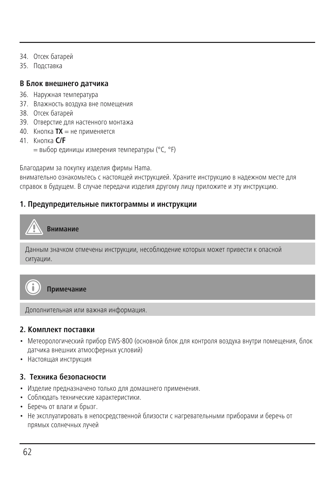- 34. Отсек батарей
- 35. Подставка

#### **В Блок внешнего датчика**

- 36. Наружная температура
- 37. Влажность воздуха вне помещения
- 38. Отсек батарей
- 39. Отверстие для настенного монтажа
- 40. Кнопка **ТХ** = не применяется
- 41. Кнопка **C/F**
	- = выбор единицы измерения температуры (°C, °F)

Благодарим за покупку изделия фирмы Hama.

внимательно ознакомьтесь с настоящей инструкцией. Храните инструкцию в надежном месте для справок в будущем. В случае передачи изделия другому лицу приложите и эту инструкцию.

#### **1. Предупредительные пиктограммы и инструкции**

# **Внимание**

```
Данным значком отмечены инструкции, несоблюдение которых может привести к опасной
ситуации.
```


**Примечание**

Дополнительная или важная информация.

#### **2. Комплект поставки**

- Метеорологический прибор EWS-800 (основной блок для контроля воздуха внутри помещения, блок датчика внешних атмосферных условий)
- Настоящая инструкция

# **3. Техника безопасности**

- Изделие предназначено только для домашнего применения.
- Соблюдать технические характеристики.
- Беречь от влаги и брызг.
- Не эксплуатировать в непосредственной близости с нагревательными приборами и беречь от прямых солнечных лучей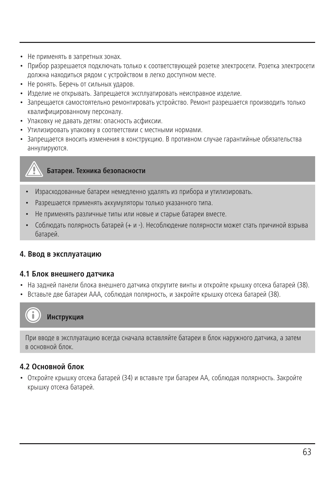- Не применять в запретных зонах.
- Прибор разрешается подключать только к соответствующей розетке электросети. Розетка электросети должна находиться рядом с устройством в легко доступном месте.
- Не ронять. Беречь от сильных ударов.
- Изделие не открывать. Запрещается эксплуатировать неисправное изделие.
- Запрещается самостоятельно ремонтировать устройство. Ремонт разрешается производить только квалифицированному персоналу.
- Упаковку не давать детям: опасность асфиксии.
- Утилизировать упаковку в соответствии с местными нормами.
- Запрещается вносить изменения в конструкцию. В противном случае гарантийные обязательства аннулируются.



- Израсходованные батареи немедленно удалять из прибора и утилизировать.
- Разрешается применять аккумуляторы только указанного типа.
- Не применять различные типы или новые и старые батареи вместе.
- Соблюдать полярность батарей (+ и -). Несоблюдение полярности может стать причиной взрыва батарей.

#### **4. Ввод в эксплуатацию**

#### **4.1 Блок внешнего датчика**

- На задней панели блока внешнего датчика открутите винты и откройте крышку отсека батарей (38).
- Вставьте две батареи ААА, соблюдая полярность, и закройте крышку отсека батарей (38).

# **Инструкция**

При вводе в эксплуатацию всегда сначала вставляйте батареи в блок наружного датчика, а затем в основной блок.

# **4.2 Основной блок**

• Откройте крышку отсека батарей (34) и вставьте три батареи АА, соблюдая полярность. Закройте крышку отсека батарей.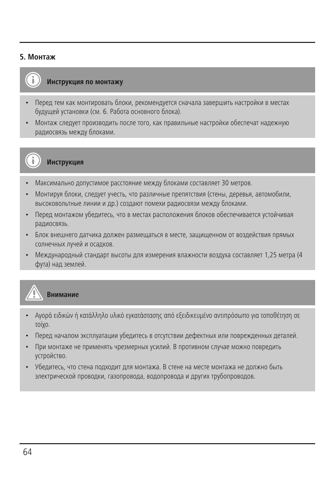#### **5. Монтаж**



# **Инструкция по монтажу**

- Перед тем как монтировать блоки, рекомендуется сначала завершить настройки в местах будущей установки (см. 6. Работа основного блока).
- Монтаж следует производить после того, как правильные настройки обеспечат надежную радиосвязь между блоками.



**Инструкция**

- Максимально допустимое расстояние между блоками составляет 30 метров.
- Монтируя блоки, следует учесть, что различные препятствия (стены, деревья, автомобили, высоковольтные линии и др.) создают помехи радиосвязи между блоками.
- Перед монтажом убедитесь, что в местах расположения блоков обеспечивается устойчивая радиосвязь.
- Блок внешнего датчика должен размещаться в месте, защищенном от воздействия прямых солнечных лучей и осадков.
- Международный стандарт высоты для измерения влажности воздуха составляет 1,25 метра (4 фута) над землей.



#### **Внимание**

- Αγορά ειδικών ή κατάλληλο υλικό εγκατάστασης από εξειδικευμένο αντιπρόσωπο για τοποθέτηση σε τοίχο.
- Перед началом эксплуатации убедитесь в отсутствии дефектных или поврежденных деталей.
- При монтаже не применять чрезмерных усилий. В противном случае можно повредить устройство.
- Убедитесь, что стена подходит для монтажа. В стене на месте монтажа не должно быть электрической проводки, газопровода, водопровода и других трубопроводов.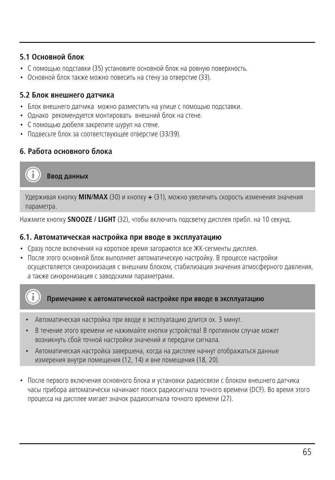# **5.1 Основной блок**

- С помощью подставки (35) установите основной блок на ровную поверхность.
- Основной блок также можно повесить на стену за отверстие (33).

# **5.2 Блок внешнего датчика**

- Блок внешнего датчика можно разместить на улице с помощью подставки.
- Однако рекомендуется монтировать внешний блок на стене.
- С помощью дюбеля закрепите шуруп на стене.
- Подвесьте блок за соответствующее отверстие (33/39).

# **6. Работа основного блока**

**Ввод данных**

Удерживая кнопку **MIN/MAX** (30) и кнопку **+** (31), можно увеличить скорость изменения значения параметра.

Нажмите кнопку **SNOOZE / LIGHT** (32), чтобы включить подсветку дисплея прибл. на 10 секунд.

#### **6.1. Автоматическая настройка при вводе в эксплуатацию**

- Сразу после включения на короткое время загораются все ЖК-сегменты дисплея.
- После этого основной блок выполняет автоматическую настройку. В процессе настройки осуществляется синхронизация с внешним блоком, стабилизация значения атмосферного давления, а также синхронизация с заводскими параметрами.



**Примечание к автоматической настройке при вводе в эксплуатацию**

- Автоматическая настройка при вводе в эксплуатацию длится ок. 3 минут.
- В течение этого времени не нажимайте кнопки устройства! В противном случае может возникнуть сбой точной настройки значений и передачи сигнала.
- Автоматическая настройка завершена, когда на дисплее начнут отображаться данные измерения внутри помещения (12, 14) и вне помещения (18, 20).
- После первого включения основного блока и установки радиосвязи с блоком внешнего датчика часы прибора автоматически начинают поиск радиосигнала точного времени (DCF). Во время этого процесса на дисплее мигает значок радиосигнала точного времени (27).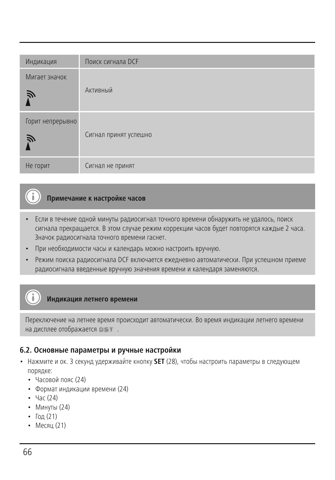| Индикация             | Поиск сигнала DCF     |
|-----------------------|-----------------------|
| Мигает значок<br>Ñ    | Активный              |
| Горит непрерывно<br>戸 | Сигнал принят успешно |
| Не горит              | Сигнал не принят      |

# **Примечание к настройке часов**

- Если в течение одной минуты радиосигнал точного времени обнаружить не удалось, поиск сигнала прекращается. В этом случае режим коррекции часов будет повторятся каждые 2 часа. Значок радиосигнала точного времени гаснет.
- При необходимости часы и календарь можно настроить вручную.
- Режим поиска радиосигнала DCF включается ежедневно автоматически. При успешном приеме радиосигнала введенные вручную значения времени и календаря заменяются.

#### **Индикация летнего времени**

Переключение на летнее время происходит автоматически. Во время индикации летнего времени на лисплее отображается  $n = 1$ .

#### **6.2. Основные параметры и ручные настройки**

- Нажмите и ок. 3 секунд удерживайте кнопку **SET** (28), чтобы настроить параметры в следующем порядке:
	- Часовой пояс (24)
	- Формат индикации времени (24)
	- Час (24)
	- Минуты (24)
	- Гол  $(21)$
	- Месяц (21)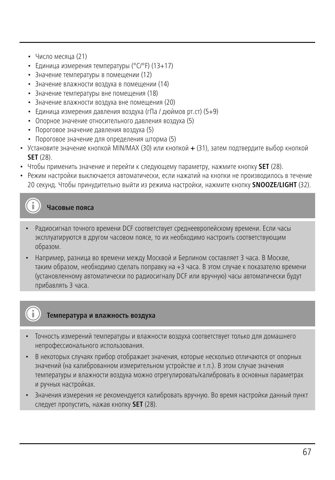- Число месяца (21)
- Единица измерения температуры (°C/°F) (13+17)
- Значение температуры в помещении (12)
- Значение влажности воздуха в помещении (14)
- Значение температуры вне помещения (18)
- Значение влажности воздуха вне помещения (20)
- Единица измерения давления воздуха (гПа / дюймов рт.ст) (5+9)
- Опорное значение относительного давления воздуха (5)
- Пороговое значение давления воздуха (5)
- Пороговое значение для определения шторма (5)
- Установите значение кнопкой MIN/MAX (30) или кнопкой **+** (31), затем подтвердите выбор кнопкой **SET** (28).
- Чтобы применить значение и перейти к следующему параметру, нажмите кнопку **SET** (28).
- Режим настройки выключается автоматически, если нажатий на кнопки не производилось в течение 20 секунд. Чтобы принудительно выйти из режима настройки, нажмите кнопку **SNOOZE/LIGHT** (32).

**Часовые пояса**

- Радиосигнал точного времени DCF соответствует среднеевропейскому времени. Если часы эксплуатируются в другом часовом поясе, то их необходимо настроить соответствующим образом.
- Например, разница во времени между Москвой и Берлином составляет 3 часа. В Москве, таким образом, необходимо сделать поправку на +3 часа. В этом случае к показателю времени (установленному автоматически по радиосигналу DCF или вручную) часы автоматически будут прибавлять 3 часа.

# **Температура и влажность воздуха**

- Точность измерений температуры и влажности воздуха соответствует только для домашнего непрофессионального использования.
- В некоторых случаях прибор отображает значения, которые несколько отличаются от опорных значений (на калиброванном измерительном устройстве и т.п.). В этом случае значения температуры и влажности воздуха можно отрегулировать/калибровать в основных параметрах и ручных настройках.
- Значения измерения не рекомендуется калибровать вручную. Во время настройки данный пункт следует пропустить, нажав кнопку **SET** (28).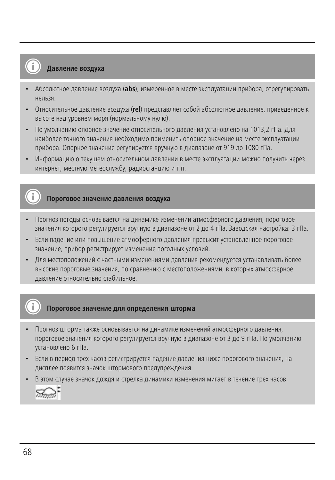# **Давление воздуха**

- Абсолютное давление воздуха (**abs**), измеренное в месте эксплуатации прибора, отрегулировать нельзя.
- Относительное давление воздуха (**rel**) представляет собой абсолютное давление, приведенное к высоте над уровнем моря (нормальному нулю).
- По умолчанию опорное значение относительного давления установлено на 1013,2 гПа. Для наиболее точного значения необходимо применить опорное значение на месте эксплуатации прибора. Опорное значение регулируется вручную в диапазоне от 919 до 1080 гПа.
- Информацию о текущем относительном давлении в месте эксплуатации можно получить через интернет, местную метеослужбу, радиостанцию и т.п.

# **Пороговое значение давления воздуха**

- Прогноз погоды основывается на динамике изменений атмосферного давления, пороговое значения которого регулируется вручную в диапазоне от 2 до 4 гПа. Заводская настройка: 3 гПа.
- Если падение или повышение атмосферного давления превысит установленное пороговое значение, прибор регистрирует изменение погодных условий.
- Для местоположений с частными изменениями давления рекомендуется устанавливать более высокие пороговые значения, по сравнению с местоположениями, в которых атмосферное давление относительно стабильное.

# **Пороговое значение для определения шторма**

- Прогноз шторма также основывается на линамике изменений атмосферного лавления, пороговое значения которого регулируется вручную в диапазоне от 3 до 9 гПа. По умолчанию установлено 6 гПа.
- Если в период трех часов регистрируется падение давления ниже порогового значения, на дисплее появится значок штормового предупреждения.
- В этом случае значок дождя и стрелка динамики изменения мигает в течение трех часов.

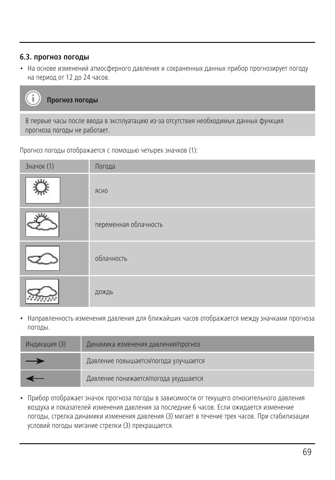# **6.3. прогноз погоды**

• На основе изменений атмосферного давления и сохраненных данных прибор прогнозирует погоду на период от 12 до 24 часов.



В первые часы после ввода в эксплуатацию из-за отсутствия необходимых данных функция прогноза погоды не работает.

Прогноз погоды отображается с помощью четырех значков (1):

| Значок (1) | Погода                |
|------------|-----------------------|
|            | ЯСНО                  |
|            | переменная облачность |
|            | облачность            |
|            | дождь                 |

• Направленность изменения давления для ближайших часов отображается между значками прогноза погоды.

| Индикация (3) | Динамика изменения давления/прогноз   |
|---------------|---------------------------------------|
| $\rightarrow$ | Давление повышается/погода улучшается |
|               | Давление понижается/погода ухудшается |

• Прибор отображает значок прогноза погоды в зависимости от текущего относительного давления воздуха и показателей изменения давления за последние 6 часов. Если ожидается изменение погоды, стрелка динамики изменения давления (3) мигает в течение трех часов. При стабилизации условий погоды мигание стрелки (3) прекращается.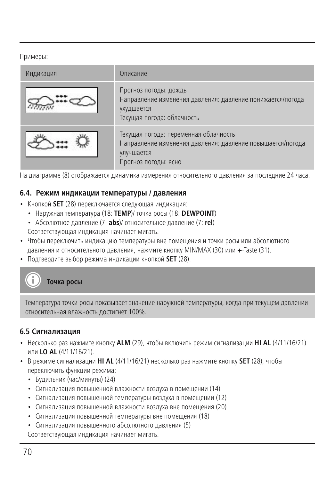Примеры:

| Индикация | Описание                                                                                                                                  |
|-----------|-------------------------------------------------------------------------------------------------------------------------------------------|
|           | Прогноз погоды: дождь<br>Направление изменения давления: давление понижается/погода<br>ухудшается<br>Текущая погода: облачность           |
|           | Текущая погода: переменная облачность<br>Направление изменения давления: давление повышается/погода<br>улучшается<br>Прогноз погоды: ясно |

На диаграмме (8) отображается динамика измерения относительного давления за последние 24 часа.

#### **6.4. Режим индикации температуры / давления**

- Кнопкой **SET** (28) переключается следующая индикация:
	- Наружная температура (18: **TEMP**)/ точка росы (18: **DEWPOINT**)
	- Абсолютное давление (7: **abs**)/ относительное давление (7: **rel**) Соответствующая индикация начинает мигать.
- Чтобы переключить индикацию температуры вне помещения и точки росы или абсолютного давления и относительного давления, нажмите кнопку MIN/MAX (30) или **+**-Taste (31).
- Подтвердите выбор режима индикации кнопкой **SET** (28).

# **Точка росы**

Температура точки росы показывает значение наружной температуры, когда при текущем давлении относительная влажность достигнет 100%.

#### **6.5 Сигнализация**

- Несколько раз нажмите кнопку **ALM** (29), чтобы включить режим сигнализации **HI AL** (4/11/16/21) или **LO AL** (4/11/16/21).
- В режиме сигнализации **HI AL** (4/11/16/21) несколько раз нажмите кнопку **SET** (28), чтобы переключить функции режима:
	- Будильник (час/минуты) (24)
	- Сигнализация повышенной влажности воздуха в помещении (14)
	- Сигнализация повышенной температуры воздуха в помещении (12)
	- Сигнализация повышенной влажности воздуха вне помещения (20)
	- Сигнализация повышенной температуры вне помещения (18)
	- Сигнализация повышенного абсолютного давления (5) Соответствующая индикация начинает мигать.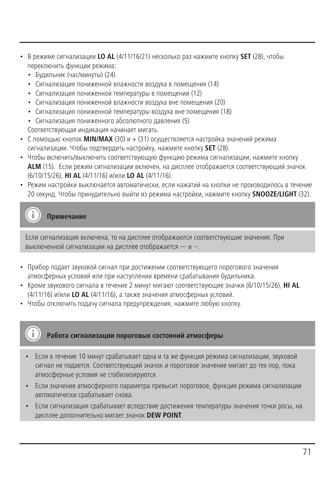- В режиме сигнализации **LO AL** (4/11/16/21) несколько раз нажмите кнопку **SET** (28), чтобы переключить функции режима:
	- Будильник (час/минуты) (24)
	- Сигнализация пониженной влажности воздуха в помещения (14)
	- Сигнализация пониженной температуры в помещении (12)
	- Сигнализация пониженной влажности воздуха вне помещения (20)
	- Сигнализация пониженной температуры воздуха вне помещения (18)
	- Сигнализация пониженного абсолютного давления (5)
	- Соответствующая индикация начинает мигать.
- С помощью кнопок **MIN/MAX** (30) и + (31) осуществляется настройка значений режима сигнализации. Чтобы подтвердить настройку, нажмите кнопку **SET** (28).
- Чтобы включить/выключить соответствующую функцию режима сигнализации, нажмите кнопку **ALM** (15). Если режим сигнализации включен, на дисплее отображается соответствующий значок (6/10/15/26), **HI AL** (4/11/16) и/или **LO AL** (4/11/16).
- Режим настройки выключается автоматически, если нажатий на кнопки не производилось в течение 20 секунд. Чтобы принудительно выйти из режима настройки, нажмите кнопку **SNOOZE/LIGHT** (32).

**Примечание**

Если сигнализация включена, то на дисплее отображаются соответствующие значения. При выключенной сигнализации на дисплее отображается --- и --.

- Прибор подает звуковой сигнал при достижении соответствующего порогового значения атмосферных условий или при наступлении времени срабатывания будильника.
- Кроме звукового сигнала в течение 2 минут мигают соответствующие значки (6/10/15/26), **HI AL** (4/11/16) и/или **LO AL** (4/11/16), а также значения атмосферных условий.
- Чтобы отключить подачу сигнала предупреждения, нажмите любую кнопку.

#### **Работа сигнализации пороговых состояний атмосферы**

- Если в течение 10 минут срабатывает одна и та же функция режима сигнализации, звуковой сигнал не подается. Соответствующий значок и пороговое значение мигает до тех пор, пока атмосферные условия не стабилизируются.
- Если значение атмосферного параметра превысит пороговое, функция режима сигнализации автоматически срабатывает снова.
- Если сигнализация срабатывает вследствие достижения температуры значения точки росы, на дисплее дополнительно мигает значок **DEW POINT**.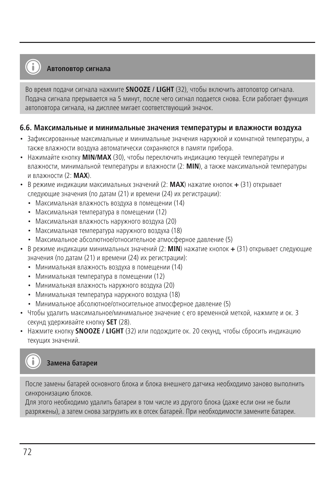#### **Автоповтор сигнала**

Во время подачи сигнала нажмите **SNOOZE / LIGHT** (32), чтобы включить автоповтор сигнала. Подача сигнала прерывается на 5 минут, после чего сигнал подается снова. Если работает функция автоповтора сигнала, на дисплее мигает соответствующий значок.

#### **6.6. Максимальные и минимальные значения температуры и влажности воздуха**

- Зафиксированные максимальные и минимальные значения наружной и комнатной температуры, а также влажности воздуха автоматически сохраняются в памяти прибора.
- Нажимайте кнопку **MIN/MAX** (30), чтобы переключить индикацию текущей температуры и влажности, минимальной температуры и влажности (2: **MIN**), а также максимальной температуры и влажности (2: **MAX**).
- В режиме индикации максимальных значений (2: **MAX**) нажатие кнопок **+** (31) открывает следующие значения (по датам (21) и времени (24) их регистрации):
	- Максимальная влажность воздуха в помещении (14)
	- Максимальная температура в помещении (12)
	- Максимальная влажность наружного воздуха (20)
	- Максимальная температура наружного воздуха (18)
	- Максимальное абсолютное/относительное атмосферное давление (5)
- В режиме индикации минимальных значений (2: **MIN**) нажатие кнопок **+** (31) открывает следующие значения (по датам (21) и времени (24) их регистрации):
	- Минимальная влажность воздуха в помещении (14)
	- Минимальная температура в помещении (12)
	- Минимальная влажность наружного воздуха (20)
	- Минимальная температура наружного воздуха (18)
	- Минимальное абсолютное/относительное атмосферное давление (5)
- Чтобы удалить максимальное/минимальное значение с его временной меткой, нажмите и ок. 3 секунд удерживайте кнопку **SET** (28).
- Нажмите кнопку **SNOOZE / LIGHT** (32) или подождите ок. 20 секунд, чтобы сбросить индикацию текущих значений.

# **Замена батареи**

После замены батарей основного блока и блока внешнего датчика необходимо заново выполнить синхронизацию блоков.

Для этого необходимо удалить батареи в том числе из другого блока (даже если они не были разряжены), а затем снова загрузить их в отсек батарей. При необходимости замените батареи.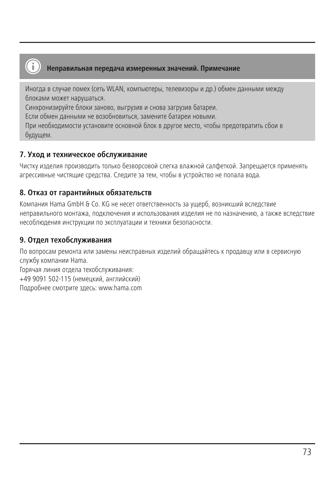

#### **Неправильная передача измеренных значений. Примечание**

Иногда в случае помех (сеть WLAN, компьютеры, телевизоры и др.) обмен данными между блоками может нарушаться.

Синхронизируйте блоки заново, выгрузив и снова загрузив батареи.

Если обмен данными не возобновиться, замените батареи новыми.

При необходимости установите основной блок в другое место, чтобы предотвратить сбои в будущем.

## **7. Уход и техническое обслуживание**

Чистку изделия производить только безворсовой слегка влажной салфеткой. Запрещается применять агрессивные чистящие средства. Следите за тем, чтобы в устройство не попала вода.

## **8. Отказ от гарантийных обязательств**

Компания Hama GmbH & Co. KG не несет ответственность за ущерб, возникший вследствие неправильного монтажа, подключения и использования изделия не по назначению, а также вследствие несоблюдения инструкции по эксплуатации и техники безопасности.

#### **9. Отдел техобслуживания**

По вопросам ремонта или замены неисправных изделий обращайтесь к продавцу или в сервисную службу компании Hama. Горячая линия отдела техобслуживания: +49 9091 502-115 (немецкий, английский) Подробнее смотрите здесь: www.hama.com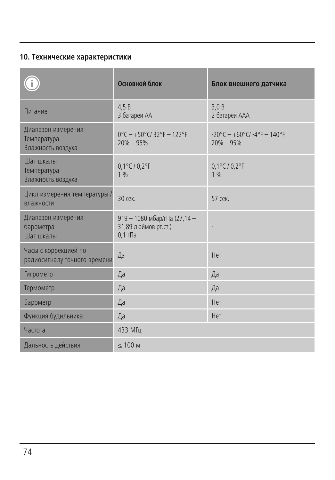## **10. Технические характеристики**

|                                                        | Основной блок                                                                         | Блок внешнего датчика                                                      |
|--------------------------------------------------------|---------------------------------------------------------------------------------------|----------------------------------------------------------------------------|
| Питание                                                | 4.5B<br>3 батареи АА                                                                  | 3.0B<br>2 батареи ААА                                                      |
| Диапазон измерения<br>Температура<br>Влажность воздуха | $0^{\circ}$ C - +50 $^{\circ}$ C/ 32 $^{\circ}$ F - 122 $^{\circ}$ F<br>$20\% - 95\%$ | $-20^{\circ}$ C - $+60^{\circ}$ C/ $-4^{\circ}$ F - 140°F<br>$20\% - 95\%$ |
| Шаг шкалы<br>Температура<br>Влажность воздуха          | $0.1^{\circ}$ C / $0.2^{\circ}$ F<br>1%                                               | $0,1^{\circ}$ C / $0,2^{\circ}$ F<br>1 %                                   |
| Цикл измерения температуры /<br>влажности              | $30$ cek.                                                                             | 57 сек.                                                                    |
| Диапазон измерения<br>барометра<br>Шаг шкалы           | 919 - 1080 мбар/гПа (27,14 -<br>31,89 дюймов рт.ст.)<br>$0,1$ r $\Pi$ a               |                                                                            |
| Часы с коррекцией по<br>радиосигналу точного времени   | Да                                                                                    | Нет                                                                        |
| Гигрометр                                              | Да                                                                                    | Да                                                                         |
| Термометр                                              | Да                                                                                    | Да                                                                         |
| Барометр                                               | Да                                                                                    | Нет                                                                        |
| Функция будильника                                     | Да                                                                                    | Нет                                                                        |
| Частота                                                | 433 МГц                                                                               |                                                                            |
| Дальность действия                                     | $\leq 100$ M                                                                          |                                                                            |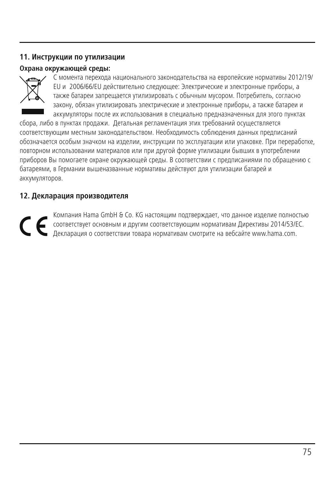## **11. Инструкции по утилизации**

## **Охрана окружающей среды:**



С момента перехода национального законодательства на европейские нормативы 2012/19/ EU и 2006/66/EU действительно следующее: Электрические и электронные приборы, а также батареи запрещается утилизировать с обычным мусором. Потребитель, согласно закону, обязан утилизировать электрические и электронные приборы, а также батареи и аккумуляторы после их использования в специально предназначенных для этого пунктах

сбора, либо в пунктах продажи. Детальная регламентация этих требований осуществляется соответствующим местным законодательством. Необходимость соблюдения данных предписаний обозначается особым значком на изделии, инструкции по эксплуатации или упаковке. При переработке, повторном использовании материалов или при другой форме утилизации бывших в употреблении приборов Вы помогаете охране окружающей среды. В соответствии с предписаниями по обращению с батареями, в Германии вышеназванные нормативы действуют для утилизации батарей и аккумуляторов.

#### **12. Декларация производителя**

Компания Ната GmbH & Co. КG настоящим подтверждает, что данное изделие полностью<br>соответствует основным и другим соответствующим нормативам Директивы 2014/53/ЕС.<br>Лекларация о соответствии товара нормативам смотрите на веб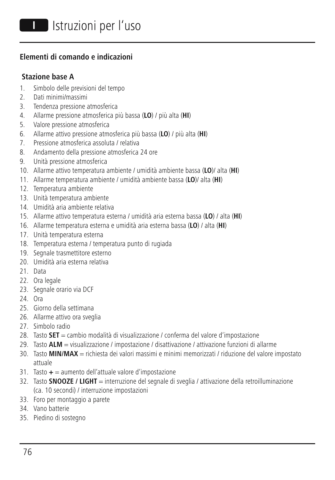## **Elementi di comando e indicazioni**

## **Stazione base A**

- 1. Simbolo delle previsioni del tempo
- 2. Dati minimi/massimi
- 3. Tendenza pressione atmosferica
- 4. Allarme pressione atmosferica più bassa (**LO**) / più alta (**HI**)
- 5. Valore pressione atmosferica
- 6. Allarme attivo pressione atmosferica più bassa (**LO**) / più alta (**HI**)
- 7. Pressione atmosferica assoluta / relativa
- 8. Andamento della pressione atmosferica 24 ore
- 9. Unità pressione atmosferica
- 10. Allarme attivo temperatura ambiente / umidità ambiente bassa (**LO**)/ alta (**HI**)
- 11. Allarme temperatura ambiente / umidità ambiente bassa (**LO**)/ alta (**HI**)
- 12. Temperatura ambiente
- 13. Unità temperatura ambiente
- 14. Umidità aria ambiente relativa
- 15. Allarme attivo temperatura esterna / umidità aria esterna bassa (**LO**) / alta (**HI**)
- 16. Allarme temperatura esterna e umidità aria esterna bassa (**LO**) / alta (**HI**)
- 17. Unità temperatura esterna
- 18. Temperatura esterna / temperatura punto di rugiada
- 19. Segnale trasmettitore esterno
- 20. Umidità aria esterna relativa
- 21. Data
- 22. Ora legale
- 23. Segnale orario via DCF
- 24. Ora
- 25. Giorno della settimana
- 26. Allarme attivo ora sveglia
- 27. Simbolo radio
- 28. Tasto **SET** = cambio modalità di visualizzazione / conferma del valore d'impostazione
- 29. Tasto **ALM** = visualizzazione / impostazione / disattivazione / attivazione funzioni di allarme
- 30. Tasto **MIN/MAX** = richiesta dei valori massimi e minimi memorizzati / riduzione del valore impostato attuale
- 31. Tasto **+** = aumento dell'attuale valore d'impostazione
- 32. Tasto **SNOOZE / LIGHT** = interruzione del segnale di sveglia / attivazione della retroilluminazione (ca. 10 secondi) / interruzione impostazioni
- 33. Foro per montaggio a parete
- 34. Vano batterie
- 35. Piedino di sostegno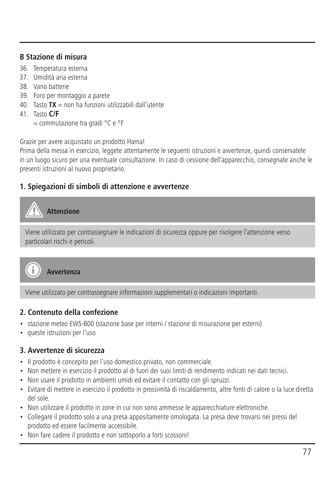## **B Stazione di misura**

- 36. Temperatura esterna
- 37. Umidità aria esterna
- 38. Vano batterie
- 39. Foro per montaggio a parete
- 40. Tasto **TX** = non ha funzioni utilizzabili dall'utente
- 41. Tasto **C/F**
	- = commutazione tra gradi °C e °F

Grazie per avere acquistato un prodotto Hama!

Prima della messa in esercizio, leggete attentamente le seguenti istruzioni e avvertenze, quindi conservatele in un luogo sicuro per una eventuale consultazione. In caso di cessione dell'apparecchio, consegnate anche le presenti istruzioni al nuovo proprietario.

## **1. Spiegazioni di simboli di attenzione e avvertenze**



Viene utilizzato per contrassegnare le indicazioni di sicurezza oppure per rivolgere l'attenzione verso particolari rischi e pericoli.



**Avvertenza**

Viene utilizzato per contrassegnare informazioni supplementari o indicazioni importanti.

## **2. Contenuto della confezione**

- stazione meteo EWS-800 (stazione base per interni / stazione di misurazione per esterni)
- queste istruzioni per l'uso

## **3. Avvertenze di sicurezza**

- Il prodotto è concepito per l'uso domestico privato, non commerciale.
- Non mettere in esercizio il prodotto al di fuori dei suoi limiti di rendimento indicati nei dati tecnici.
- Non usare il prodotto in ambienti umidi ed evitare il contatto con gli spruzzi.
- Evitare di mettere in esercizio il prodotto in prossimità di riscaldamento, altre fonti di calore o la luce diretta del sole.
- Non utilizzare il prodotto in zone in cui non sono ammesse le apparecchiature elettroniche.
- Collegare il prodotto solo a una presa appositamente omologata. La presa deve trovarsi nei pressi del prodotto ed essere facilmente accessibile.
- Non fare cadere il prodotto e non sottoporlo a forti scossoni!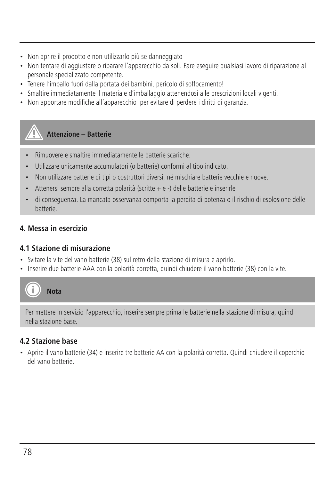- Non aprire il prodotto e non utilizzarlo più se danneggiato
- Non tentare di aggiustare o riparare l'apparecchio da soli. Fare eseguire qualsiasi lavoro di riparazione al personale specializzato competente.
- Tenere l'imballo fuori dalla portata dei bambini, pericolo di soffocamento!
- Smaltire immediatamente il materiale d'imballaggio attenendosi alle prescrizioni locali vigenti.
- Non apportare modifiche all'apparecchio per evitare di perdere i diritti di garanzia.

## **Attenzione – Batterie**

- Rimuovere e smaltire immediatamente le batterie scariche.
- Utilizzare unicamente accumulatori (o batterie) conformi al tipo indicato.
- Non utilizzare batterie di tipi o costruttori diversi, né mischiare batterie vecchie e nuove.
- Attenersi sempre alla corretta polarità (scritte + e -) delle batterie e inserirle
- di conseguenza. La mancata osservanza comporta la perdita di potenza o il rischio di esplosione delle **batterie**

## **4. Messa in esercizio**

## **4.1 Stazione di misurazione**

- Svitare la vite del vano batterie (38) sul retro della stazione di misura e aprirlo.
- Inserire due batterie AAA con la polarità corretta, quindi chiudere il vano batterie (38) con la vite.



Per mettere in servizio l'apparecchio, inserire sempre prima le batterie nella stazione di misura, quindi nella stazione base.

## **4.2 Stazione base**

• Aprire il vano batterie (34) e inserire tre batterie AA con la polarità corretta. Quindi chiudere il coperchio del vano batterie.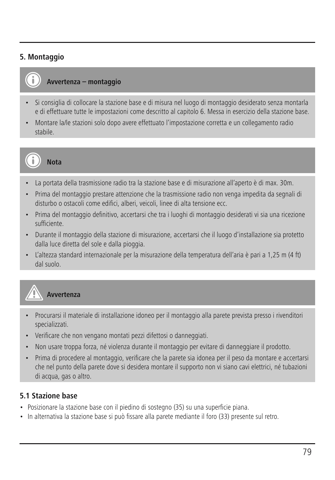## **5. Montaggio**



## **Avvertenza – montaggio**

- Si consiglia di collocare la stazione base e di misura nel luogo di montaggio desiderato senza montarla e di effettuare tutte le impostazioni come descritto al capitolo 6. Messa in esercizio della stazione base.
- Montare la/le stazioni solo dopo avere effettuato l'impostazione corretta e un collegamento radio stabile.



- La portata della trasmissione radio tra la stazione base e di misurazione all'aperto è di max. 30m.
- Prima del montaggio prestare attenzione che la trasmissione radio non venga impedita da segnali di disturbo o ostacoli come edifici, alberi, veicoli, linee di alta tensione ecc.
- Prima del montaggio definitivo, accertarsi che tra i luoghi di montaggio desiderati vi sia una ricezione sufficiente.
- Durante il montaggio della stazione di misurazione, accertarsi che il luogo d'installazione sia protetto dalla luce diretta del sole e dalla pioggia.
- L'altezza standard internazionale per la misurazione della temperatura dell'aria è pari a 1,25 m (4 ft) dal suolo.



## **Avvertenza**

- Procurarsi il materiale di installazione idoneo per il montaggio alla parete prevista presso i rivenditori specializzati.
- Verificare che non vengano montati pezzi difettosi o danneggiati.
- Non usare troppa forza, né violenza durante il montaggio per evitare di danneggiare il prodotto.
- Prima di procedere al montaggio, verificare che la parete sia idonea per il peso da montare e accertarsi che nel punto della parete dove si desidera montare il supporto non vi siano cavi elettrici, né tubazioni di acqua, gas o altro.

#### **5.1 Stazione base**

- Posizionare la stazione base con il piedino di sostegno (35) su una superficie piana.
- In alternativa la stazione base si può fissare alla parete mediante il foro (33) presente sul retro.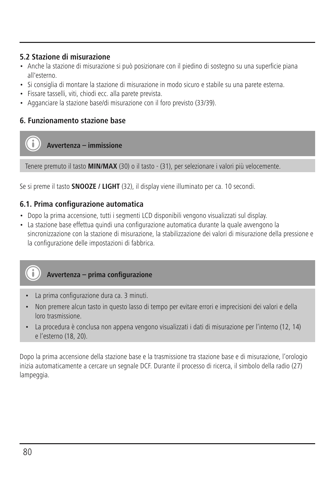## **5.2 Stazione di misurazione**

- Anche la stazione di misurazione si può posizionare con il piedino di sostegno su una superficie piana all'esterno.
- Si consiglia di montare la stazione di misurazione in modo sicuro e stabile su una parete esterna.
- Fissare tasselli, viti, chiodi ecc. alla parete prevista.
- Agganciare la stazione base/di misurazione con il foro previsto (33/39).

## **6. Funzionamento stazione base**

**Avvertenza – immissione**

Tenere premuto il tasto **MIN/MAX** (30) o il tasto - (31), per selezionare i valori più velocemente.

Se si preme il tasto **SNOOZE / LIGHT** (32), il display viene illuminato per ca. 10 secondi.

#### **6.1. Prima configurazione automatica**

- Dopo la prima accensione, tutti i segmenti LCD disponibili vengono visualizzati sul display.
- La stazione base effettua quindi una configurazione automatica durante la quale avvengono la sincronizzazione con la stazione di misurazione, la stabilizzazione dei valori di misurazione della pressione e la configurazione delle impostazioni di fabbrica.



- La prima configurazione dura ca. 3 minuti.
- Non premere alcun tasto in questo lasso di tempo per evitare errori e imprecisioni dei valori e della loro trasmissione.
- La procedura è conclusa non appena vengono visualizzati i dati di misurazione per l'interno (12, 14) e l'esterno (18, 20).

Dopo la prima accensione della stazione base e la trasmissione tra stazione base e di misurazione, l'orologio inizia automaticamente a cercare un segnale DCF. Durante il processo di ricerca, il simbolo della radio (27) lampeggia.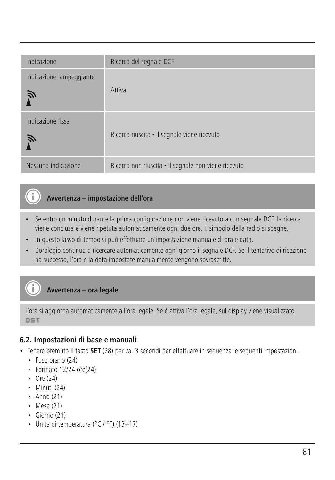| Indicazione                   | Ricerca del segnale DCF                              |
|-------------------------------|------------------------------------------------------|
| Indicazione lampeggiante<br>戸 | Attiva                                               |
| Indicazione fissa<br>Ñ        | Ricerca riuscita - il segnale viene ricevuto         |
| Nessuna indicazione           | Ricerca non riuscita - il segnale non viene ricevuto |

## **Avvertenza – impostazione dell'ora**

- Se entro un minuto durante la prima configurazione non viene ricevuto alcun segnale DCF, la ricerca viene conclusa e viene ripetuta automaticamente ogni due ore. Il simbolo della radio si spegne.
- In questo lasso di tempo si può effettuare un'impostazione manuale di ora e data.
- L'orologio continua a ricercare automaticamente ogni giorno il segnale DCF. Se il tentativo di ricezione ha successo, l'ora e la data impostate manualmente vengono sovrascritte.

**Avvertenza – ora legale**

L'ora si aggiorna automaticamente all'ora legale. Se è attiva l'ora legale, sul display viene visualizzato **DST** 

## **6.2. Impostazioni di base e manuali**

- Tenere premuto il tasto **SET** (28) per ca. 3 secondi per effettuare in sequenza le seguenti impostazioni.
	- Fuso orario (24)
	- Formato 12/24 ore(24)
	- Ore (24)
	- Minuti (24)
	- $\cdot$  Anno (21)
	- Mese (21)
	- Giorno (21)
	- Unità di temperatura (°C / °F) (13+17)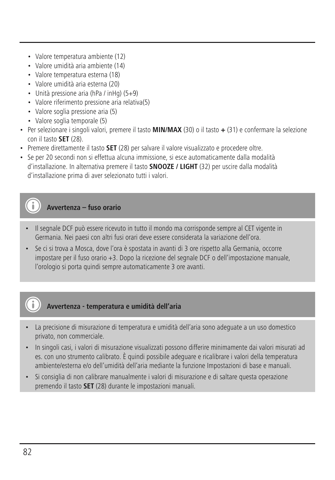- Valore temperatura ambiente (12)
- Valore umidità aria ambiente (14)
- Valore temperatura esterna (18)
- Valore umidità aria esterna (20)
- Unità pressione aria (hPa / inHg)  $(5+9)$
- Valore riferimento pressione aria relativa(5)
- Valore soglia pressione aria (5)
- Valore soglia temporale (5)
- Per selezionare i singoli valori, premere il tasto **MIN/MAX** (30) o il tasto **+** (31) e confermare la selezione con il tasto **SET** (28).
- Premere direttamente il tasto **SET** (28) per salvare il valore visualizzato e procedere oltre.
- Se per 20 secondi non si effettua alcuna immissione, si esce automaticamente dalla modalità d'installazione. In alternativa premere il tasto **SNOOZE / LIGHT** (32) per uscire dalla modalità d'installazione prima di aver selezionato tutti i valori.

## **Avvertenza – fuso orario**

- Il segnale DCF può essere ricevuto in tutto il mondo ma corrisponde sempre al CET vigente in Germania. Nei paesi con altri fusi orari deve essere considerata la variazione dell'ora.
- Se ci si trova a Mosca, dove l'ora è spostata in avanti di 3 ore rispetto alla Germania, occorre impostare per il fuso orario +3. Dopo la ricezione del segnale DCF o dell'impostazione manuale, l'orologio si porta quindi sempre automaticamente 3 ore avanti.

## **Avvertenza - temperatura e umidità dell'aria**

- La precisione di misurazione di temperatura e umidità dell'aria sono adeguate a un uso domestico privato, non commerciale.
- In singoli casi, i valori di misurazione visualizzati possono differire minimamente dai valori misurati ad es. con uno strumento calibrato. È quindi possibile adeguare e ricalibrare i valori della temperatura ambiente/esterna e/o dell'umidità dell'aria mediante la funzione Impostazioni di base e manuali.
- Si consiglia di non calibrare manualmente i valori di misurazione e di saltare questa operazione premendo il tasto **SET** (28) durante le impostazioni manuali.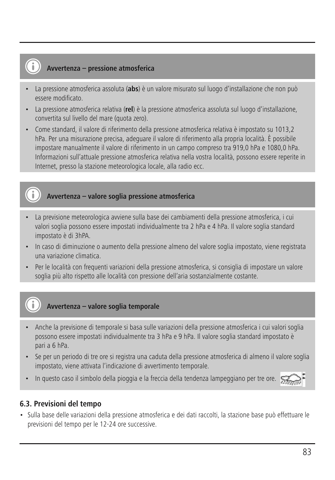### **Avvertenza – pressione atmosferica**

- La pressione atmosferica assoluta (**abs**) è un valore misurato sul luogo d'installazione che non può essere modificato.
- La pressione atmosferica relativa (**rel**) è la pressione atmosferica assoluta sul luogo d'installazione, convertita sul livello del mare (quota zero).
- Come standard, il valore di riferimento della pressione atmosferica relativa è impostato su 1013,2 hPa. Per una misurazione precisa, adeguare il valore di riferimento alla propria località. È possibile impostare manualmente il valore di riferimento in un campo compreso tra 919,0 hPa e 1080,0 hPa. Informazioni sull'attuale pressione atmosferica relativa nella vostra località, possono essere reperite in Internet, presso la stazione meteorologica locale, alla radio ecc.

## **Avvertenza – valore soglia pressione atmosferica**

- La previsione meteorologica avviene sulla base dei cambiamenti della pressione atmosferica, i cui valori soglia possono essere impostati individualmente tra 2 hPa e 4 hPa. Il valore soglia standard impostato è di 3hPA.
- In caso di diminuzione o aumento della pressione almeno del valore soglia impostato, viene registrata una variazione climatica.
- Per le località con frequenti variazioni della pressione atmosferica, si consiglia di impostare un valore soglia più alto rispetto alle località con pressione dell'aria sostanzialmente costante.

## **Avvertenza – valore soglia temporale**

- Anche la previsione di temporale si basa sulle variazioni della pressione atmosferica i cui valori soglia possono essere impostati individualmente tra 3 hPa e 9 hPa. Il valore soglia standard impostato è pari a 6 hPa.
- Se per un periodo di tre ore si registra una caduta della pressione atmosferica di almeno il valore soglia impostato, viene attivata l'indicazione di avvertimento temporale.
- In questo caso il simbolo della pioggia e la freccia della tendenza lampeggiano per tre ore.

## **6.3. Previsioni del tempo**

• Sulla base delle variazioni della pressione atmosferica e dei dati raccolti, la stazione base può effettuare le previsioni del tempo per le 12-24 ore successive.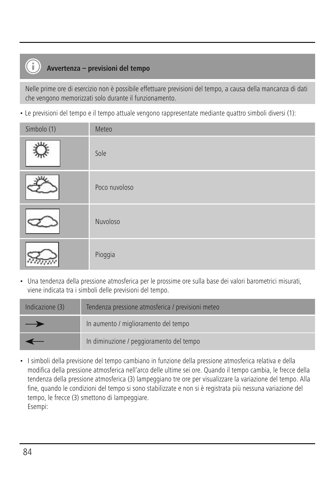## **Avvertenza – previsioni del tempo**

T

Nelle prime ore di esercizio non è possibile effettuare previsioni del tempo, a causa della mancanza di dati che vengono memorizzati solo durante il funzionamento.

• Le previsioni del tempo e il tempo attuale vengono rappresentate mediante quattro simboli diversi (1):

| Simbolo (1) | Meteo         |
|-------------|---------------|
| u.          | Sole          |
|             | Poco nuvoloso |
|             | Nuvoloso      |
|             | Pioggia       |

• Una tendenza della pressione atmosferica per le prossime ore sulla base dei valori barometrici misurati, viene indicata tra i simboli delle previsioni del tempo.

| Indicazione (3) | Tendenza pressione atmosferica / previsioni meteo |
|-----------------|---------------------------------------------------|
| —               | In aumento / miglioramento del tempo              |
|                 | In diminuzione / peggioramento del tempo          |

• I simboli della previsione del tempo cambiano in funzione della pressione atmosferica relativa e della modifica della pressione atmosferica nell'arco delle ultime sei ore. Quando il tempo cambia, le frecce della tendenza della pressione atmosferica (3) lampeggiano tre ore per visualizzare la variazione del tempo. Alla fine, quando le condizioni del tempo si sono stabilizzate e non si è registrata più nessuna variazione del tempo, le frecce (3) smettono di lampeggiare. Esempi: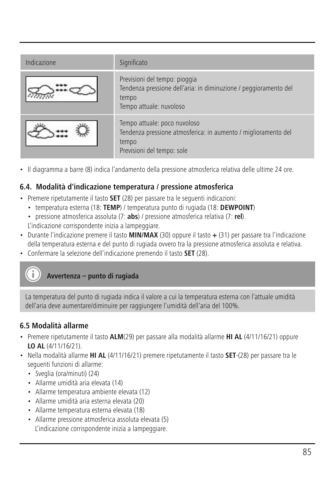| Indicazione | Significato                                                                                                                           |
|-------------|---------------------------------------------------------------------------------------------------------------------------------------|
|             | Previsioni del tempo: pioggia<br>Tendenza pressione dell'aria: in diminuzione / peggioramento del<br>tempo<br>Tempo attuale: nuvoloso |
|             | Tempo attuale: poco nuvoloso<br>Tendenza pressione atmosferica: in aumento / miglioramento del<br>tempo<br>Previsioni del tempo: sole |

• Il diagramma a barre (8) indica l'andamento della pressione atmosferica relativa delle ultime 24 ore.

## **6.4. Modalità d'indicazione temperatura / pressione atmosferica**

- Premere ripetutamente il tasto **SET** (28) per passare tra le seguenti indicazioni:
	- temperatura esterna (18: **TEMP**) / temperatura punto di rugiada (18: **DEWPOINT**)
	- pressione atmosferica assoluta (7: **abs**) / pressione atmosferica relativa (7: **rel**). L'indicazione corrispondente inizia a lampeggiare.
- Durante l'indicazione premere il tasto **MIN/MAX** (30) oppure il tasto **+** (31) per passare tra l'indicazione della temperatura esterna e del punto di rugiada ovvero tra la pressione atmosferica assoluta e relativa.
- Confermare la selezione dell'indicazione premendo il tasto **SET** (28).

## **Avvertenza – punto di rugiada**

La temperatura del punto di rugiada indica il valore a cui la temperatura esterna con l'attuale umidità dell'aria deve aumentare/diminuire per raggiungere l'umidità dell'aria del 100%.

### **6.5 Modalità allarme**

- Premere ripetutamente il tasto **ALM**(29) per passare alla modalità allarme **HI AL** (4/11/16/21) oppure **LO AL** (4/11/16/21).
- Nella modalità allarme **HI AL** (4/11/16/21) premere ripetutamente il tasto **SET**-(28) per passare tra le seguenti funzioni di allarme:
	- Sveglia (ora/minuti) (24)
	- Allarme umidità aria elevata (14)
	- Allarme temperatura ambiente elevata (12)
	- Allarme umidità aria esterna elevata (20)
	- Allarme temperatura esterna elevata (18)
	- Allarme pressione atmosferica assoluta elevata (5) L'indicazione corrispondente inizia a lampeggiare.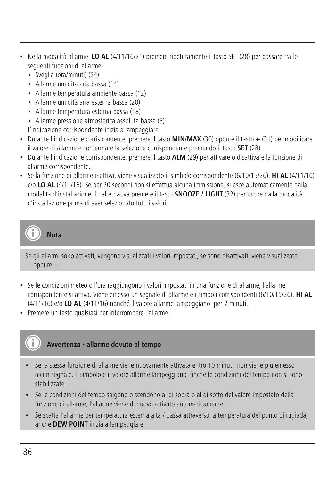- Nella modalità allarme **LO AL** (4/11/16/21) premere ripetutamente il tasto SET (28) per passare tra le seguenti funzioni di allarme:
	- Sveglia (ora/minuti) (24)
	- Allarme umidità aria bassa (14)
	- Allarme temperatura ambiente bassa (12)
	- Allarme umidità aria esterna bassa (20)
	- Allarme temperatura esterna bassa (18)
	- Allarme pressione atmosferica assoluta bassa (5) L'indicazione corrispondente inizia a lampeggiare.
- Durante l'indicazione corrispondente, premere il tasto **MIN/MAX** (30) oppure il tasto **+** (31) per modificare il valore di allarme e confermare la selezione corrispondente premendo il tasto **SET** (28).
- Durante l'indicazione corrispondente, premere il tasto **ALM** (29) per attivare o disattivare la funzione di allarme corrispondente.
- Se la funzione di allarme è attiva, viene visualizzato il simbolo corrispondente (6/10/15/26), **HI AL** (4/11/16) e/o **LO AL** (4/11/16). Se per 20 secondi non si effettua alcuna immissione, si esce automaticamente dalla modalità d'installazione. In alternativa premere il tasto **SNOOZE / LIGHT** (32) per uscire dalla modalità d'installazione prima di aver selezionato tutti i valori.

**Nota**

Se gli allarmi sono attivati, vengono visualizzati i valori impostati, se sono disattivati, viene visualizzato --- oppure -- .

- Se le condizioni meteo o l'ora raggiungono i valori impostati in una funzione di allarme, l'allarme corrispondente si attiva. Viene emesso un segnale di allarme e i simboli corrispondenti (6/10/15/26), **HI AL** (4/11/16) e/o **LO AL** (4/11/16) nonché il valore allarme lampeggiano per 2 minuti.
- Premere un tasto qualsiasi per interrompere l'allarme.

## **Avvertenza - allarme dovuto al tempo**

- Se la stessa funzione di allarme viene nuovamente attivata entro 10 minuti, non viene più emesso alcun segnale. Il simbolo e il valore allarme lampeggiano finché le condizioni del tempo non si sono stabilizzate.
- Se le condizioni del tempo salgono o scendono al di sopra o al di sotto del valore impostato della funzione di allarme, l'allarme viene di nuovo attivato automaticamente.
- Se scatta l'allarme per temperatura esterna alta / bassa attraverso la temperatura del punto di rugiada, anche **DEW POINT** inizia a lampeggiare.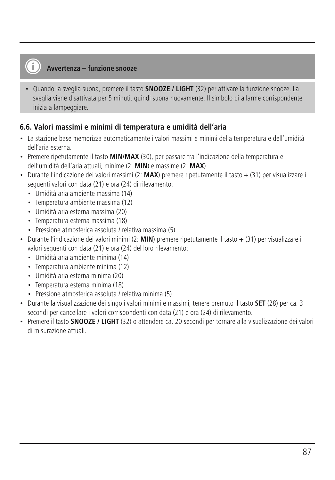## **Avvertenza – funzione snooze**

• Quando la sveglia suona, premere il tasto **SNOOZE / LIGHT** (32) per attivare la funzione snooze. La sveglia viene disattivata per 5 minuti, quindi suona nuovamente. Il simbolo di allarme corrispondente inizia a lampeggiare.

## **6.6. Valori massimi e minimi di temperatura e umidità dell'aria**

- La stazione base memorizza automaticamente i valori massimi e minimi della temperatura e dell'umidità dell'aria esterna.
- Premere ripetutamente il tasto **MIN/MAX** (30), per passare tra l'indicazione della temperatura e dell'umidità dell'aria attuali, minime (2: **MIN**) e massime (2: **MAX**).
- Durante l'indicazione dei valori massimi (2: **MAX**) premere ripetutamente il tasto + (31) per visualizzare i seguenti valori con data (21) e ora (24) di rilevamento:
	- Umidità aria ambiente massima (14)
	- Temperatura ambiente massima (12)
	- Umidità aria esterna massima (20)
	- Temperatura esterna massima (18)
	- Pressione atmosferica assoluta / relativa massima (5)
- Durante l'indicazione dei valori minimi (2: **MIN**) premere ripetutamente il tasto **+** (31) per visualizzare i valori seguenti con data (21) e ora (24) del loro rilevamento:
	- Umidità aria ambiente minima (14)
	- Temperatura ambiente minima (12)
	- Umidità aria esterna minima (20)
	- Temperatura esterna minima (18)
	- Pressione atmosferica assoluta / relativa minima (5)
- Durante la visualizzazione dei singoli valori minimi e massimi, tenere premuto il tasto **SET** (28) per ca. 3 secondi per cancellare i valori corrispondenti con data (21) e ora (24) di rilevamento.
- Premere il tasto **SNOOZE / LIGHT** (32) o attendere ca. 20 secondi per tornare alla visualizzazione dei valori di misurazione attuali.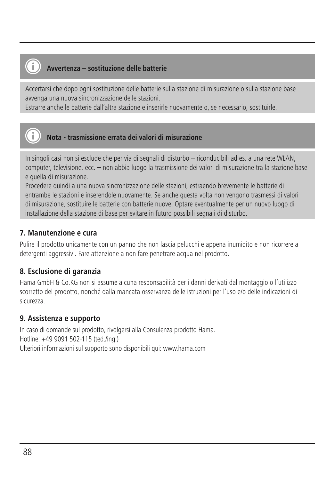## **Avvertenza – sostituzione delle batterie**

Accertarsi che dopo ogni sostituzione delle batterie sulla stazione di misurazione o sulla stazione base avvenga una nuova sincronizzazione delle stazioni.

Estrarre anche le batterie dall'altra stazione e inserirle nuovamente o, se necessario, sostituirle.



## **Nota - trasmissione errata dei valori di misurazione**

In singoli casi non si esclude che per via di segnali di disturbo – riconducibili ad es. a una rete WLAN, computer, televisione, ecc. – non abbia luogo la trasmissione dei valori di misurazione tra la stazione base e quella di misurazione.

Procedere quindi a una nuova sincronizzazione delle stazioni, estraendo brevemente le batterie di entrambe le stazioni e inserendole nuovamente. Se anche questa volta non vengono trasmessi di valori di misurazione, sostituire le batterie con batterie nuove. Optare eventualmente per un nuovo luogo di installazione della stazione di base per evitare in futuro possibili segnali di disturbo.

## **7. Manutenzione e cura**

Pulire il prodotto unicamente con un panno che non lascia pelucchi e appena inumidito e non ricorrere a detergenti aggressivi. Fare attenzione a non fare penetrare acqua nel prodotto.

## **8. Esclusione di garanzia**

Hama GmbH & Co.KG non si assume alcuna responsabilità per i danni derivati dal montaggio o l'utilizzo scorretto del prodotto, nonché dalla mancata osservanza delle istruzioni per l'uso e/o delle indicazioni di sicurezza.

## **9. Assistenza e supporto**

In caso di domande sul prodotto, rivolgersi alla Consulenza prodotto Hama. Hotline: +49 9091 502-115 (ted./ing.) Ulteriori informazioni sul supporto sono disponibili qui: www.hama.com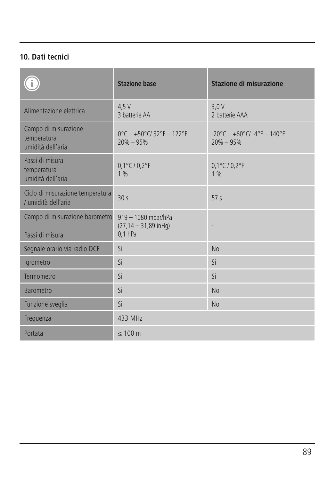## **10. Dati tecnici**

|                                                          | <b>Stazione base</b>                                          | Stazione di misurazione                                |
|----------------------------------------------------------|---------------------------------------------------------------|--------------------------------------------------------|
| Alimentazione elettrica                                  | 4.5V<br>3 batterie AA                                         | 3.0V<br>2 hatterie AAA                                 |
| Campo di misurazione<br>temperatura<br>umidità dell'aria | $0^{\circ}$ C - +50°C/32°F - 122°F<br>$20\% - 95\%$           | $-20^{\circ}$ C - +60°C/ -4°F - 140°F<br>$20\% - 95\%$ |
| Passi di misura<br>temperatura<br>umidità dell'aria      | $0.1^{\circ}$ C / $0.2^{\circ}$ F<br>1%                       | 0,1°C / 0,2°F<br>1%                                    |
| Ciclo di misurazione temperatura<br>/ umidità dell'aria  | 30 <sub>s</sub>                                               | 57s                                                    |
| Campo di misurazione barometro<br>Passi di misura        | 919 - 1080 mbar/hPa<br>$(27, 14 - 31, 89$ in Hq)<br>$0.1$ hPa |                                                        |
| Segnale orario via radio DCF                             | Si                                                            | No                                                     |
| Igrometro                                                | Si                                                            | Si                                                     |
| Termometro                                               | Si                                                            | Si                                                     |
| <b>Barometro</b>                                         | Si                                                            | No                                                     |
| Funzione sveglia                                         | Si                                                            | No                                                     |
| Frequenza                                                | 433 MHz                                                       |                                                        |
| Portata                                                  | $\leq 100$ m                                                  |                                                        |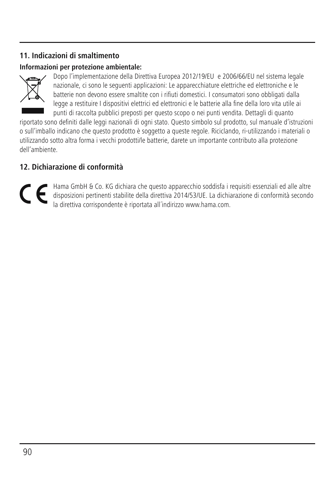## **11. Indicazioni di smaltimento**

## **Informazioni per protezione ambientale:**



Dopo l'implementazione della Direttiva Europea 2012/19/EU e 2006/66/EU nel sistema legale nazionale, ci sono le seguenti applicazioni: Le apparecchiature elettriche ed elettroniche e le batterie non devono essere smaltite con i rifiuti domestici. I consumatori sono obbligati dalla legge a restituire I dispositivi elettrici ed elettronici e le batterie alla fine della loro vita utile ai punti di raccolta pubblici preposti per questo scopo o nei punti vendita. Dettagli di quanto

riportato sono definiti dalle leggi nazionali di ogni stato. Questo simbolo sul prodotto, sul manuale d'istruzioni o sull'imballo indicano che questo prodotto è soggetto a queste regole. Riciclando, ri-utilizzando i materiali o utilizzando sotto altra forma i vecchi prodotti/le batterie, darete un importante contributo alla protezione dell'ambiente.

## **12. Dichiarazione di conformità**

Hama GmbH & Co. KG dichiara che questo apparecchio soddisfa i requisiti essenziali ed alle altre CE disposizioni pertinenti stabilite della direttiva 2014/53/UE. La dichiarazione di conformità secondo la direttiva corrispondente è riportata all´indirizzo www.hama.com.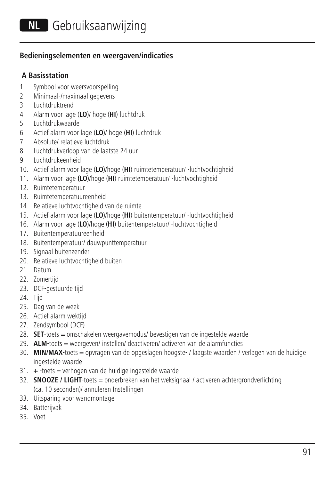#### **Bedieningselementen en weergaven/indicaties**

#### **A Basisstation**

- 1. Symbool voor weersvoorspelling
- 2. Minimaal-/maximaal gegevens
- 3. Luchtdruktrend
- 4. Alarm voor lage (**LO**)/ hoge (**HI**) luchtdruk
- 5. Luchtdrukwaarde
- 6. Actief alarm voor lage (**LO**)/ hoge (**HI**) luchtdruk
- 7. Absolute/ relatieve luchtdruk
- 8. Luchtdrukverloop van de laatste 24 uur
- 9. Luchtdrukeenheid
- 10. Actief alarm voor lage (**LO**)/hoge (**HI**) ruimtetemperatuur/ -luchtvochtigheid
- 11. Alarm voor lage **(LO**)/hoge (**HI**) ruimtetemperatuur/ -luchtvochtigheid
- 12. Ruimtetemperatuur
- 13. Ruimtetemperatuureenheid
- 14. Relatieve luchtvochtigheid van de ruimte
- 15. Actief alarm voor lage (**LO**)/hoge (**HI**) buitentemperatuur/ -luchtvochtigheid
- 16. Alarm voor lage (**LO**)/hoge (**HI**) buitentemperatuur/ -luchtvochtigheid
- 17. Buitentemperatuureenheid
- 18. Buitentemperatuur/ dauwpunttemperatuur
- 19. Signaal buitenzender
- 20. Relatieve luchtvochtigheid buiten
- 21. Datum
- 22. Zomertijd
- 23. DCF-gestuurde tijd
- 24. Tijd
- 25. Dag van de week
- 26. Actief alarm wektijd
- 27. Zendsymbool (DCF)
- 28. **SET**-toets = omschakelen weergavemodus/ bevestigen van de ingestelde waarde
- 29. **ALM**-toets = weergeven/ instellen/ deactiveren/ activeren van de alarmfuncties
- 30. **MIN/MAX**-toets = opvragen van de opgeslagen hoogste- / laagste waarden / verlagen van de huidige ingestelde waarde
- 31. **+** -toets = verhogen van de huidige ingestelde waarde
- 32. **SNOOZE / LIGHT**-toets = onderbreken van het weksignaal / activeren achtergrondverlichting (ca. 10 seconden)/ annuleren Instellingen
- 33. Uitsparing voor wandmontage
- 34. Batterijvak
- 35. Voet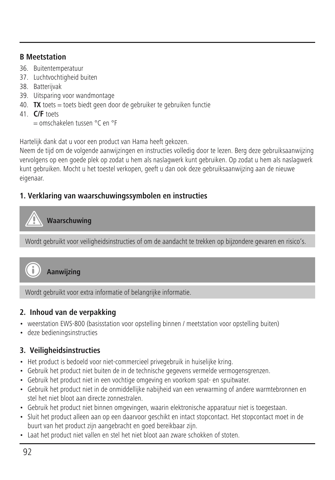#### **B Meetstation**

- 36. Buitentemperatuur
- 37. Luchtvochtigheid buiten
- 38. Batterijvak
- 39. Uitsparing voor wandmontage
- 40. **TX** toets = toets biedt geen door de gebruiker te gebruiken functie
- 41. **C/F** toets
	- = omschakelen tussen °C en °F

Hartelijk dank dat u voor een product van Hama heeft gekozen.

Neem de tijd om de volgende aanwijzingen en instructies volledig door te lezen. Berg deze gebruiksaanwijzing vervolgens op een goede plek op zodat u hem als naslagwerk kunt gebruiken. Op zodat u hem als naslagwerk kunt gebruiken. Mocht u het toestel verkopen, geeft u dan ook deze gebruiksaanwijzing aan de nieuwe eigenaar.

## **1. Verklaring van waarschuwingssymbolen en instructies**

## **Waarschuwing**

Wordt gebruikt voor veiligheidsinstructies of om de aandacht te trekken op bijzondere gevaren en risico's.



**Aanwijzing**

Wordt gebruikt voor extra informatie of belangrijke informatie.

## **2. Inhoud van de verpakking**

- weerstation EWS-800 (basisstation voor opstelling binnen / meetstation voor opstelling buiten)
- deze bedieningsinstructies

## **3. Veiligheidsinstructies**

- Het product is bedoeld voor niet-commercieel privegebruik in huiselijke kring.
- Gebruik het product niet buiten de in de technische gegevens vermelde vermogensgrenzen.
- Gebruik het product niet in een vochtige omgeving en voorkom spat- en spuitwater.
- Gebruik het product niet in de onmiddellijke nabijheid van een verwarming of andere warmtebronnen en stel het niet bloot aan directe zonnestralen.
- Gebruik het product niet binnen omgevingen, waarin elektronische apparatuur niet is toegestaan.
- Sluit het product alleen aan op een daarvoor geschikt en intact stopcontact. Het stopcontact moet in de buurt van het product zijn aangebracht en goed bereikbaar zijn.
- Laat het product niet vallen en stel het niet bloot aan zware schokken of stoten.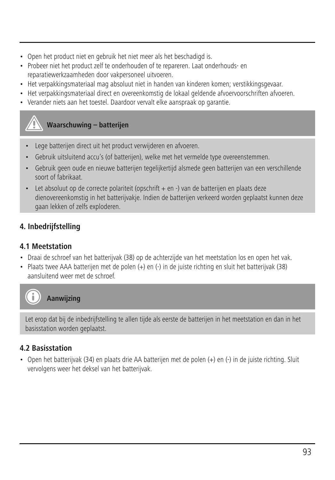- Open het product niet en gebruik het niet meer als het beschadigd is.
- Probeer niet het product zelf te onderhouden of te repareren. Laat onderhouds- en reparatiewerkzaamheden door vakpersoneel uitvoeren.
- Het verpakkingsmateriaal mag absoluut niet in handen van kinderen komen; verstikkingsgevaar.
- Het verpakkingsmateriaal direct en overeenkomstig de lokaal geldende afvoervoorschriften afvoeren.
- Verander niets aan het toestel. Daardoor vervalt elke aanspraak op garantie.

## **Waarschuwing – batterijen**

- Lege batterijen direct uit het product verwijderen en afvoeren.
- Gebruik uitsluitend accu's (of batterijen), welke met het vermelde type overeenstemmen.
- Gebruik geen oude en nieuwe batterijen tegelijkertijd alsmede geen batterijen van een verschillende soort of fabrikaat.
- Let absoluut op de correcte polariteit (opschrift + en -) van de batterijen en plaats deze dienovereenkomstig in het batterijvakje. Indien de batterijen verkeerd worden geplaatst kunnen deze gaan lekken of zelfs exploderen.

## **4. Inbedrijfstelling**

## **4.1 Meetstation**

- Draai de schroef van het batterijvak (38) op de achterzijde van het meetstation los en open het vak.
- Plaats twee AAA batterijen met de polen (+) en (-) in de juiste richting en sluit het batterijvak (38) aansluitend weer met de schroef.



## **Aanwijzing**

Let erop dat bij de inbedrijfstelling te allen tijde als eerste de batterijen in het meetstation en dan in het basisstation worden geplaatst.

## **4.2 Basisstation**

• Open het batterijvak (34) en plaats drie AA batterijen met de polen (+) en (-) in de juiste richting. Sluit vervolgens weer het deksel van het batterijvak.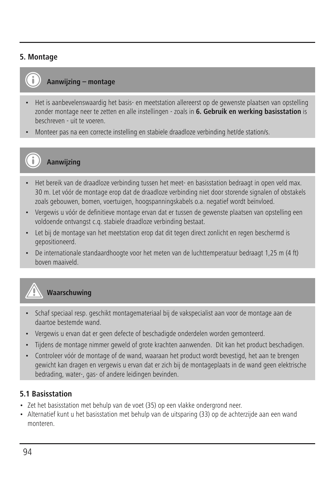#### **5. Montage**



## **Aanwijzing – montage**

- Het is aanbevelenswaardig het basis- en meetstation allereerst op de gewenste plaatsen van opstelling zonder montage neer te zetten en alle instellingen - zoals in **6. Gebruik en werking basisstation** is beschreven - uit te voeren.
- Monteer pas na een correcte instelling en stabiele draadloze verbinding het/de station/s.



# **Aanwijzing**

- Het bereik van de draadloze verbinding tussen het meet- en basisstation bedraagt in open veld max. 30 m. Let vóór de montage erop dat de draadloze verbinding niet door storende signalen of obstakels zoals gebouwen, bomen, voertuigen, hoogspanningskabels o.a. negatief wordt beïnvloed.
- Vergewis u vóór de definitieve montage ervan dat er tussen de gewenste plaatsen van opstelling een voldoende ontvangst c.q. stabiele draadloze verbinding bestaat.
- Let bij de montage van het meetstation erop dat dit tegen direct zonlicht en regen beschermd is gepositioneerd.
- De internationale standaardhoogte voor het meten van de luchttemperatuur bedraagt 1,25 m (4 ft) boven maaiveld.



## **Waarschuwing**

- Schaf speciaal resp. geschikt montagemateriaal bij de vakspecialist aan voor de montage aan de daartoe bestemde wand.
- Vergewis u ervan dat er geen defecte of beschadigde onderdelen worden gemonteerd.
- Tijdens de montage nimmer geweld of grote krachten aanwenden. Dit kan het product beschadigen.
- Controleer vóór de montage of de wand, waaraan het product wordt bevestigd, het aan te brengen gewicht kan dragen en vergewis u ervan dat er zich bij de montageplaats in de wand geen elektrische bedrading, water-, gas- of andere leidingen bevinden.

## **5.1 Basisstation**

- Zet het basisstation met behulp van de voet (35) op een vlakke ondergrond neer.
- Alternatief kunt u het basisstation met behulp van de uitsparing (33) op de achterzijde aan een wand monteren.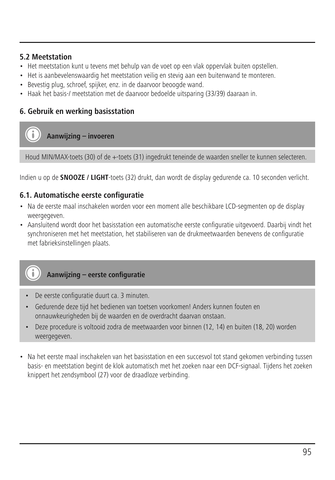#### **5.2 Meetstation**

- Het meetstation kunt u tevens met behulp van de voet op een vlak oppervlak buiten opstellen.
- Het is aanbevelenswaardig het meetstation veilig en stevig aan een buitenwand te monteren.
- Bevestig plug, schroef, spijker, enz. in de daarvoor beoogde wand.
- Haak het basis-/ meetstation met de daarvoor bedoelde uitsparing (33/39) daaraan in.

## **6. Gebruik en werking basisstation**

## **Aanwijzing – invoeren**

Houd MIN/MAX-toets (30) of de +-toets (31) ingedrukt teneinde de waarden sneller te kunnen selecteren.

Indien u op de **SNOOZE / LIGHT**-toets (32) drukt, dan wordt de display gedurende ca. 10 seconden verlicht.

## **6.1. Automatische eerste configuratie**

- Na de eerste maal inschakelen worden voor een moment alle beschikbare LCD-segmenten op de display weergegeven.
- Aansluitend wordt door het basisstation een automatische eerste configuratie uitgevoerd. Daarbij vindt het synchroniseren met het meetstation, het stabiliseren van de drukmeetwaarden benevens de configuratie met fabrieksinstellingen plaats.



- De eerste configuratie duurt ca. 3 minuten.
- Gedurende deze tijd het bedienen van toetsen voorkomen! Anders kunnen fouten en onnauwkeurigheden bij de waarden en de overdracht daarvan onstaan.
- Deze procedure is voltooid zodra de meetwaarden voor binnen (12, 14) en buiten (18, 20) worden weergegeven.
- Na het eerste maal inschakelen van het basisstation en een succesvol tot stand gekomen verbinding tussen basis- en meetstation begint de klok automatisch met het zoeken naar een DCF-signaal. Tijdens het zoeken knippert het zendsymbool (27) voor de draadloze verbinding.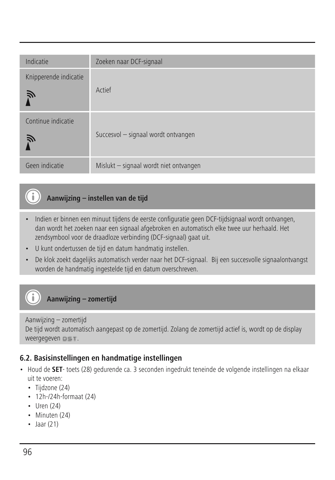| Indicatie                  | Zoeken naar DCF-signaal                |
|----------------------------|----------------------------------------|
| Knipperende indicatie<br>Ñ | Actief                                 |
| Continue indicatie<br>Ñ    | Succesvol - signaal wordt ontvangen    |
| Geen indicatie             | Mislukt - signaal wordt niet ontvangen |

## **Aanwijzing – instellen van de tijd**

- Indien er binnen een minuut tijdens de eerste configuratie geen DCF-tijdsignaal wordt ontvangen, dan wordt het zoeken naar een signaal afgebroken en automatisch elke twee uur herhaald. Het zendsymbool voor de draadloze verbinding (DCF-signaal) gaat uit.
- U kunt ondertussen de tijd en datum handmatig instellen.
- De klok zoekt dagelijks automatisch verder naar het DCF-signaal. Bij een succesvolle signaalontvangst worden de handmatig ingestelde tijd en datum overschreven.

## **Aanwijzing – zomertijd**

#### Aanwijzing – zomertijd De tijd wordt automatisch aangepast op de zomertijd. Zolang de zomertijd actief is, wordt op de display weergegeven  $0 \leq T$ .

## **6.2. Basisinstellingen en handmatige instellingen**

- Houd de **SET** toets (28) gedurende ca. 3 seconden ingedrukt teneinde de volgende instellingen na elkaar uit te voeren:
	- Tijdzone (24)
	- 12h-/24h-formaat (24)
	- Uren (24)

Œ

G

- Minuten (24)
- Jaar (21)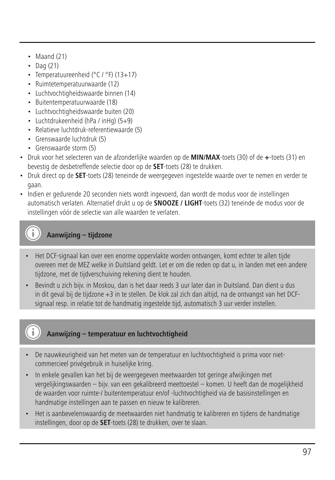- $\cdot$  Maand (21)
- Dag (21)
- Temperatuureenheid (°C / °F) (13+17)
- Ruimtetemperatuurwaarde (12)
- Luchtvochtigheidswaarde binnen (14)
- Buitentemperatuurwaarde (18)
- Luchtvochtigheidswaarde buiten (20)
- Luchtdrukeenheid (hPa / inHg) (5+9)
- Relatieve luchtdruk-referentiewaarde (5)
- Grenswaarde luchtdruk (5)
- Grenswaarde storm (5)
- Druk voor het selecteren van de afzonderlijke waarden op de **MIN/MAX**-toets (30) of de **+**-toets (31) en bevestig de desbetreffende selectie door op de **SET**-toets (28) te drukken.
- Druk direct op de **SET**-toets (28) teneinde de weergegeven ingestelde waarde over te nemen en verder te gaan.
- Indien er gedurende 20 seconden niets wordt ingevoerd, dan wordt de modus voor de instellingen automatisch verlaten. Alternatief drukt u op de **SNOOZE / LIGHT**-toets (32) teneinde de modus voor de instellingen vóór de selectie van alle waarden te verlaten.

# **Aanwijzing – tijdzone**

- Het DCF-signaal kan over een enorme oppervlakte worden ontvangen, komt echter te allen tijde overeen met de MEZ welke in Duitsland geldt. Let er om die reden op dat u, in landen met een andere tijdzone, met de tijdverschuiving rekening dient te houden.
- Bevindt u zich bijv. in Moskou, dan is het daar reeds 3 uur later dan in Duitsland. Dan dient u dus in dit geval bij de tijdzone +3 in te stellen. De klok zal zich dan altijd, na de ontvangst van het DCFsignaal resp. in relatie tot de handmatig ingestelde tijd, automatisch 3 uur verder instellen.

## **Aanwijzing – temperatuur en luchtvochtigheid**

- De nauwkeurigheid van het meten van de temperatuur en luchtvochtigheid is prima voor nietcommercieel privégebruik in huiselijke kring.
- In enkele gevallen kan het bij de weergegeven meetwaarden tot geringe afwijkingen met vergelijkingswaarden – bijv. van een gekalibreerd meettoestel – komen. U heeft dan de mogelijkheid de waarden voor ruimte-/ buitentemperatuur en/of -luchtvochtigheid via de basisinstellingen en handmatige instellingen aan te passen en nieuw te kalibreren.
- Het is aanbevelenswaardig de meetwaarden niet handmatig te kalibreren en tijdens de handmatige instellingen, door op de **SET**-toets (28) te drukken, over te slaan.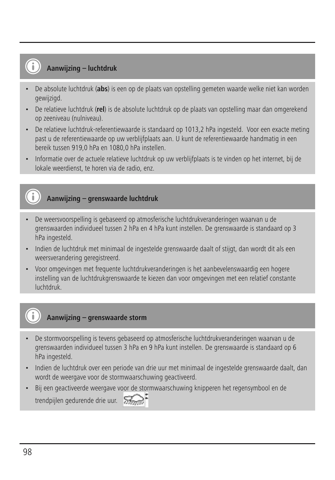# **Aanwijzing – luchtdruk**

- De absolute luchtdruk (**abs**) is een op de plaats van opstelling gemeten waarde welke niet kan worden gewijzigd.
- De relatieve luchtdruk (**rel**) is de absolute luchtdruk op de plaats van opstelling maar dan omgerekend op zeeniveau (nulniveau).
- De relatieve luchtdruk-referentiewaarde is standaard op 1013,2 hPa ingesteld. Voor een exacte meting past u de referentiewaarde op uw verblijfplaats aan. U kunt de referentiewaarde handmatig in een bereik tussen 919,0 hPa en 1080,0 hPa instellen.
- Informatie over de actuele relatieve luchtdruk op uw verblijfplaats is te vinden op het internet, bij de lokale weerdienst, te horen via de radio, enz.

## **Aanwijzing – grenswaarde luchtdruk**

- De weersvoorspelling is gebaseerd op atmosferische luchtdrukveranderingen waarvan u de grenswaarden individueel tussen 2 hPa en 4 hPa kunt instellen. De grenswaarde is standaard op 3 hPa ingesteld.
- Indien de luchtdruk met minimaal de ingestelde grenswaarde daalt of stijgt, dan wordt dit als een weersverandering geregistreerd.
- Voor omgevingen met frequente luchtdrukveranderingen is het aanbevelenswaardig een hogere instelling van de luchtdrukgrenswaarde te kiezen dan voor omgevingen met een relatief constante luchtdruk.

## **Aanwijzing – grenswaarde storm**

- De stormvoorspelling is tevens gebaseerd op atmosferische luchtdrukveranderingen waarvan u de grenswaarden individueel tussen 3 hPa en 9 hPa kunt instellen. De grenswaarde is standaard op 6 hPa ingesteld.
- Indien de luchtdruk over een periode van drie uur met minimaal de ingestelde grenswaarde daalt, dan wordt de weergave voor de stormwaarschuwing geactiveerd.
- Bij een geactiveerde weergave voor de stormwaarschuwing knipperen het regensymbool en de trendpijlen gedurende drie uur.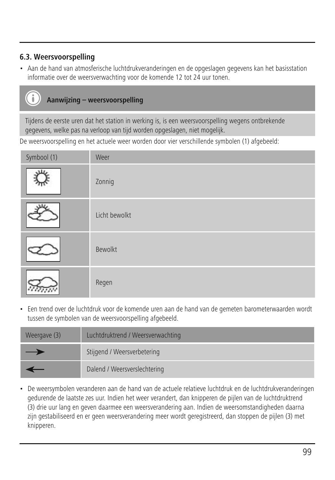## **6.3. Weersvoorspelling**

• Aan de hand van atmosferische luchtdrukveranderingen en de opgeslagen gegevens kan het basisstation informatie over de weersverwachting voor de komende 12 tot 24 uur tonen.

# **Aanwijzing – weersvoorspelling**

Tijdens de eerste uren dat het station in werking is, is een weersvoorspelling wegens ontbrekende gegevens, welke pas na verloop van tijd worden opgeslagen, niet mogelijk.

De weersvoorspelling en het actuele weer worden door vier verschillende symbolen (1) afgebeeld:

| Symbool (1) | Weer          |
|-------------|---------------|
| u.          | Zonnig        |
|             | Licht bewolkt |
|             | Bewolkt       |
|             | Regen         |

• Een trend over de luchtdruk voor de komende uren aan de hand van de gemeten barometerwaarden wordt tussen de symbolen van de weersvoorspelling afgebeeld.

| Weergave (3) | Luchtdruktrend / Weersverwachting |
|--------------|-----------------------------------|
| –            | Stijgend / Weersverbetering       |
|              | Dalend / Weersverslechtering      |

• De weersymbolen veranderen aan de hand van de actuele relatieve luchtdruk en de luchtdrukveranderingen gedurende de laatste zes uur. Indien het weer verandert, dan knipperen de pijlen van de luchtdruktrend (3) drie uur lang en geven daarmee een weersverandering aan. Indien de weersomstandigheden daarna zijn gestabiliseerd en er geen weersverandering meer wordt geregistreerd, dan stoppen de pijlen (3) met knipperen.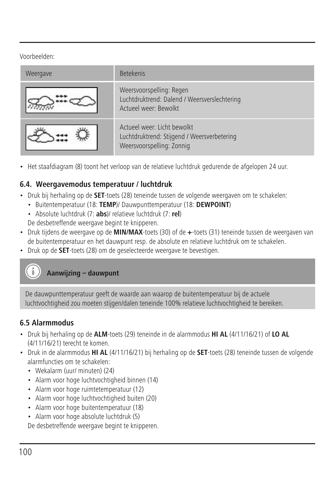Voorbeelden:

| Weergave | <b>Betekenis</b>                                                                                        |
|----------|---------------------------------------------------------------------------------------------------------|
|          | Weersvoorspelling: Regen<br>Luchtdruktrend: Dalend / Weersverslechtering<br>Actueel weer: Bewolkt       |
|          | Actueel weer: Licht bewolkt<br>Luchtdruktrend: Stijgend / Weersverbetering<br>Weersvoorspelling: Zonnig |

• Het staafdiagram (8) toont het verloop van de relatieve luchtdruk gedurende de afgelopen 24 uur.

## **6.4. Weergavemodus temperatuur / luchtdruk**

- Druk bij herhaling op de **SET**-toets (28) teneinde tussen de volgende weergaven om te schakelen:
	- Buitentemperatuur (18: **TEMP**)/ Dauwpunttemperatuur (18: **DEWPOINT**)
	- Absolute luchtdruk (7: **abs**)/ relatieve luchtdruk (7: **rel**)

De desbetreffende weergave begint te knipperen.

- Druk tijdens de weergave op de **MIN/MAX**-toets (30) of de **+**-toets (31) teneinde tussen de weergaven van de buitentemperatuur en het dauwpunt resp. de absolute en relatieve luchtdruk om te schakelen.
- Druk op de **SET**-toets (28) om de geselecteerde weergave te bevestigen.

# **Aanwijzing – dauwpunt**

De dauwpunttemperatuur geeft de waarde aan waarop de buitentemperatuur bij de actuele luchtvochtigheid zou moeten stijgen/dalen teneinde 100% relatieve luchtvochtigheid te bereiken.

## **6.5 Alarmmodus**

- Druk bij herhaling op de **ALM**-toets (29) teneinde in de alarmmodus **HI AL** (4/11/16/21) of **LO AL** (4/11/16/21) terecht te komen.
- Druk in de alarmmodus **HI AL** (4/11/16/21) bij herhaling op de **SET**-toets (28) teneinde tussen de volgende alarmfuncties om te schakelen:
	- Wekalarm (uur/ minuten) (24)
	- Alarm voor hoge luchtvochtigheid binnen (14)
	- Alarm voor hoge ruimtetemperatuur (12)
	- Alarm voor hoge luchtvochtigheid buiten (20)
	- Alarm voor hoge buitentemperatuur (18)
	- Alarm voor hoge absolute luchtdruk (5)

De desbetreffende weergave begint te knipperen.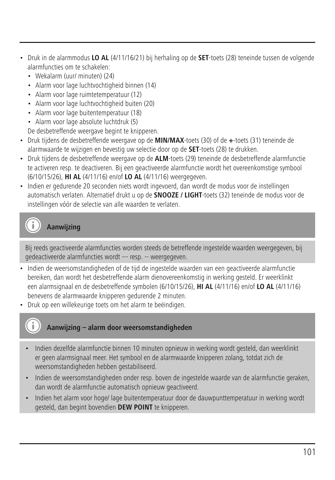- Druk in de alarmmodus **LO AL** (4/11/16/21) bij herhaling op de **SET**-toets (28) teneinde tussen de volgende alarmfuncties om te schakelen:
	- Wekalarm (uur/ minuten) (24)
	- Alarm voor lage luchtvochtigheid binnen (14)
	- Alarm voor lage ruimtetemperatuur (12)
	- Alarm voor lage luchtvochtigheid buiten (20)
	- Alarm voor lage buitentemperatuur (18)
	- Alarm voor lage absolute luchtdruk (5)

De desbetreffende weergave begint te knipperen.

- Druk tijdens de desbetreffende weergave op de **MIN/MAX**-toets (30) of de **+**-toets (31) teneinde de alarmwaarde te wijzigen en bevestig uw selectie door op de **SET**-toets (28) te drukken.
- Druk tijdens de desbetreffende weergave op de **ALM**-toets (29) teneinde de desbetreffende alarmfunctie te activeren resp. te deactiveren. Bij een geactiveerde alarmfunctie wordt het overeenkomstige symbool (6/10/15/26), **HI AL** (4/11/16) en/of **LO AL** (4/11/16) weergegeven.
- Indien er gedurende 20 seconden niets wordt ingevoerd, dan wordt de modus voor de instellingen automatisch verlaten. Alternatief drukt u op de **SNOOZE / LIGHT**-toets (32) teneinde de modus voor de instellingen vóór de selectie van alle waarden te verlaten.

**Aanwijzing**

Bij reeds geactiveerde alarmfuncties worden steeds de betreffende ingestelde waarden weergegeven, bij gedeactiveerde alarmfuncties wordt --- resp. -- weergegeven.

- Indien de weersomstandigheden of de tijd de ingestelde waarden van een geactiveerde alarmfunctie bereiken, dan wordt het desbetreffende alarm dienovereenkomstig in werking gesteld. Er weerklinkt een alarmsignaal en de desbetreffende symbolen (6/10/15/26), **HI AL** (4/11/16) en/of **LO AL** (4/11/16) benevens de alarmwaarde knipperen gedurende 2 minuten.
- Druk op een willekeurige toets om het alarm te beëindigen.

## **Aanwijzing – alarm door weersomstandigheden**

- Indien dezelfde alarmfunctie binnen 10 minuten opnieuw in werking wordt gesteld, dan weerklinkt er geen alarmsignaal meer. Het symbool en de alarmwaarde knipperen zolang, totdat zich de weersomstandigheden hebben gestabiliseerd.
- Indien de weersomstandigheden onder resp. boven de ingestelde waarde van de alarmfunctie geraken, dan wordt de alarmfunctie automatisch opnieuw geactiveerd.
- Indien het alarm voor hoge/ lage buitentemperatuur door de dauwpunttemperatuur in werking wordt gesteld, dan begint bovendien **DEW POINT** te knipperen.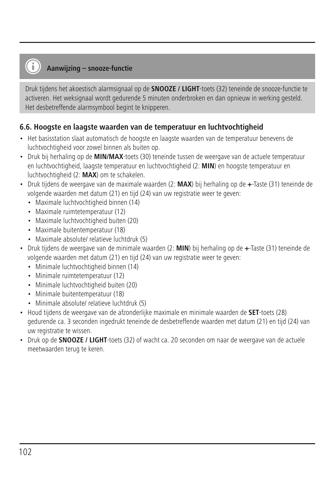## **Aanwijzing – snooze-functie**

Druk tijdens het akoestisch alarmsignaal op de **SNOOZE / LIGHT**-toets (32) teneinde de snooze-functie te activeren. Het weksignaal wordt gedurende 5 minuten onderbroken en dan opnieuw in werking gesteld. Het desbetreffende alarmsymbool begint te knipperen.

#### **6.6. Hoogste en laagste waarden van de temperatuur en luchtvochtigheid**

- Het basisstation slaat automatisch de hoogste en laagste waarden van de temperatuur benevens de luchtvochtigheid voor zowel binnen als buiten op.
- Druk bij herhaling op de **MIN/MAX**-toets (30) teneinde tussen de weergave van de actuele temperatuur en luchtvochtigheid, laagste temperatuur en luchtvochtigheid (2: **MIN**) en hoogste temperatuur en luchtvochtigheid (2: **MAX**) om te schakelen.
- Druk tijdens de weergave van de maximale waarden (2: **MAX**) bij herhaling op de **+**-Taste (31) teneinde de volgende waarden met datum (21) en tijd (24) van uw registratie weer te geven:
	- Maximale luchtvochtigheid binnen (14)
	- Maximale ruimtetemperatuur (12)
	- Maximale luchtvochtigheid buiten (20)
	- Maximale buitentemperatuur (18)
	- Maximale absolute/ relatieve luchtdruk (5)
- Druk tijdens de weergave van de minimale waarden (2: **MIN**) bij herhaling op de **+**-Taste (31) teneinde de volgende waarden met datum (21) en tijd (24) van uw registratie weer te geven:
	- Minimale luchtvochtigheid binnen (14)
	- Minimale ruimtetemperatuur (12)
	- Minimale luchtvochtigheid buiten (20)
	- Minimale buitentemperatuur (18)
	- Minimale absolute/ relatieve luchtdruk (5)
- Houd tijdens de weergave van de afzonderlijke maximale en minimale waarden de **SET**-toets (28) gedurende ca. 3 seconden ingedrukt teneinde de desbetreffende waarden met datum (21) en tijd (24) van uw registratie te wissen.
- Druk op de **SNOOZE / LIGHT**-toets (32) of wacht ca. 20 seconden om naar de weergave van de actuele meetwaarden terug te keren.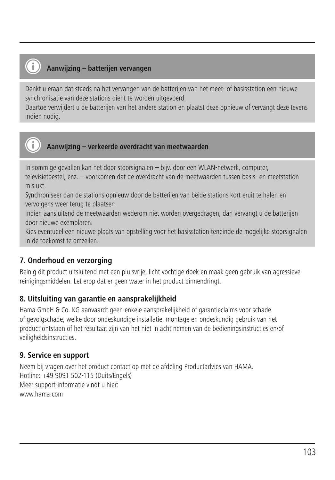# **Aanwijzing – batterijen vervangen**

Denkt u eraan dat steeds na het vervangen van de batterijen van het meet- of basisstation een nieuwe synchronisatie van deze stations dient te worden uitgevoerd.

Daartoe verwijdert u de batterijen van het andere station en plaatst deze opnieuw of vervangt deze tevens indien nodig.



**Aanwijzing – verkeerde overdracht van meetwaarden**

In sommige gevallen kan het door stoorsignalen – bijv. door een WLAN-netwerk, computer, televisietoestel, enz. – voorkomen dat de overdracht van de meetwaarden tussen basis- en meetstation mislukt.

Synchroniseer dan de stations opnieuw door de batterijen van beide stations kort eruit te halen en vervolgens weer terug te plaatsen.

Indien aansluitend de meetwaarden wederom niet worden overgedragen, dan vervangt u de batterijen door nieuwe exemplaren.

Kies eventueel een nieuwe plaats van opstelling voor het basisstation teneinde de mogelijke stoorsignalen in de toekomst te omzeilen.

## **7. Onderhoud en verzorging**

Reinig dit product uitsluitend met een pluisvrije, licht vochtige doek en maak geen gebruik van agressieve reinigingsmiddelen. Let erop dat er geen water in het product binnendringt.

## **8. Uitsluiting van garantie en aansprakelijkheid**

Hama GmbH & Co. KG aanvaardt geen enkele aansprakelijkheid of garantieclaims voor schade of gevolgschade, welke door ondeskundige installatie, montage en ondeskundig gebruik van het product ontstaan of het resultaat zijn van het niet in acht nemen van de bedieningsinstructies en/of veiligheidsinstructies.

## **9. Service en support**

Neem bij vragen over het product contact op met de afdeling Productadvies van HAMA. Hotline: +49 9091 502-115 (Duits/Engels) Meer support-informatie vindt u hier: www.hama.com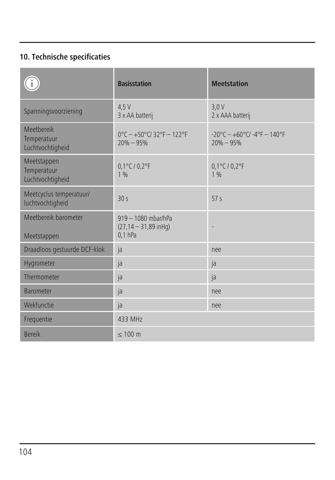# **10. Technische specificaties**

|                                                | <b>Basisstation</b>                                           | <b>Meetstation</b>                                                       |
|------------------------------------------------|---------------------------------------------------------------|--------------------------------------------------------------------------|
| Spanningsvoorziening                           | 4.5V<br>3 x AA batterij                                       | 3.0V<br>2 x AAA batterij                                                 |
| Meethereik<br>Temperatuur<br>Luchtvochtigheid  | $0^{\circ}$ C - +50°C/32°F - 122°F<br>$20% - 95%$             | $-20^{\circ}$ C - $+60^{\circ}$ C/ $-4^{\circ}$ F - 140°F<br>$20% - 95%$ |
| Meetstappen<br>Temperatuur<br>Luchtvochtigheid | $0,1^{\circ}$ C / $0,2^{\circ}$ F<br>1%                       | $0,1^{\circ}$ C / $0,2^{\circ}$ F<br>1%                                  |
| Meetcyclus temperatuur/<br>luchtvochtigheid    | 30 <sub>s</sub>                                               | 57 <sub>5</sub>                                                          |
| Meethereik barometer<br>Meetstappen            | 919 - 1080 mbar/hPa<br>$(27, 14 - 31, 89$ in Hq)<br>$0.1$ hPa |                                                                          |
| Draadloos gestuurde DCF-klok                   | ja                                                            | nee                                                                      |
| Hygrometer                                     | ja                                                            | ja                                                                       |
| Thermometer                                    | ja                                                            | ja                                                                       |
| <b>Barometer</b>                               | ja                                                            | nee                                                                      |
| Wekfunctie                                     | ja                                                            | nee                                                                      |
| Frequentie                                     | 433 MHz                                                       |                                                                          |
| <b>Bereik</b>                                  | $\leq 100$ m                                                  |                                                                          |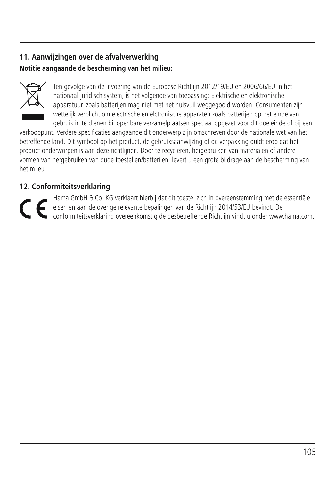## **11. Aanwijzingen over de afvalverwerking Notitie aangaande de bescherming van het milieu:**



Ten gevolge van de invoering van de Europese Richtlijn 2012/19/EU en 2006/66/EU in het nationaal juridisch system, is het volgende van toepassing: Elektrische en elektronische apparatuur, zoals batterijen mag niet met het huisvuil weggegooid worden. Consumenten zijn wettelijk verplicht om electrische en elctronische apparaten zoals batterijen op het einde van gebruik in te dienen bij openbare verzamelplaatsen speciaal opgezet voor dit doeleinde of bij een

verkooppunt. Verdere specificaties aangaande dit onderwerp zijn omschreven door de nationale wet van het betreffende land. Dit symbool op het product, de gebruiksaanwijzing of de verpakking duidt erop dat het product onderworpen is aan deze richtlijnen. Door te recycleren, hergebruiken van materialen of andere vormen van hergebruiken van oude toestellen/batterijen, levert u een grote bijdrage aan de bescherming van het mileu.

## **12. Conformiteitsverklaring**

Hama GmbH & Co. KG verklaart hierbij dat dit toestel zich in overeenstemming met de essentiële eisen en aan de overige relevante bepalingen van de Richtlijn 2014/53/EU bevindt. De<br>conformiteitsverklaring overeenkomstig de desbetreffende Richtlijn vindt u onder www.hama.com.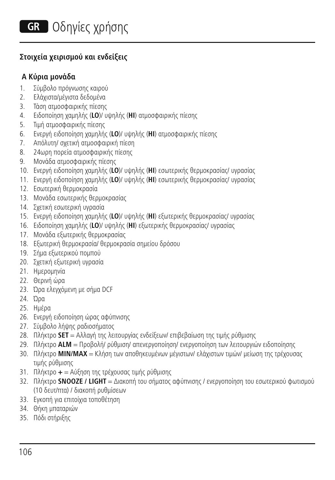## **Στοιχεία χειρισμού και ενδείξεις**

## **A Κύρια μονάδα**

- 1. Σύμβολο πρόγνωσης καιρού
- 2. Ελάχιστα/μέγιστα δεδομένα
- 3. Τάση ατμοσφαιρικής πίεσης
- 4. Ειδοποίηση χαμηλής (**LO**)/ υψηλής (**HI**) ατμοσφαιρικής πίεσης
- 5. Τιμή ατμοσφαιρικής πίεσης
- 6. Ενεργή ειδοποίηση χαμηλής (**LO**)/ υψηλής (**HI**) ατμοσφαιρικής πίεσης
- 7. Απόλυτη/ σχετική ατμοσφαιρική πίεση
- 8. 24ωρη πορεία ατμοσφαιρικής πίεσης
- 9. Μονάδα ατμοσφαιρικής πίεσης
- 10. Ενεργή ειδοποίηση χαμηλής (**LO**)/ υψηλής (**HI**) εσωτερικής θερμοκρασίας/ υγρασίας
- 11. Ενεργή ειδοποίηση χαμηλής (**LO**)/ υψηλής (**HI**) εσωτερικής θερμοκρασίας/ υγρασίας
- 12. Εσωτερική θερμοκρασία
- 13. Μονάδα εσωτερικής θερμοκρασίας
- 14. Σχετική εσωτερική υγρασία
- 15. Ενεργή ειδοποίηση χαμηλής (**LO**)/ υψηλής (**HI**) εξωτερικής θερμοκρασίας/ υγρασίας
- 16. Ειδοποίηση χαμηλής (**LO**)/ υψηλής (**HI**) εξωτερικής θερμοκρασίας/ υγρασίας
- 17. Μονάδα εξωτερικής θερμοκρασίας
- 18. Εξωτερική θερμοκρασία/ θερμοκρασία σημείου δρόσου
- 19. Σήμα εξωτερικού πομπού
- 20. Σχετική εξωτερική υγρασία
- 21. Ημερομηνία
- 22. Θερινή ώρα
- 23. Ώρα ελεγχόμενη με σήμα DCF
- 24. Ώρα
- 25. Ημέρα
- 26. Ενεργή ειδοποίηση ώρας αφύπνισης
- 27. Σύμβολο λήψης ραδιοσήματος
- 28. Πλήκτρο **SET** = Αλλαγή της λειτουργίας ενδείξεων/ επιβεβαίωση της τιμής ρύθμισης
- 29. Πλήκτρο **ALM** = Προβολή/ ρύθμιση/ απενεργοποίηση/ ενεργοποίηση των λειτουργιών ειδοποίησης
- 30. Πλήκτρο **MIN/MAX** = Κλήση των αποθηκευμένων μέγιστων/ ελάχιστων τιμών/ μείωση της τρέχουσας τιμής ρύθμισης
- 31. Πλήκτρο **+** = Αύξηση της τρέχουσας τιμής ρύθμισης
- 32. Πλήκτρο **SNOOZE / LIGHT** = Διακοπή του σήματος αφύπνισης / ενεργοποίηση του εσωτερικού φωτισμού (10 δευτ/πτα) / διακοπή ρυθμίσεων
- 33. Εγκοπή για επιτοίχια τοποθέτηση
- 34. Θήκη μπαταριών
- 35. Πόδι στήριξης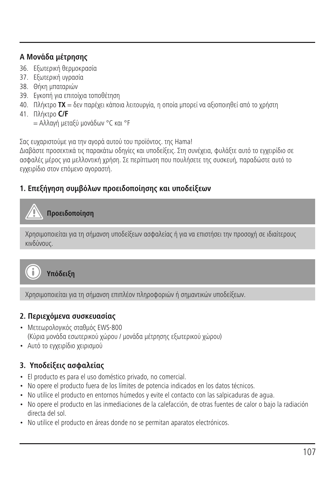## **A Μονάδα μέτρησης**

- 36. Εξωτερική θερμοκρασία
- 37. Εξωτερική υγρασία
- 38. Θήκη μπαταριών
- 39. Εγκοπή για επιτοίχια τοποθέτηση
- 40. Πλήκτρο **TX** = δεν παρέχει κάποια λειτουργία, η οποία μπορεί να αξιοποιηθεί από το χρήστη
- 41. Πλήκτρο **C/F**
	- = Αλλαγή μεταξύ μονάδων °C και °F

Σας ευχαριστούμε για την αγορά αυτού του προϊόντος. της Hama!

Διαβάστε προσεκτικά τις παρακάτω οδηγίες και υποδείξεις. Στη συνέχεια, φυλάξτε αυτό το εγχειρίδιο σε ασφαλές μέρος για μελλοντική χρήση. Σε περίπτωση που πουλήσετε της συσκευή, παραδώστε αυτό το εγχειρίδιο στον επόμενο αγοραστή.

## **1. Επεξήγηση συμβόλων προειδοποίησης και υποδείξεων**

# **Προειδοποίηση**

Χρησιμοποιείται για τη σήμανση υποδείξεων ασφαλείας ή για να επιστήσει την προσοχή σε ιδιαίτερους κινδύνους.



**Υπόδειξη**

Χρησιμοποιείται για τη σήμανση επιπλέον πληροφοριών ή σημαντικών υποδείξεων.

## **2. Περιεχόμενα συσκευασίας**

- Μετεωρολογικός σταθμός EWS-800 (Κύρια μονάδα εσωτερικού χώρου / μονάδα μέτρησης εξωτερικού χώρου)
- Αυτό το εγχειρίδιο χειρισμού

## **3. Υποδείξεις ασφαλείας**

- El producto es para el uso doméstico privado, no comercial.
- No opere el producto fuera de los límites de potencia indicados en los datos técnicos.
- No utilice el producto en entornos húmedos y evite el contacto con las salpicaduras de agua.
- No opere el producto en las inmediaciones de la calefacción, de otras fuentes de calor o bajo la radiación directa del sol.
- No utilice el producto en áreas donde no se permitan aparatos electrónicos.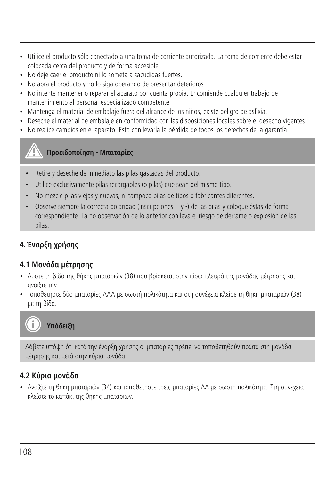- Utilice el producto sólo conectado a una toma de corriente autorizada. La toma de corriente debe estar colocada cerca del producto y de forma accesible.
- No deje caer el producto ni lo someta a sacudidas fuertes.
- No abra el producto y no lo siga operando de presentar deterioros.
- No intente mantener o reparar el aparato por cuenta propia. Encomiende cualquier trabajo de mantenimiento al personal especializado competente.
- Mantenga el material de embalaje fuera del alcance de los niños, existe peligro de asfixia.
- Deseche el material de embalaje en conformidad con las disposiciones locales sobre el desecho vigentes.
- No realice cambios en el aparato. Esto conllevaría la pérdida de todos los derechos de la garantía.

# **Προειδοποίηση - Μπαταρίες**

- Retire y deseche de inmediato las pilas gastadas del producto.
- Utilice exclusivamente pilas recargables (o pilas) que sean del mismo tipo.
- No mezcle pilas viejas y nuevas, ni tampoco pilas de tipos o fabricantes diferentes.
- Observe siempre la correcta polaridad (inscripciones + y -) de las pilas y coloque éstas de forma correspondiente. La no observación de lo anterior conlleva el riesgo de derrame o explosión de las pilas.

# **4. Έναρξη χρήσης**

#### **4.1 Μονάδα μέτρησης**

- Λύστε τη βίδα της θήκης μπαταριών (38) που βρίσκεται στην πίσω πλευρά της μονάδας μέτρησης και ανοίξτε την.
- Τοποθετήστε δύο μπαταρίες ΑΑΑ με σωστή πολικότητα και στη συνέχεια κλείσε τη θήκη μπαταριών (38) με τη βίδα.



Λάβετε υπόψη ότι κατά την έναρξη χρήσης οι μπαταρίες πρέπει να τοποθετηθούν πρώτα στη μονάδα μέτρησης και μετά στην κύρια μονάδα.

#### **4.2 Κύρια μονάδα**

• Ανοίξτε τη θήκη μπαταριών (34) και τοποθετήστε τρεις μπαταρίες AA με σωστή πολικότητα. Στη συνέχεια κλείστε το καπάκι της θήκης μπαταριών.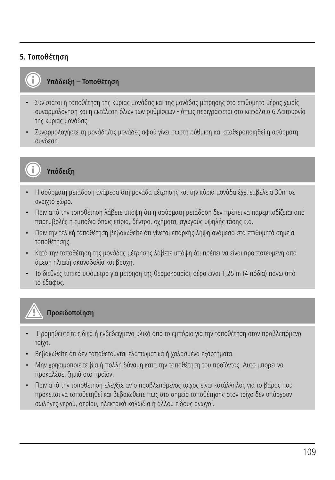# **5. Τοποθέτηση**



### **Υπόδειξη – Τοποθέτηση**

- Συνιστάται η τοποθέτηση της κύριας μονάδας και της μονάδας μέτρησης στο επιθυμητό μέρος χωρίς συναρμολόγηση και η εκτέλεση όλων των ρυθμίσεων - όπως περιγράφεται στο κεφάλαιο 6 Λειτουργία της κύριας μονάδας.
- Συναρμολογήστε τη μονάδα/τις μονάδες αφού γίνει σωστή ρύθμιση και σταθεροποιηθεί η ασύρματη σύνδεση.



# **Υπόδειξη**

- Η ασύρματη μετάδοση ανάμεσα στη μονάδα μέτρησης και την κύρια μονάδα έχει εμβέλεια 30m σε ανοιχτό χώρο.
- Πριν από την τοποθέτηση λάβετε υπόψη ότι η ασύρματη μετάδοση δεν πρέπει να παρεμποδίζεται από παρεμβολές ή εμπόδια όπως κτίρια, δέντρα, οχήματα, αγωγούς υψηλής τάσης κ.α.
- Πριν την τελική τοποθέτηση βεβαιωθείτε ότι γίνεται επαρκής λήψη ανάμεσα στα επιθυμητά σημεία τοποθέτησης.
- Κατά την τοποθέτηση της μονάδας μέτρησης λάβετε υπόψη ότι πρέπει να είναι προστατευμένη από άμεση ηλιακή ακτινοβολία και βροχή.
- Το διεθνές τυπικό υψόμετρο για μέτρηση της θερμοκρασίας αέρα είναι 1,25 m (4 πόδια) πάνω από το έδαφος.

# **Προειδοποίηση**

- Προμηθευτείτε ειδικά ή ενδεδειγμένα υλικά από το εμπόριο για την τοποθέτηση στον προβλεπόμενο τοίχο.
- Βεβαιωθείτε ότι δεν τοποθετούνται ελαττωματικά ή χαλασμένα εξαρτήματα.
- Μην χρησιμοποιείτε βία ή πολλή δύναμη κατά την τοποθέτηση του προϊόντος. Αυτό μπορεί να προκαλέσει ζημιά στο προϊόν.
- Πριν από την τοποθέτηση ελέγξτε αν ο προβλεπόμενος τοίχος είναι κατάλληλος για το βάρος που πρόκειται να τοποθετηθεί και βεβαιωθείτε πως στο σημείο τοποθέτησης στον τοίχο δεν υπάρχουν σωλήνες νερού, αερίου, ηλεκτρικά καλώδια ή άλλου είδους αγωγοί.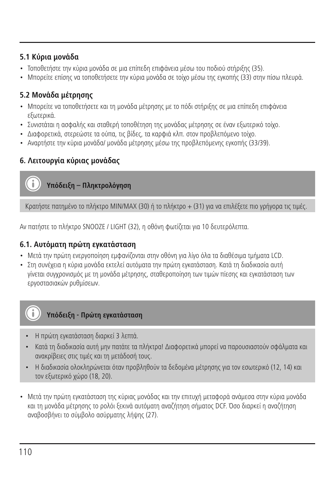#### **5.1 Κύρια μονάδα**

- Τοποθετήστε την κύρια μονάδα σε μια επίπεδη επιφάνεια μέσω του ποδιού στήριξης (35).
- Μπορείτε επίσης να τοποθετήσετε την κύρια μονάδα σε τοίχο μέσω της εγκοπής (33) στην πίσω πλευρά.

# **5.2 Μονάδα μέτρησης**

- Μπορείτε να τοποθετήσετε και τη μονάδα μέτρησης με το πόδι στήριξης σε μια επίπεδη επιφάνεια εξωτερικά.
- Συνιστάται η ασφαλής και σταθερή τοποθέτηση της μονάδας μέτρησης σε έναν εξωτερικό τοίχο.
- Διαφορετικά, στερεώστε τα ούπα, τις βίδες, τα καρφιά κλπ. στον προβλεπόμενο τοίχο.
- Αναρτήστε την κύρια μονάδα/ μονάδα μέτρησης μέσω της προβλεπόμενης εγκοπής (33/39).

# **6. Λειτουργία κύριας μονάδας**

# **Υπόδειξη – Πληκτρολόγηση**

Κρατήστε πατημένο το πλήκτρο MIN/MAX (30) ή το πλήκτρο + (31) για να επιλέξετε πιο γρήγορα τις τιμές.

Αν πατήστε το πλήκτρο SNOOZE / LIGHT (32), η οθόνη φωτίζεται για 10 δευτερόλεπτα.

# **6.1. Αυτόματη πρώτη εγκατάσταση**

- Μετά την πρώτη ενεργοποίηση εμφανίζονται στην οθόνη για λίγο όλα τα διαθέσιμα τμήματα LCD.
- Στη συνέχεια η κύρια μονάδα εκτελεί αυτόματα την πρώτη εγκατάσταση. Κατά τη διαδικασία αυτή γίνεται συγχρονισμός με τη μονάδα μέτρησης, σταθεροποίηση των τιμών πίεσης και εγκατάσταση των εργοστασιακών ρυθμίσεων.

# **Υπόδειξη - Πρώτη εγκατάσταση**

- Η πρώτη εγκατάσταση διαρκεί 3 λεπτά.
- Κατά τη διαδικασία αυτή μην πατάτε τα πλήκτρα! Διαφορετικά μπορεί να παρουσιαστούν σφάλματα και ανακρίβειες στις τιμές και τη μετάδοσή τους.
- Η διαδικασία ολοκληρώνεται όταν προβληθούν τα δεδομένα μέτρησης για τον εσωτερικό (12, 14) και τον εξωτερικό χώρο (18, 20).
- Μετά την πρώτη εγκατάσταση της κύριας μονάδας και την επιτυχή μεταφορά ανάμεσα στην κύρια μονάδα και τη μονάδα μέτρησης το ρολόι ξεκινά αυτόματη αναζήτηση σήματος DCF. Όσο διαρκεί η αναζήτηση αναβοσβήνει το σύμβολο ασύρματης λήψης (27).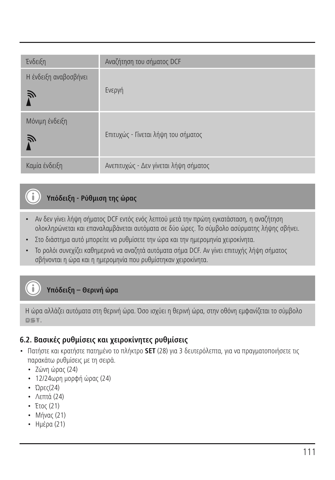| Ένδειξη                    | Αναζήτηση του σήματος DCF             |
|----------------------------|---------------------------------------|
| Η ένδειξη αναβοσβήνει<br>Ñ | Ενεργή                                |
| Μόνιμη ένδειξη<br>》        | Επιτυχώς - Γίνεται λήψη του σήματος   |
| Καμία ένδειξη              | Ανεπιτυχώς - Δεν γίνεται λήψη σήματος |

# **Υπόδειξη - Ρύθμιση της ώρας**

- Αν δεν γίνει λήψη σήματος DCF εντός ενός λεπτού μετά την πρώτη εγκατάσταση, η αναζήτηση ολοκληρώνεται και επαναλαμβάνεται αυτόματα σε δύο ώρες. Το σύμβολο ασύρματης λήψης σβήνει.
- Στο διάστημα αυτό μπορείτε να ρυθμίσετε την ώρα και την ημερομηνία χειροκίνητα.
- Το ρολόι συνεχίζει καθημερινά να αναζητά αυτόματα σήμα DCF. Αν γίνει επιτυχής λήψη σήματος σβήνονται η ώρα και η ημερομηνία που ρυθμίστηκαν χειροκίνητα.

**Υπόδειξη – Θερινή ώρα**

Η ώρα αλλάζει αυτόματα στη θερινή ώρα. Όσο ισχύει η θερινή ώρα, στην οθόνη εμφανίζεται το σύμβολο DST.

## **6.2. Βασικές ρυθμίσεις και χειροκίνητες ρυθμίσεις**

- Πατήστε και κρατήστε πατημένο το πλήκτρο **SET** (28) για 3 δευτερόλεπτα, για να πραγματοποιήσετε τις παρακάτω ρυθμίσεις με τη σειρά.
	- Ζώνη ώρας (24)
	- 12/24ωρη μορφή ώρας (24)
	- Ώρες(24)

Ŧ

- Λεπτά (24)
- Έτος (21)
- Μήνας (21)
- Ημέρα (21)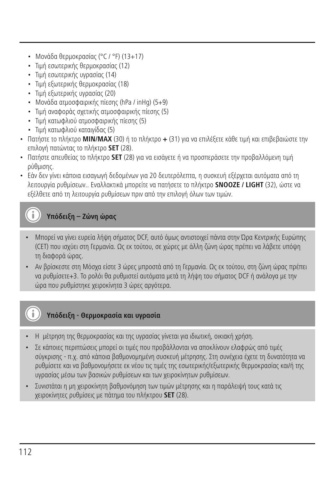- Μονάδα θερμοκρασίας (°C / °F) (13+17)
- Τιμή εσωτερικής θερμοκρασίας (12)
- Τιμή εσωτερικής υγρασίας (14)
- Τιμή εξωτερικής θερμοκρασίας (18)
- Τιμή εξωτερικής υγρασίας (20)
- Μονάδα ατμοσφαιρικής πίεσης (hPa / inHg) (5+9)
- Τιμή αναφοράς σχετικής ατμοσφαιρικής πίεσης (5)
- Τιμή κατωφλιού ατμοσφαιρικής πίεσης (5)
- Τιμή κατωφλιού καταιγίδας (5)
- Πατήστε το πλήκτρο **MIN/MAX** (30) ή το πλήκτρο **+** (31) για να επιλέξετε κάθε τιμή και επιβεβαιώστε την επιλογή πατώντας το πλήκτρο **SET** (28).
- Πατήστε απευθείας το πλήκτρο **SET** (28) για να εισάγετε ή να προσπεράσετε την προβαλλόμενη τιμή ρύθμισης.
- Εάν δεν γίνει κάποια εισαγωγή δεδομένων για 20 δευτερόλεπτα, η συσκευή εξέρχεται αυτόματα από τη λειτουργία ρυθμίσεων.. Εναλλακτικά μπορείτε να πατήσετε το πλήκτρο **SNOOZE / LIGHT** (32), ώστε να εξέλθετε από τη λειτουργία ρυθμίσεων πριν από την επιλογή όλων των τιμών.

# **Υπόδειξη – Ζώνη ώρας**

- Μπορεί να γίνει ευρεία λήψη σήματος DCF, αυτό όμως αντιστοιχεί πάντα στην Ώρα Κεντρικής Ευρώπης (CET) που ισχύει στη Γερμανία. Ως εκ τούτου, σε χώρες με άλλη ζώνη ώρας πρέπει να λάβετε υπόψη τη διαφορά ώρας.
- Αν βρίσκεστε στη Μόσχα είστε 3 ώρες μπροστά από τη Γερμανία. Ως εκ τούτου, στη ζώνη ώρας πρέπει να ρυθμίσετε+3. Το ρολόι θα ρυθμιστεί αυτόματα μετά τη λήψη του σήματος DCF ή ανάλογα με την ώρα που ρυθμίστηκε χειροκίνητα 3 ώρες αργότερα.

# **Υπόδειξη - Θερμοκρασία και υγρασία**

- Η μέτρηση της θερμοκρασίας και της υγρασίας γίνεται για ιδιωτική, οικιακή χρήση.
- Σε κάποιες περιπτώσεις μπορεί οι τιμές που προβάλλονται να αποκλίνουν ελαφρώς από τιμές σύγκρισης - π.χ. από κάποια βαθμονομημένη συσκευή μέτρησης. Στη συνέχεια έχετε τη δυνατότητα να ρυθμίσετε και να βαθμονομήσετε εκ νέου τις τιμές της εσωτερικής/εξωτερικής θερμοκρασίας και/ή της υγρασίας μέσω των βασικών ρυθμίσεων και των χειροκίνητων ρυθμίσεων.
- Συνιστάται η μη χειροκίνητη βαθμονόμηση των τιμών μέτρησης και η παράλειψή τους κατά τις χειροκίνητες ρυθμίσεις με πάτημα του πλήκτρου **SET** (28).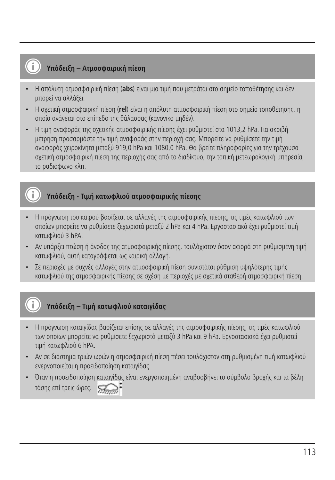# **Υπόδειξη – Ατμοσφαιρική πίεση**

- Η απόλυτη ατμοσφαιρική πίεση (**abs**) είναι μια τιμή που μετράται στο σημείο τοποθέτησης και δεν μπορεί να αλλάξει.
- Η σχετική ατμοσφαιρική πίεση (**rel**) είναι η απόλυτη ατμοσφαιρική πίεση στο σημείο τοποθέτησης, η οποία ανάγεται στο επίπεδο της θάλασσας (κανονικό μηδέν).
- Η τιμή αναφοράς της σχετικής ατμοσφαιρικής πίεσης έχει ρυθμιστεί στα 1013,2 hPa. Για ακριβή μέτρηση προσαρμόστε την τιμή αναφοράς στην περιοχή σας. Μπορείτε να ρυθμίσετε την τιμή αναφοράς χειροκίνητα μεταξύ 919,0 hPa και 1080,0 hPa. Θα βρείτε πληροφορίες για την τρέχουσα σχετική ατμοσφαιρική πίεση της περιοχής σας από το διαδίκτυο, την τοπική μετεωρολογική υπηρεσία, το ραδιόφωνο κλπ.

# **Υπόδειξη - Τιμή κατωφλιού ατμοσφαιρικής πίεσης**

- Η πρόγνωση του καιρού βασίζεται σε αλλαγές της ατμοσφαιρικής πίεσης, τις τιμές κατωφλιού των οποίων μπορείτε να ρυθμίσετε ξεχωριστά μεταξύ 2 hPa και 4 hPa. Εργοστασιακά έχει ρυθμιστεί τιμή κατωφλιού 3 hPA.
- Αν υπάρξει πτώση ή άνοδος της ατμοσφαιρικής πίεσης, τουλάχιστον όσον αφορά στη ρυθμισμένη τιμή κατωφλιού, αυτή καταγράφεται ως καιρική αλλαγή.
- Σε περιοχές με συχνές αλλαγές στην ατμοσφαιρική πίεση συνιστάται ρύθμιση υψηλότερης τιμής κατωφλιού της ατμοσφαιρικής πίεσης σε σχέση με περιοχές με σχετικά σταθερή ατμοσφαιρική πίεση.

# **Υπόδειξη – Τιμή κατωφλιού καταιγίδας**

- Η πρόγνωση καταιγίδας βασίζεται επίσης σε αλλαγές της ατμοσφαιρικής πίεσης, τις τιμές κατωφλιού των οποίων μπορείτε να ρυθμίσετε ξεχωριστά μεταξύ 3 hPa και 9 hPa. Εργοστασιακά έχει ρυθμιστεί τιμή κατωφλιού 6 hPA.
- Αν σε διάστημα τριών ωρών η ατμοσφαιρική πίεση πέσει τουλάχιστον στη ρυθμισμένη τιμή κατωφλιού ενεργοποιείται η προειδοποίηση καταιγίδας.
- Όταν η προειδοποίηση καταιγίδας είναι ενεργοποιημένη αναβοσβήνει το σύμβολο βροχής και τα βέλη τάσης επί τρεις ώρες.

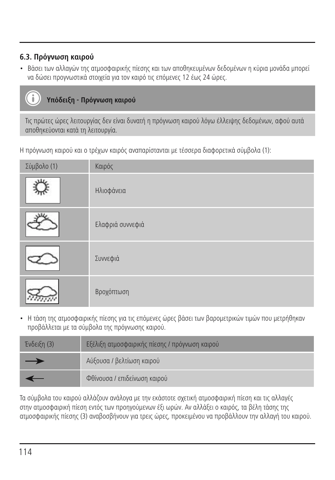# **6.3. Πρόγνωση καιρού**

• Βάσει των αλλαγών της ατμοσφαιρικής πίεσης και των αποθηκευμένων δεδομένων η κύρια μονάδα μπορεί να δώσει προγνωστικά στοιχεία για τον καιρό τις επόμενες 12 έως 24 ώρες.

# **Υπόδειξη - Πρόγνωση καιρού**

Τις πρώτες ώρες λειτουργίας δεν είναι δυνατή η πρόγνωση καιρού λόγω έλλειψης δεδομένων, αφού αυτά αποθηκεύονται κατά τη λειτουργία.

Η πρόγνωση καιρού και ο τρέχων καιρός αναπαρίστανται με τέσσερα διαφορετικά σύμβολα (1):

| Σύμβολο (1) | Καιρός           |
|-------------|------------------|
| x1x         | Ηλιοφάνεια       |
|             | Ελαφριά συννεφιά |
|             | Συννεφιά         |
|             | Βροχόπτωση       |

• Η τάση της ατμοσφαιρικής πίεσης για τις επόμενες ώρες βάσει των βαρομετρικών τιμών που μετρήθηκαν προβάλλεται με τα σύμβολα της πρόγνωσης καιρού.

| Ένδειξη (3) | Εξέλιξη ατμοσφαιρικής πίεσης / πρόγνωση καιρού |
|-------------|------------------------------------------------|
| —           | Αύξουσα / βελτίωση καιρού                      |
|             | Φθίνουσα / επιδείνωση καιρού                   |

Τα σύμβολα του καιρού αλλάζουν ανάλογα με την εκάστοτε σχετική ατμοσφαιρική πίεση και τις αλλαγές στην ατμοσφαιρική πίεση εντός των προηγούμενων έξι ωρών. Αν αλλάξει ο καιρός, τα βέλη τάσης της ατμοσφαιρικής πίεσης (3) αναβοσβήνουν για τρεις ώρες, προκειμένου να προβάλλουν την αλλαγή του καιρού.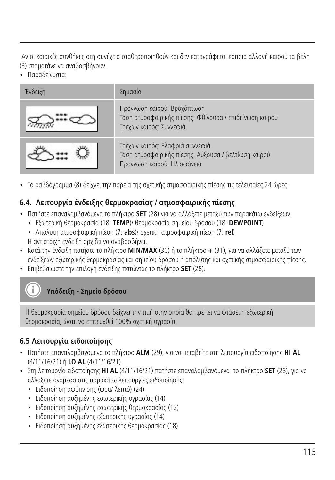Αν οι καιρικές συνθήκες στη συνέχεια σταθεροποιηθούν και δεν καταγράφεται κάποια αλλαγή καιρού τα βέλη (3) σταματάνε να αναβοσβήνουν.

• Παραδείγματα:

| Ένδειξη | Σημασία                                                                                                                |
|---------|------------------------------------------------------------------------------------------------------------------------|
|         | Πρόγνωση καιρού: Βροχόπτωση<br>Τάση ατμοσφαιρικής πίεσης: Φθίνουσα / επιδείνωση καιρού<br>Τρέχων καιρός: Συννεφιά      |
|         | Τρέχων καιρός: Ελαφριά συννεφιά<br>Τάση ατμοσφαιρικής πίεσης: Αύξουσα / βελτίωση καιρού<br>Πρόγνωση καιρού: Ηλιοφάνεια |

• Το ραβδόγραμμα (8) δείχνει την πορεία της σχετικής ατμοσφαιρικής πίεσης τις τελευταίες 24 ώρες.

# **6.4. Λειτουργία ένδειξης θερμοκρασίας / ατμοσφαιρικής πίεσης**

- Πατήστε επαναλαμβανόμενα το πλήκτρο **SET** (28) για να αλλάξετε μεταξύ των παρακάτω ενδείξεων.
	- Εξωτερική θερμοκρασία (18: **TEMP**)/ θερμοκρασία σημείου δρόσου (18: **DEWPOINT**)
	- Απόλυτη ατμοσφαιρική πίεση (7: **abs**)/ σχετική ατμοσφαιρική πίεση (7: **rel**) Η αντίστοιχη ένδειξη αρχίζει να αναβοσβήνει.
- Κατά την ένδειξη πατήστε το πλήκτρο **MIN/MAX** (30) ή το πλήκτρο **+** (31), για να αλλάξετε μεταξύ των ενδείξεων εξωτερικής θερμοκρασίας και σημείου δρόσου ή απόλυτης και σχετικής ατμοσφαιρικής πίεσης.
- Επιβεβαιώστε την επιλογή ένδειξης πατώντας το πλήκτρο **SET** (28).

**Υπόδειξη - Σημείο δρόσου**

Η θερμοκρασία σημείου δρόσου δείχνει την τιμή στην οποία θα πρέπει να φτάσει η εξωτερική θερμοκρασία, ώστε να επιτευχθεί 100% σχετική υγρασία.

# **6.5 Λειτουργία ειδοποίησης**

- Πατήστε επαναλαμβανόμενα το πλήκτρο **ALM** (29), για να μεταβείτε στη λειτουργία ειδοποίησης **HI AL** (4/11/16/21) ή **LO AL** (4/11/16/21).
- Στη λειτουργία ειδοποίησης **HI AL** (4/11/16/21) πατήστε επαναλαμβανόμενα το πλήκτρο **SET** (28), για να αλλάξετε ανάμεσα στις παρακάτω λειτουργίες ειδοποίησης:
	- Ειδοποίηση αφύπνισης (ώρα/ λεπτό) (24)
	- Ειδοποίηση αυξημένης εσωτερικής υγρασίας (14)
	- Ειδοποίηση αυξημένης εσωτερικής θερμοκρασίας (12)
	- Ειδοποίηση αυξημένης εξωτερικής υγρασίας (14)
	- Ειδοποίηση αυξημένης εξωτερικής θερμοκρασίας (18)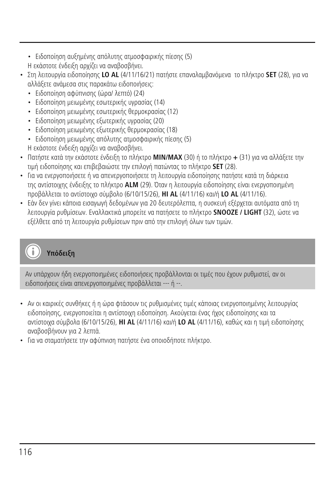• Ειδοποίηση αυξημένης απόλυτης ατμοσφαιρικής πίεσης (5)

Η εκάστοτε ένδειξη αρχίζει να αναβοσβήνει.

- Στη λειτουργία ειδοποίησης **LO AL** (4/11/16/21) πατήστε επαναλαμβανόμενα το πλήκτρο **SET** (28), για να αλλάξετε ανάμεσα στις παρακάτω ειδοποιήσεις:
	- Ειδοποίηση αφύπνισης (ώρα/ λεπτό) (24)
	- Ειδοποίηση μειωμένης εσωτερικής υγρασίας (14)
	- Ειδοποίηση μειωμένης εσωτερικής θερμοκρασίας (12)
	- Ειδοποίηση μειωμένης εξωτερικής υγρασίας (20)
	- Ειδοποίηση μειωμένης εξωτερικής θερμοκρασίας (18)
	- Ειδοποίηση μειωμένης απόλυτης ατμοσφαιρικής πίεσης (5)
	- Η εκάστοτε ένδειξη αρχίζει να αναβοσβήνει.
- Πατήστε κατά την εκάστοτε ένδειξη το πλήκτρο **MIN/MAX** (30) ή το πλήκτρο **+** (31) για να αλλάξετε την τιμή ειδοποίησης και επιβεβαιώστε την επιλογή πατώντας το πλήκτρο **SET** (28).
- Για να ενεργοποιήσετε ή να απενεργοποιήσετε τη λειτουργία ειδοποίησης πατήστε κατά τη διάρκεια της αντίστοιχης ένδειξης το πλήκτρο **ALM** (29). Όταν η λειτουργία ειδοποίησης είναι ενεργοποιημένη προβάλλεται το αντίστοιχο σύμβολο (6/10/15/26), **HI AL** (4/11/16) και/ή **LO AL** (4/11/16).
- Εάν δεν γίνει κάποια εισαγωγή δεδομένων για 20 δευτερόλεπτα, η συσκευή εξέρχεται αυτόματα από τη λειτουργία ρυθμίσεων. Εναλλακτικά μπορείτε να πατήσετε το πλήκτρο **SNOOZE / LIGHT** (32), ώστε να εξέλθετε από τη λειτουργία ρυθμίσεων πριν από την επιλογή όλων των τιμών.

# **Υπόδειξη**

Αν υπάρχουν ήδη ενεργοποιημένες ειδοποιήσεις προβάλλονται οι τιμές που έχουν ρυθμιστεί, αν οι ειδοποιήσεις είναι απενεργοποιημένες προβάλλεται --- ή --.

- Αν οι καιρικές συνθήκες ή η ώρα φτάσουν τις ρυθμισμένες τιμές κάποιας ενεργοποιημένης λειτουργίας ειδοποίησης, ενεργοποιείται η αντίστοιχη ειδοποίηση. Ακούγεται ένας ήχος ειδοποίησης και τα αντίστοιχα σύμβολα (6/10/15/26), **HI AL** (4/11/16) και/ή **LO AL** (4/11/16), καθώς και η τιμή ειδοποίησης αναβοσβήνουν για 2 λεπτά.
- Για να σταματήσετε την αφύπνιση πατήστε ένα οποιοδήποτε πλήκτρο.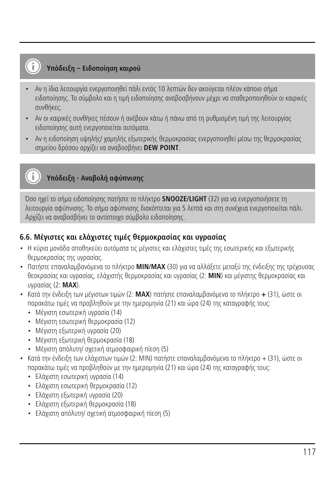# **Υπόδειξη – Ειδοποίηση καιρού**

- Αν η ίδια λειτουργία ενεργοποιηθεί πάλι εντός 10 λεπτών δεν ακούγεται πλέον κάποιο σήμα ειδοποίησης. Το σύμβολο και η τιμή ειδοποίησης αναβοσβήνουν μέχρι να σταθεροποιηθούν οι καιρικές συνθήκες.
- Αν οι καιρικές συνθήκες πέσουν ή ανέβουν κάτω ή πάνω από τη ρυθμισμένη τιμή της λειτουργίας ειδοποίησης αυτή ενεργοποιείται αυτόματα.
- Αν η ειδοποίηση υψηλής/ χαμηλής εξωτερικής θερμοκρασίας ενεργοποιηθεί μέσω της θερμοκρασίας σημείου δρόσου αρχίζει να αναβοσβήνει **DEW POINT**.

# **Υπόδειξη - Αναβολή αφύπνισης**

Όσο ηχεί το σήμα ειδοποίησης πατήστε το πλήκτρο **SNOOZE/LIGHT** (32) για να ενεργοποιήσετε τη λειτουργία αφύπνισης. Το σήμα αφύπνισης διακόπτεται για 5 λεπτά και στη συνέχεια ενεργοποιείται πάλι. Αρχίζει να αναβοσβήνει το αντίστοιχο σύμβολο ειδοποίησης.

#### **6.6. Μέγιστες και ελάχιστες τιμές θερμοκρασίας και υγρασίας**

- Η κύρια μονάδα αποθηκεύει αυτόματα τις μέγιστες και ελάχιστες τιμές της εσωτερικής και εξωτερικής θερμοκρασίας της υγρασίας.
- Πατήστε επαναλαμβανόμενα το πλήκτρο **MIN/MAX** (30) για να αλλάξετε μεταξύ της ένδειξης της τρέχουσας θεοκρασίας και υγρασίας, ελάχιστής θερμοκρασίας και υγρασίας (2: **MIN**) και μέγιστης θερμοκρασίας και υγρασίας (2: **MAX**).
- Κατά την ένδειξη των μέγιστων τιμών (2: **MAX**) πατήστε επαναλαμβανόμενα το πλήκτρο **+** (31), ώστε οι παρακάτω τιμές να προβληθούν με την ημερομηνία (21) και ώρα (24) της καταγραφής τους:
	- Μέγιστη εσωτερική υγρασία (14)
	- Μέγιστη εσωτερική θερμοκρασία (12)
	- Μέγιστη εξωτερική υγρασία (20)
	- Μέγιστη εξωτερική θερμοκρασία (18)
	- Μέγιστη απόλυτη/ σχετική ατμοσφαιρική πίεση (5)
- Κατά την ένδειξη των ελάχιστων τιμών (2: ΜΙΝ) πατήστε επαναλαμβανόμενα το πλήκτρο + (31), ώστε οι παρακάτω τιμές να προβληθούν με την ημερομηνία (21) και ώρα (24) της καταγραφής τους:
	- Ελάχιστη εσωτερική υγρασία (14)
	- Ελάχιστη εσωτερική θερμοκρασία (12)
	- Ελάχιστη εξωτερική υγρασία (20)
	- Ελάχιστη εξωτερική θερμοκρασία (18)
	- Ελάχιστη απόλυτη/ σχετική ατμοσφαιρική πίεση (5)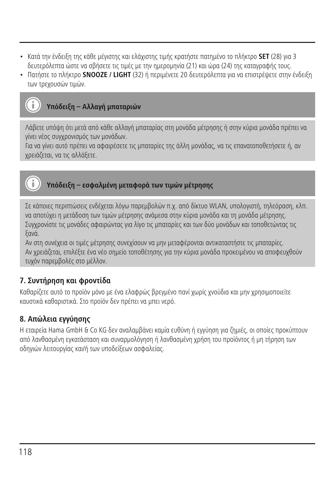- Κατά την ένδειξη της κάθε μέγιστης και ελάχιστης τιμής κρατήστε πατημένο το πλήκτρο **SET** (28) για 3 δευτερόλεπτα ώστε να σβήσετε τις τιμές με την ημερομηνία (21) και ώρα (24) της καταγραφής τους.
- Πατήστε το πλήκτρο **SNOOZE / LIGHT** (32) ή περιμένετε 20 δευτερόλεπτα για να επιστρέψετε στην ένδειξη των τρεχουσών τιμών.

# **Υπόδειξη – Αλλαγή μπαταριών**

Λάβετε υπόψη ότι μετά από κάθε αλλαγή μπαταρίας στη μονάδα μέτρησης ή στην κύρια μονάδα πρέπει να γίνει νέος συγχρονισμός των μονάδων.

Για να γίνει αυτό πρέπει να αφαιρέσετε τις μπαταρίες της άλλη μονάδας, να τις επανατοποθετήσετε ή, αν χρειάζεται, να τις αλλάξετε.



# **Υπόδειξη – εσφαλμένη μεταφορά των τιμών μέτρησης**

Σε κάποιες περιπτώσεις ενδέχεται λόγω παρεμβολών π.χ. από δίκτυο WLAN, υπολογιστή, τηλεόραση, κλπ. να αποτύχει η μετάδοση των τιμών μέτρησης ανάμεσα στην κύρια μονάδα και τη μονάδα μέτρησης. Συγχρονίστε τις μονάδες αφαιρώντας για λίγο τις μπαταρίες και των δύο μονάδων και τοποθετώντας τις ξανά.

Αν στη συνέχεια οι τιμές μέτρησης συνεχίσουν να μην μεταφέρονται αντικαταστήστε τις μπαταρίες. Αν χρειάζεται, επιλέξτε ένα νέο σημείο τοποθέτησης για την κύρια μονάδα προκειμένου να αποφευχθούν τυχόν παρεμβολές στο μέλλον.

#### **7. Συντήρηση και φροντίδα**

Καθαρίζετε αυτό το προϊόν μόνο με ένα ελαφρώς βρεγμένο πανί χωρίς χνούδια και μην χρησιμοποιείτε καυστικά καθαριστικά. Στο προϊόν δεν πρέπει να μπει νερό.

#### **8. Απώλεια εγγύησης**

Η εταιρεία Hama GmbH & Co KG δεν αναλαμβάνει καμία ευθύνη ή εγγύηση για ζημιές, οι οποίες προκύπτουν από λανθασμένη εγκατάσταση και συναρμολόγηση ή λανθασμένη χρήση του προϊόντος ή μη τήρηση των οδηγιών λειτουργίας και/ή των υποδείξεων ασφαλείας.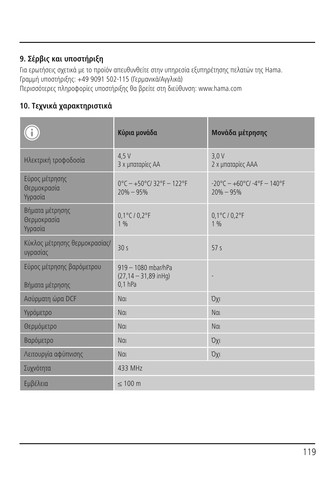# **9. Σέρβις και υποστήριξη**

Για ερωτήσεις σχετικά με το προϊόν απευθυνθείτε στην υπηρεσία εξυπηρέτησης πελατών της Hama. Γραμμή υποστήριξης: +49 9091 502-115 (Γερμανικά/Αγγλικά) Περισσότερες πληροφορίες υποστήριξης θα βρείτε στη διεύθυνση: www.hama.com

# **10. Τεχνικά χαρακτηριστικά**

|                                              | Κύρια μονάδα                                                  | Μονάδα μέτρησης                                      |
|----------------------------------------------|---------------------------------------------------------------|------------------------------------------------------|
| Ηλεκτρική τροφοδοσία                         | 4.5V<br>3 χ μπαταρίες ΑΑ                                      | 3.0V<br>2 χ μπαταρίες ΑΑΑ                            |
| Εύρος μέτρησης<br>Θερμοκρασία<br>Υγρασία     | $0^{\circ}$ C - +50°C/32°F - 122°F<br>$20\% - 95\%$           | $-20^{\circ}$ C - +60°C/ -4°F - 140°F<br>$20% - 95%$ |
| Βήματα μέτρησης<br>Θερμοκρασία<br>Υγρασία    | 0,1°C / 0,2°F<br>1%                                           | $0,1^{\circ}$ C / $0,2^{\circ}$ F<br>1%              |
| Κύκλος μέτρησης θερμοκρασίας/<br>υγρασίας    | 30<                                                           | 57 <sub>5</sub>                                      |
| Εύρος μέτρησης βαρόμετρου<br>Βήματα μέτρησης | 919 - 1080 mbar/hPa<br>$(27, 14 - 31, 89$ in Hq)<br>$0.1$ hPa |                                                      |
| Ασύρματη ώρα DCF                             | Nai                                                           | <b>Oxi</b>                                           |
| Υγρόμετρο                                    | Nai                                                           | Nat                                                  |
| Θερμόμετρο                                   | Nai                                                           | Nai                                                  |
| Βαρόμετρο                                    | Nat                                                           | <b>Oxi</b>                                           |
| Λειτουργία αφύπνισης                         | Nai                                                           | <b>Oxi</b>                                           |
| Συχνότητα                                    | 433 MHz                                                       |                                                      |
| Εμβέλεια                                     | $\leq 100$ m                                                  |                                                      |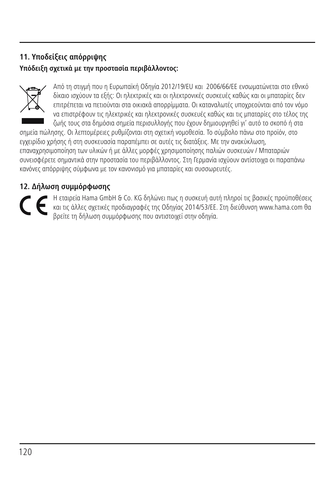# **11. Υποδείξεις απόρριψης**

# **Υπόδειξη σχετικά με την προστασία περιβάλλοντος:**



Από τη στιγμή που η Ευρωπαϊκή Οδηγία 2012/19/EU και 2006/66/EE ενσωματώνεται στο εθνικό δίκαιο ισχύουν τα εξής: Οι ηλεκτρικές και οι ηλεκτρονικές συσκευές καθώς και οι μπαταρίες δεν επιτρέπεται να πετιούνται στα οικιακά απορρίμματα. Οι καταναλωτές υποχρεούνται από τον νόμο να επιστρέφουν τις ηλεκτρικές και ηλεκτρονικές συσκευές καθώς και τις μπαταρίες στο τέλος της ζωής τους στα δημόσια σημεία περισυλλογής που έχουν δημιουργηθεί γι' αυτό το σκοπό ή στα

σημεία πώλησης. Οι λεπτομέρειες ρυθμίζονται στη σχετική νομοθεσία. Το σύμβολο πάνω στο προϊόν, στο εγχειρίδιο χρήσης ή στη συσκευασία παραπέμπει σε αυτές τις διατάξεις. Με την ανακύκλωση, επαναχρησιμοποίηση των υλικών ή με άλλες μορφές χρησιμοποίησης παλιών συσκευών / Μπαταριών συνεισφέρετε σημαντικά στην προστασία του περιβάλλοντος. Στη Γερμανία ισχύουν αντίστοιχα οι παραπάνω κανόνες απόρριψης σύμφωνα με τον κανονισμό για μπαταρίες και συσσωρευτές.

# **12. Δήλωση συμμόρφωσης**

Η εταιρεία Hama GmbH & Co. KG δηλώνει πως η συσκευή αυτή πληροί τις βασικές προϋποθέσεις και τις άλλες σχετικές προδιαγραφές της Οδηγίας 2014/53/ΕΕ. Στη διεύθυνση www.hama.com θα βρείτε τη δήλωση συμμόρφωσης που αντιστοιχεί στην οδηγία.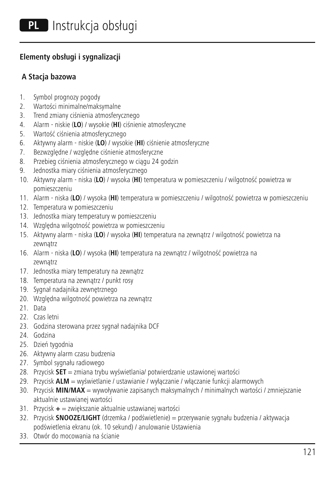### **Elementy obsługi i sygnalizacji**

### **A Stacja bazowa**

- 1. Symbol prognozy pogody
- 2. Wartości minimalne/maksymalne
- 3. Trend zmiany ciśnienia atmosferycznego
- 4. Alarm niskie (**LO**) / wysokie (**HI**) ciśnienie atmosferyczne
- 5. Wartość ciśnienia atmosferycznego
- 6. Aktywny alarm niskie (**LO**) / wysokie (**HI**) ciśnienie atmosferyczne
- 7. Bezwzględne / względne ciśnienie atmosferyczne
- 8. Przebieg ciśnienia atmosferycznego w ciągu 24 godzin
- 9. Jednostka miary ciśnienia atmosferycznego
- 10. Aktywny alarm niska (**LO**) / wysoka (**HI**) temperatura w pomieszczeniu / wilgotność powietrza w pomieszczeniu
- 11. Alarm niska (**LO**) / wysoka (**HI**) temperatura w pomieszczeniu / wilgotność powietrza w pomieszczeniu
- 12. Temperatura w pomieszczeniu
- 13. Jednostka miary temperatury w pomieszczeniu
- 14. Względna wilgotność powietrza w pomieszczeniu
- 15. Aktywny alarm niska (**LO**) / wysoka (**HI**) temperatura na zewnątrz / wilgotność powietrza na zewnątrz
- 16. Alarm niska (**LO**) / wysoka (**HI**) temperatura na zewnątrz / wilgotność powietrza na zewnątrz
- 17. Jednostka miary temperatury na zewnątrz
- 18. Temperatura na zewnątrz / punkt rosy
- 19. Sygnał nadajnika zewnętrznego
- 20. Względna wilgotność powietrza na zewnątrz
- 21. Data
- 22. Czas letni
- 23. Godzina sterowana przez sygnał nadajnika DCF
- 24. Godzina
- 25. Dzień tygodnia
- 26. Aktywny alarm czasu budzenia
- 27. Symbol sygnału radiowego
- 28. Przycisk **SET** = zmiana trybu wyświetlania/ potwierdzanie ustawionej wartości
- 29. Przycisk **ALM** = wyświetlanie / ustawianie / wyłączanie / włączanie funkcji alarmowych
- 30. Przycisk **MIN/MAX** = wywoływanie zapisanych maksymalnych / minimalnych wartości / zmniejszanie aktualnie ustawianej wartości
- 31. Przycisk **+** = zwiększanie aktualnie ustawianej wartości
- 32. Przycisk **SNOOZE/LIGHT** (drzemka / podświetlenie) = przerywanie sygnału budzenia / aktywacja podświetlenia ekranu (ok. 10 sekund) / anulowanie Ustawienia
- 33. Otwór do mocowania na ścianie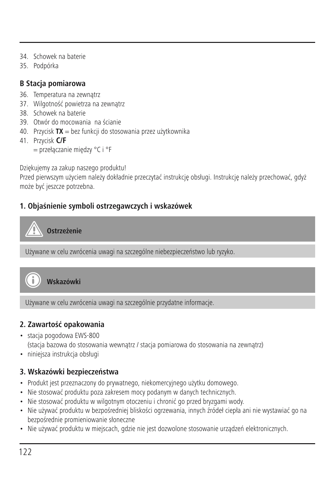- 34. Schowek na baterie
- 35. Podpórka

## **B Stacja pomiarowa**

- 36. Temperatura na zewnątrz
- 37. Wilgotność powietrza na zewnątrz
- 38. Schowek na baterie
- 39. Otwór do mocowania na ścianie
- 40. Przycisk **TX** = bez funkcji do stosowania przez użytkownika
- 41. Przycisk **C/F**
	- = przełączanie między °C i °F

Dziękujemy za zakup naszego produktu!

Przed pierwszym użyciem należy dokładnie przeczytać instrukcję obsługi. Instrukcję należy przechować, gdyż może być jeszcze potrzebna.

# **1. Objaśnienie symboli ostrzegawczych i wskazówek**

**Ostrzeżenie**

Używane w celu zwrócenia uwagi na szczególne niebezpieczeństwo lub ryzyko.



**Wskazówki**

Używane w celu zwrócenia uwagi na szczególnie przydatne informacje.

# **2. Zawartość opakowania**

- stacja pogodowa EWS-800 (stacja bazowa do stosowania wewnątrz / stacja pomiarowa do stosowania na zewnątrz)
- niniejsza instrukcja obsługi

# **3. Wskazówki bezpieczeństwa**

- Produkt jest przeznaczony do prywatnego, niekomercyjnego użytku domowego.
- Nie stosować produktu poza zakresem mocy podanym w danych technicznych.
- Nie stosować produktu w wilgotnym otoczeniu i chronić go przed bryzgami wody.
- Nie używać produktu w bezpośredniej bliskości ogrzewania, innych źródeł ciepła ani nie wystawiać go na bezpośrednie promieniowanie słoneczne
- Nie używać produktu w miejscach, gdzie nie jest dozwolone stosowanie urządzeń elektronicznych.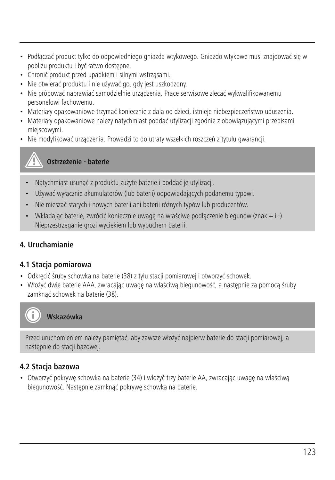- Podłączać produkt tylko do odpowiedniego gniazda wtykowego. Gniazdo wtykowe musi znajdować się w pobliżu produktu i być łatwo dostępne.
- Chronić produkt przed upadkiem i silnymi wstrząsami.
- Nie otwierać produktu i nie używać go, gdy jest uszkodzony.
- Nie próbować naprawiać samodzielnie urządzenia. Prace serwisowe zlecać wykwalifikowanemu personelowi fachowemu.
- Materiały opakowaniowe trzymać koniecznie z dala od dzieci, istnieje niebezpieczeństwo uduszenia.
- Materiały opakowaniowe należy natychmiast poddać utylizacji zgodnie z obowiązującymi przepisami miejscowymi.
- Nie modyfikować urządzenia. Prowadzi to do utraty wszelkich roszczeń z tytułu gwarancji.



- Natychmiast usunąć z produktu zużyte baterie i poddać je utylizacji.
- Używać wyłącznie akumulatorów (lub baterii) odpowiadających podanemu typowi.
- Nie mieszać starych i nowych baterii ani baterii różnych typów lub producentów.
- Wkładając baterie, zwrócić koniecznie uwagę na właściwe podłączenie biegunów (znak + i -). Nieprzestrzeganie grozi wyciekiem lub wybuchem baterii.

#### **4. Uruchamianie**

#### **4.1 Stacja pomiarowa**

- Odkręcić śruby schowka na baterie (38) z tyłu stacji pomiarowej i otworzyć schowek.
- Włożyć dwie baterie AAA, zwracając uwagę na właściwą biegunowość, a następnie za pomocą śruby zamknąć schowek na baterie (38).



**Wskazówka**

Przed uruchomieniem należy pamiętać, aby zawsze włożyć najpierw baterie do stacji pomiarowej, a następnie do stacji bazowej.

#### **4.2 Stacja bazowa**

• Otworzyć pokrywę schowka na baterie (34) i włożyć trzy baterie AA, zwracając uwagę na właściwą biegunowość. Następnie zamknąć pokrywę schowka na baterie.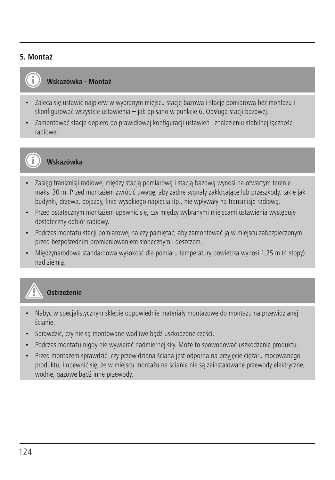#### **5. Montaż**



#### **Wskazówka - Montaż**

- Zaleca się ustawić najpierw w wybranym miejscu stację bazową i stację pomiarową bez montażu i skonfigurować wszystkie ustawienia – jak opisano w punkcie 6. Obsługa stacji bazowej.
- Zamontować stacje dopiero po prawidłowej konfiguracji ustawień i znalezieniu stabilnej łączności radiowej.



#### **Wskazówka**

- Zasięg transmisji radiowej między stacią pomiarową i stacią bazową wynosi na otwartym terenie maks. 30 m. Przed montażem zwrócić uwagę, aby żadne sygnały zakłócające lub przeszkody, takie jak budynki, drzewa, pojazdy, linie wysokiego napięcia itp., nie wpływały na transmisję radiową.
- Przed ostatecznym montażem upewnić się, czy między wybranymi miejscami ustawienia występuje dostateczny odbiór radiowy.
- Podczas montażu stacji pomiarowej należy pamiętać, aby zamontować ją w miejscu zabezpieczonym przed bezpośrednim promieniowaniem słonecznym i deszczem.
- Międzynarodowa standardowa wysokość dla pomiaru temperatury powietrza wynosi 1,25 m (4 stopy) nad ziemią.



#### **Ostrzeżenie**

- Nabyć w specjalistycznym sklepie odpowiednie materiały montażowe do montażu na przewidzianej ścianie.
- Sprawdzić, czy nie są montowane wadliwe bądź uszkodzone części.
- Podczas montażu nigdy nie wywierać nadmiernej siły. Może to spowodować uszkodzenie produktu.
- Przed montażem sprawdzić, czy przewidziana ściana jest odporna na przyjęcie ciężaru mocowanego produktu, i upewnić się, że w miejscu montażu na ścianie nie są zainstalowane przewody elektryczne, wodne, gazowe bądź inne przewody.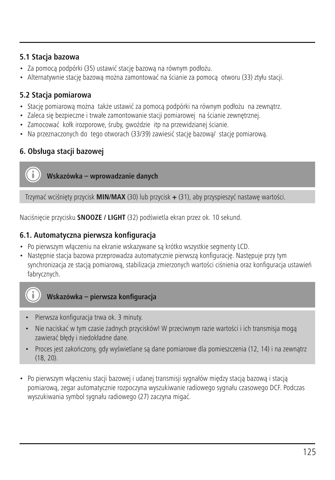#### **5.1 Stacja bazowa**

- Za pomocą podpórki (35) ustawić stację bazową na równym podłożu.
- Alternatywnie stację bazową można zamontować na ścianie za pomocą otworu (33) ztyłu stacji.

#### **5.2 Stacja pomiarowa**

- Stację pomiarową można także ustawić za pomocą podpórki na równym podłożu na zewnątrz.
- Zaleca się bezpieczne i trwałe zamontowanie stacji pomiarowej na ścianie zewnętrznej.
- Zamocować kołk irozporowe, śruby, gwoździe itp na przewidzianej ścianie.
- Na przeznaczonych do tego otworach (33/39) zawiesić stacie bazowa/ stacie pomiarową.

# **6. Obsługa stacji bazowej**

**Wskazówka – wprowadzanie danych**

Trzymać wciśnięty przycisk **MIN/MAX** (30) lub przycisk **+** (31), aby przyspieszyć nastawę wartości.

Naciśnięcie przycisku **SNOOZE / LIGHT** (32) podświetla ekran przez ok. 10 sekund.

#### **6.1. Automatyczna pierwsza konfiguracja**

- Po pierwszym włączeniu na ekranie wskazywane są krótko wszystkie segmenty LCD.
- Następnie stacja bazowa przeprowadza automatycznie pierwszą konfigurację. Następuje przy tym synchronizacja ze stacją pomiarową, stabilizacja zmierzonych wartości ciśnienia oraz konfiguracja ustawień fabrycznych.



- Pierwsza konfiguracja trwa ok. 3 minuty.
- Nie naciskać w tym czasie żadnych przycisków! W przeciwnym razie wartości i ich transmisja mogą zawierać błędy i niedokładne dane.
- Proces jest zakończony, gdy wyświetlane są dane pomiarowe dla pomieszczenia (12, 14) i na zewnątrz (18, 20).
- Po pierwszym włączeniu stacji bazowej i udanej transmisji sygnałów między stacją bazową i stacją pomiarową, zegar automatycznie rozpoczyna wyszukiwanie radiowego sygnału czasowego DCF. Podczas wyszukiwania symbol sygnału radiowego (27) zaczyna migać.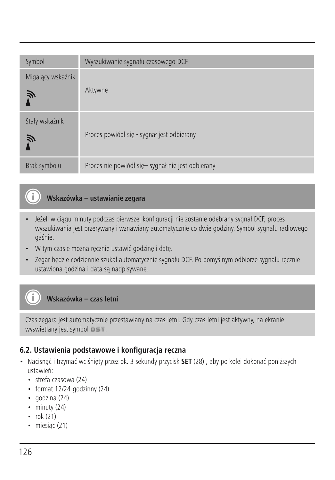| Symbol                 | Wyszukiwanie sygnału czasowego DCF                |
|------------------------|---------------------------------------------------|
| Migający wskaźnik<br>Ã | Aktywne                                           |
| Stały wskaźnik<br>Ñ    | Proces powiódł się - sygnał jest odbierany        |
| Brak symbolu           | Proces nie powiódł się- sygnał nie jest odbierany |

# **Wskazówka – ustawianie zegara**

- Jeżeli w ciągu minuty podczas pierwszej konfiguracji nie zostanie odebrany sygnał DCF, proces wyszukiwania jest przerywany i wznawiany automatycznie co dwie godziny. Symbol sygnału radiowego gaśnie.
- W tym czasie można ręcznie ustawić godzinę i datę.
- Zegar będzie codziennie szukał automatycznie sygnału DCF. Po pomyślnym odbiorze sygnału ręcznie ustawiona godzina i data są nadpisywane.

# **Wskazówka – czas letni**

Czas zegara jest automatycznie przestawiany na czas letni. Gdy czas letni jest aktywny, na ekranie wyświetlany jest symbol  $P = T$ .

#### **6.2. Ustawienia podstawowe i konfiguracja ręczna**

- Nacisnąć i trzymać wciśnięty przez ok. 3 sekundy przycisk **SET** (28) , aby po kolei dokonać poniższych ustawień:
	- strefa czasowa (24)
	- format 12/24-godzinny (24)
	- godzina (24)
	- minuty (24)
	- rok (21)

Œ

G

• miesiąc (21)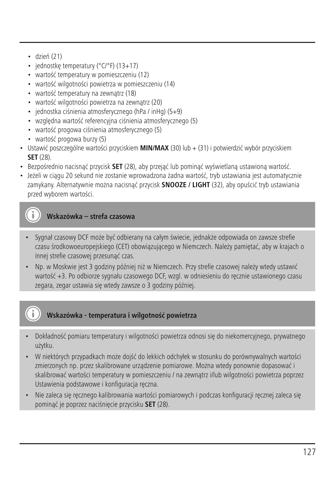- dzień (21)
- jednostkę temperatury (°C/°F) (13+17)
- wartość temperatury w pomieszczeniu (12)
- wartość wilgotności powietrza w pomieszczeniu (14)
- wartość temperatury na zewnątrz (18)
- wartość wilgotności powietrza na zewnątrz (20)
- jednostka ciśnienia atmosferycznego (hPa / inHg) (5+9)
- względna wartość referencyjna ciśnienia atmosferycznego (5)
- wartość progowa ciśnienia atmosferycznego (5)
- wartość progowa burzy (5)
- Ustawić poszczególne wartości przyciskiem **MIN/MAX** (30) lub + (31) i potwierdzić wybór przyciskiem **SET** (28).
- Bezpośrednio nacisnąć przycisk **SET** (28), aby przejąć lub pominąć wyświetlaną ustawioną wartość.
- Jeżeli w ciągu 20 sekund nie zostanie wprowadzona żadna wartość, tryb ustawiania jest automatycznie zamykany. Alternatywnie można nacisnąć przycisk **SNOOZE / LIGHT** (32), aby opuścić tryb ustawiania przed wyborem wartości.

# **Wskazówka – strefa czasowa**

- Sygnał czasowy DCF może być odbierany na całym świecie, jednakże odpowiada on zawsze strefie czasu środkowoeuropejskiego (CET) obowiązującego w Niemczech. Należy pamiętać, aby w krajach o innej strefie czasowej przesunąć czas.
- Np. w Moskwie jest 3 godziny później niż w Niemczech. Przy strefie czasowej należy wtedy ustawić wartość +3. Po odbiorze sygnału czasowego DCF, wzgl. w odniesieniu do ręcznie ustawionego czasu zegara, zegar ustawia się wtedy zawsze o 3 godziny później.

# **Wskazówka - temperatura i wilgotność powietrza**

- Dokładność pomiaru temperatury i wilgotności powietrza odnosi się do niekomercyjnego, prywatnego użytku.
- W niektórych przypadkach może dojść do lekkich odchyłek w stosunku do porównywalnych wartości zmierzonych np. przez skalibrowane urządzenie pomiarowe. Można wtedy ponownie dopasować i skalibrować wartości temperatury w pomieszczeniu / na zewnątrz i/lub wilgotności powietrza poprzez Ustawienia podstawowe i konfiguracja ręczna.
- Nie zaleca się ręcznego kalibrowania wartości pomiarowych i podczas konfiguracji ręcznej zaleca się pominąć je poprzez naciśnięcie przycisku **SET** (28).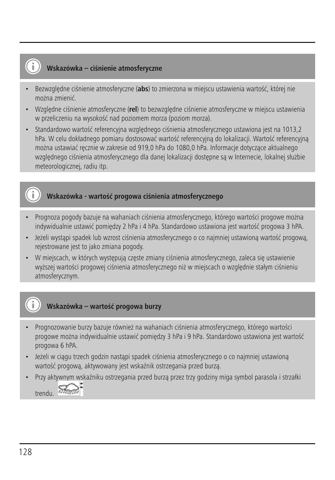#### **Wskazówka – ciśnienie atmosferyczne**

- Bezwzględne ciśnienie atmosferyczne (**abs**) to zmierzona w miejscu ustawienia wartość, której nie można zmienić.
- Względne ciśnienie atmosferyczne (**rel**) to bezwzględne ciśnienie atmosferyczne w miejscu ustawienia w przeliczeniu na wysokość nad poziomem morza (poziom morza).
- Standardowo wartość referencyjna względnego ciśnienia atmosferycznego ustawiona jest na 1013,2 hPa. W celu dokładnego pomiaru dostosować wartość referencyjną do lokalizacji. Wartość referencyjną można ustawiać ręcznie w zakresie od 919,0 hPa do 1080,0 hPa. Informacje dotyczące aktualnego względnego ciśnienia atmosferycznego dla danej lokalizacji dostępne są w Internecie, lokalnej służbie meteorologicznej, radiu itp.

#### **Wskazówka - wartość progowa ciśnienia atmosferycznego**

- Prognoza pogody bazuje na wahaniach ciśnienia atmosferycznego, którego wartości progowe można indywidualnie ustawić pomiędzy 2 hPa i 4 hPa. Standardowo ustawiona jest wartość progowa 3 hPA.
- Jeżeli wystąpi spadek lub wzrost ciśnienia atmosferycznego o co najmniej ustawioną wartość progową, rejestrowane jest to jako zmiana pogody.
- W miejscach, w których występują częste zmiany ciśnienia atmosferycznego, zaleca się ustawienie wyższej wartości progowej ciśnienia atmosferycznego niż w miejscach o względnie stałym ciśnieniu atmosferycznym.

#### **Wskazówka – wartość progowa burzy**

- Prognozowanie burzy bazuje również na wahaniach ciśnienia atmosferycznego, którego wartości progowe można indywidualnie ustawić pomiędzy 3 hPa i 9 hPa. Standardowo ustawiona jest wartość progowa 6 hPA.
- Jeżeli w ciągu trzech godzin nastąpi spadek ciśnienia atmosferycznego o co najmniej ustawioną wartość progową, aktywowany jest wskaźnik ostrzegania przed burzą.
- Przy aktywnym wskaźniku ostrzegania przed burzą przez trzy godziny miga symbol parasola i strzałki

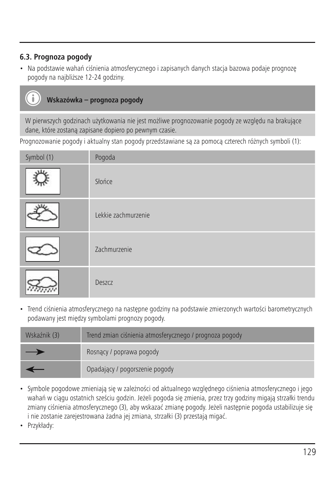# **6.3. Prognoza pogody**

• Na podstawie wahań ciśnienia atmosferycznego i zapisanych danych stacja bazowa podaje prognozę pogody na najbliższe 12-24 godziny.

# **Wskazówka – prognoza pogody**

W pierwszych godzinach użytkowania nie jest możliwe prognozowanie pogody ze względu na brakujące dane, które zostaną zapisane dopiero po pewnym czasie.

Prognozowanie pogody i aktualny stan pogody przedstawiane są za pomocą czterech różnych symboli (1):

| Symbol (1) | Pogoda              |
|------------|---------------------|
|            | Słońce              |
|            | Lekkie zachmurzenie |
|            | Zachmurzenie        |
|            | Deszcz              |

• Trend ciśnienia atmosferycznego na następne godziny na podstawie zmierzonych wartości barometrycznych podawany jest między symbolami prognozy pogody.

| Wskaźnik (3) | Trend zmian ciśnienia atmosferycznego / prognoza pogody |  |
|--------------|---------------------------------------------------------|--|
| –            | Rosnacy / poprawa pogody                                |  |
|              | Opadający / pogorszenie pogody                          |  |

- Symbole pogodowe zmieniają się w zależności od aktualnego względnego ciśnienia atmosferycznego i jego wahań w ciągu ostatnich sześciu godzin. Jeżeli pogoda się zmienia, przez trzy godziny migają strzałki trendu zmiany ciśnienia atmosferycznego (3), aby wskazać zmianę pogody. Jeżeli następnie pogoda ustabilizuje się i nie zostanie zarejestrowana żadna jej zmiana, strzałki (3) przestają migać.
- Przykłady: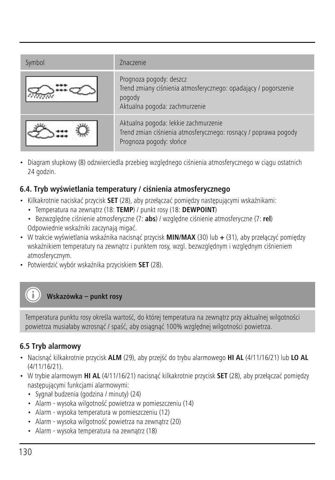| Symbol | <b>Znaczenie</b>                                                                                                                      |
|--------|---------------------------------------------------------------------------------------------------------------------------------------|
|        | Prognoza pogody: deszcz<br>Trend zmiany ciśnienia atmosferycznego: opadający / pogorszenie<br>pogody<br>Aktualna pogoda: zachmurzenie |
|        | Aktualna pogoda: lekkie zachmurzenie<br>Trend zmian ciśnienia atmosferycznego: rosnący / poprawa pogody<br>Prognoza pogody: słońce    |

• Diagram słupkowy (8) odzwierciedla przebieg względnego ciśnienia atmosferycznego w ciągu ostatnich 24 godzin.

#### **6.4. Tryb wyświetlania temperatury / ciśnienia atmosferycznego**

- Kilkakrotnie naciskać przycisk **SET** (28), aby przełączać pomiędzy następującymi wskaźnikami:
	- Temperatura na zewnątrz (18: **TEMP**) / punkt rosy (18: **DEWPOINT**)
	- Bezwzględne ciśnienie atmosferyczne (7: **abs**) / względne ciśnienie atmosferyczne (7: **rel**) Odpowiednie wskaźniki zaczynają migać.
- W trakcie wyświetlania wskaźnika nacisnąć przycisk **MIN/MAX** (30) lub **+** (31), aby przełączyć pomiędzy wskaźnikiem temperatury na zewnątrz i punktem rosy, wzgl. bezwzględnym i względnym ciśnieniem atmosferycznym.
- Potwierdzić wybór wskaźnika przyciskiem **SET** (28).

# **Wskazówka – punkt rosy**

Temperatura punktu rosy określa wartość, do której temperatura na zewnątrz przy aktualnej wilgotności powietrza musiałaby wzrosnąć / spaść, aby osiągnąć 100% względnej wilgotności powietrza.

#### **6.5 Tryb alarmowy**

- Nacisnąć kilkakrotnie przycisk **ALM** (29), aby przejść do trybu alarmowego **HI AL** (4/11/16/21) lub **LO AL** (4/11/16/21).
- W trybie alarmowym **HI AL** (4/11/16/21) nacisnąć kilkakrotnie przycisk **SET** (28), aby przełączać pomiędzy następującymi funkcjami alarmowymi:
	- Sygnał budzenia (godzina / minuty) (24)
	- Alarm wysoka wilgotność powietrza w pomieszczeniu (14)
	- Alarm wysoka temperatura w pomieszczeniu (12)
	- Alarm wysoka wilgotność powietrza na zewnątrz (20)
	- Alarm wysoka temperatura na zewnątrz (18)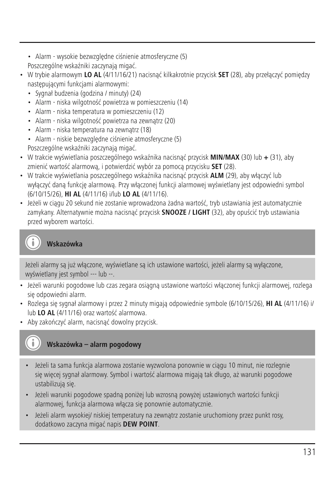- Alarm wysokie bezwzględne ciśnienie atmosferyczne (5) Poszczególne wskaźniki zaczynają migać.
- W trybie alarmowym **LO AL** (4/11/16/21) nacisnąć kilkakrotnie przycisk **SET** (28), aby przełączyć pomiędzy następującymi funkcjami alarmowymi:
	- Sygnał budzenia (godzina / minuty) (24)
	- Alarm niska wilgotność powietrza w pomieszczeniu (14)
	- Alarm niska temperatura w pomieszczeniu (12)
	- Alarm niska wilgotność powietrza na zewnątrz (20)
	- Alarm niska temperatura na zewnątrz (18)
	- Alarm niskie bezwzględne ciśnienie atmosferyczne (5)
	- Poszczególne wskaźniki zaczynają migać.
- W trakcie wyświetlania poszczególnego wskaźnika nacisnąć przycisk **MIN/MAX** (30) lub **+** (31), aby zmienić wartość alarmową, i potwierdzić wybór za pomocą przycisku **SET** (28).
- W trakcie wyświetlania poszczególnego wskaźnika nacisnąć przycisk **ALM** (29), aby włączyć lub wyłączyć daną funkcję alarmową. Przy włączonej funkcji alarmowej wyświetlany jest odpowiedni symbol (6/10/15/26), **HI AL** (4/11/16) i/lub **LO AL** (4/11/16).
- Jeżeli w ciągu 20 sekund nie zostanie wprowadzona żadna wartość, tryb ustawiania jest automatycznie zamykany. Alternatywnie można nacisnąć przycisk **SNOOZE / LIGHT** (32), aby opuścić tryb ustawiania przed wyborem wartości.

# **Wskazówka**

Jeżeli alarmy są już włączone, wyświetlane są ich ustawione wartości, jeżeli alarmy są wyłączone, wyświetlany jest symbol --- lub --.

- Jeżeli warunki pogodowe lub czas zegara osiągną ustawione wartości włączonej funkcji alarmowej, rozlega się odpowiedni alarm.
- Rozlega się sygnał alarmowy i przez 2 minuty migają odpowiednie symbole (6/10/15/26), **HI AL** (4/11/16) i/ lub **LO AL** (4/11/16) oraz wartość alarmowa.
- Aby zakończyć alarm, nacisnąć dowolny przycisk.

# **Wskazówka – alarm pogodowy**

- Jeżeli ta sama funkcja alarmowa zostanie wyzwolona ponownie w ciągu 10 minut, nie rozlegnie się więcej sygnał alarmowy. Symbol i wartość alarmowa migają tak długo, aż warunki pogodowe ustabilizują się.
- Jeżeli warunki pogodowe spadną poniżej lub wzrosną powyżej ustawionych wartości funkcji alarmowej, funkcja alarmowa włącza się ponownie automatycznie.
- Jeżeli alarm wysokiej/ niskiej temperatury na zewnątrz zostanie uruchomiony przez punkt rosy, dodatkowo zaczyna migać napis **DEW POINT**.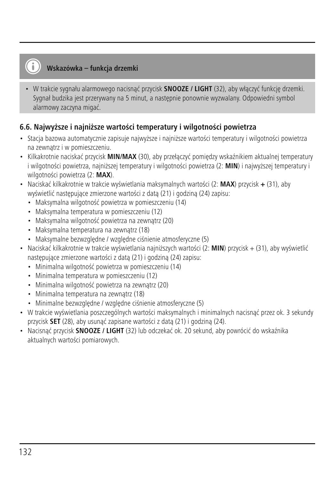#### **Wskazówka – funkcja drzemki**

• W trakcie sygnału alarmowego nacisnąć przycisk **SNOOZE / LIGHT** (32), aby włączyć funkcję drzemki. Sygnał budzika jest przerywany na 5 minut, a następnie ponownie wyzwalany. Odpowiedni symbol alarmowy zaczyna migać.

#### **6.6. Najwyższe i najniższe wartości temperatury i wilgotności powietrza**

- Stacja bazowa automatycznie zapisuje najwyższe i najniższe wartości temperatury i wilgotności powietrza na zewnątrz i w pomieszczeniu.
- Kilkakrotnie naciskać przycisk **MIN/MAX** (30), aby przełączyć pomiędzy wskaźnikiem aktualnej temperatury i wilgotności powietrza, najniższej temperatury i wilgotności powietrza (2: **MIN**) i najwyższej temperatury i wilgotności powietrza (2: **MAX**).
- Naciskać kilkakrotnie w trakcie wyświetlania maksymalnych wartości (2: **MAX**) przycisk **+** (31), aby wyświetlić następujące zmierzone wartości z datą (21) i godziną (24) zapisu:
	- Maksymalna wilgotność powietrza w pomieszczeniu (14)
	- Maksymalna temperatura w pomieszczeniu (12)
	- Maksymalna wilgotność powietrza na zewnątrz (20)
	- Maksymalna temperatura na zewnątrz (18)
	- Maksymalne bezwzględne / względne ciśnienie atmosferyczne (5)
- Naciskać kilkakrotnie w trakcie wyświetlania najniższych wartości (2: **MIN**) przycisk + (31), aby wyświetlić następujące zmierzone wartości z datą (21) i godziną (24) zapisu:
	- Minimalna wilgotność powietrza w pomieszczeniu (14)
	- Minimalna temperatura w pomieszczeniu (12)
	- Minimalna wilgotność powietrza na zewnątrz (20)
	- Minimalna temperatura na zewnątrz (18)
	- Minimalne bezwzględne / względne ciśnienie atmosferyczne (5)
- W trakcie wyświetlania poszczególnych wartości maksymalnych i minimalnych nacisnąć przez ok. 3 sekundy przycisk **SET** (28), aby usunąć zapisane wartości z datą (21) i godziną (24).
- Nacisnąć przycisk **SNOOZE / LIGHT** (32) lub odczekać ok. 20 sekund, aby powrócić do wskaźnika aktualnych wartości pomiarowych.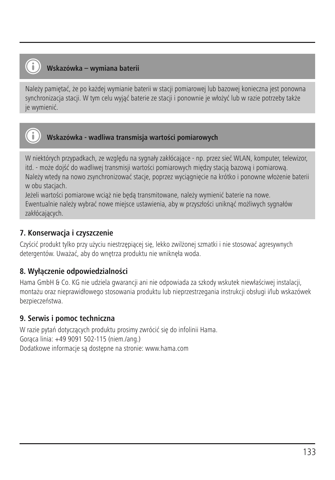# **Wskazówka – wymiana baterii**

Należy pamiętać, że po każdej wymianie baterii w stacji pomiarowej lub bazowej konieczna jest ponowna synchronizacja stacji. W tym celu wyjąć baterie ze stacji i ponownie je włożyć lub w razie potrzeby także je wymienić.



# **Wskazówka - wadliwa transmisja wartości pomiarowych**

W niektórych przypadkach, ze względu na sygnały zakłócające - np. przez sieć WLAN, komputer, telewizor, itd. - może dojść do wadliwej transmisji wartości pomiarowych między stacją bazową i pomiarową. Należy wtedy na nowo zsynchronizować stacje, poprzez wyciągnięcie na krótko i ponowne włożenie baterii w obu staciach.

Jeżeli wartości pomiarowe wciąż nie będą transmitowane, należy wymienić baterie na nowe.

Ewentualnie należy wybrać nowe miejsce ustawienia, aby w przyszłości uniknąć możliwych sygnałów zakłócających.

#### **7. Konserwacja i czyszczenie**

Czyścić produkt tylko przy użyciu niestrzępiącej się, lekko zwilżonej szmatki i nie stosować agresywnych detergentów. Uważać, aby do wnętrza produktu nie wniknęła woda.

#### **8. Wyłączenie odpowiedzialności**

Hama GmbH & Co. KG nie udziela gwarancji ani nie odpowiada za szkody wskutek niewłaściwej instalacji, montażu oraz nieprawidłowego stosowania produktu lub nieprzestrzegania instrukcji obsługi i/lub wskazówek bezpieczeństwa.

#### **9. Serwis i pomoc techniczna**

W razie pytań dotyczących produktu prosimy zwrócić się do infolinii Hama. Gorąca linia: +49 9091 502-115 (niem./ang.) Dodatkowe informacje są dostępne na stronie: www.hama.com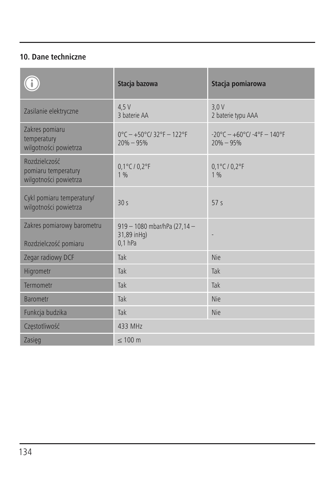# **10. Dane techniczne**

|                                                               | Stacja bazowa                                            | Stacja pomiarowa                                                         |
|---------------------------------------------------------------|----------------------------------------------------------|--------------------------------------------------------------------------|
| Zasilanie elektryczne                                         | 4.5V<br>3 haterie AA                                     | 3.0V<br>2 baterie typu AAA                                               |
| Zakres pomiaru<br>temperatury<br>wilgotności powietrza        | $0^{\circ}$ C - +50°C/32°F - 122°F<br>$20% - 95%$        | $-20^{\circ}$ C - $+60^{\circ}$ C/ $-4^{\circ}$ F - 140°F<br>$20% - 95%$ |
| Rozdzielczość<br>pomiaru temperatury<br>wilgotności powietrza | $0.1^{\circ}$ C / $0.2^{\circ}$ F<br>1%                  | $0.1^{\circ}$ C / $0.2^{\circ}$ F<br>1%                                  |
| Cykl pomiaru temperatury/<br>wilgotności powietrza            | 30<                                                      | 57 <sub>s</sub>                                                          |
| Zakres pomiarowy barometru<br>Rozdzielczość pomiaru           | 919 - 1080 mbar/hPa (27,14 -<br>31,89 inHq)<br>$0.1$ hPa |                                                                          |
| Zegar radiowy DCF                                             | Tak                                                      | Nie                                                                      |
| Higrometr                                                     | Tak                                                      | Tak                                                                      |
| Termometr                                                     | Tak                                                      | Tak                                                                      |
| <b>Barometr</b>                                               | Tak                                                      | Nie                                                                      |
| Funkcja budzika                                               | Tak                                                      | Nie                                                                      |
| Częstotliwość                                                 | 433 MHz                                                  |                                                                          |
| Zasieg                                                        | $\leq 100$ m                                             |                                                                          |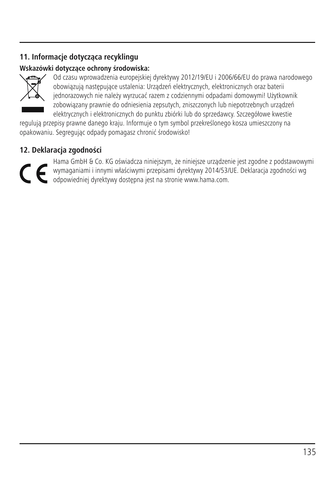# **11. Informacje dotycząca recyklingu**

#### **Wskazówki dotyczące ochrony środowiska:**



Od czasu wprowadzenia europejskiej dyrektywy 2012/19/EU i 2006/66/EU do prawa narodowego obowiązują następujące ustalenia: Urządzeń elektrycznych, elektronicznych oraz baterii jednorazowych nie należy wyrzucać razem z codziennymi odpadami domowymi! Użytkownik zobowiązany prawnie do odniesienia zepsutych, zniszczonych lub niepotrzebnych urządzeń elektrycznych i elektronicznych do punktu zbiórki lub do sprzedawcy. Szczegółowe kwestie

regulują przepisy prawne danego kraju. Informuje o tym symbol przekreślonego kosza umieszczony na opakowaniu. Segregując odpady pomagasz chronić środowisko!

#### **12. Deklaracja zgodności**

Hama GmbH & Co. KG oświadcza niniejszym, że niniejsze urządzenie jest zgodne z podstawowymi wymaganiami i innymi właściwymi przepisami dyrektywy 2014/53/UE. Deklaracja zgodności wg odpowiedniej dyrektywy dostępna jest na stronie www.hama.com.